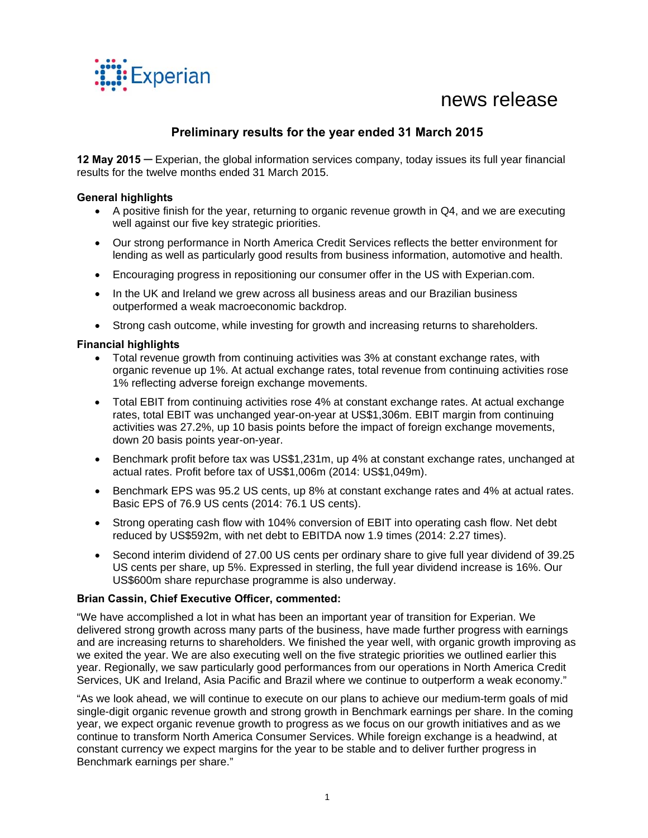

# news release

# **Preliminary results for the year ended 31 March 2015**

**12 May 2015 ─** Experian, the global information services company, today issues its full year financial results for the twelve months ended 31 March 2015.

# **General highlights**

- $\bullet$  A positive finish for the year, returning to organic revenue growth in Q4, and we are executing well against our five key strategic priorities.
- Our strong performance in North America Credit Services reflects the better environment for lending as well as particularly good results from business information, automotive and health.
- Encouraging progress in repositioning our consumer offer in the US with Experian.com.
- In the UK and Ireland we grew across all business areas and our Brazilian business outperformed a weak macroeconomic backdrop.
- Strong cash outcome, while investing for growth and increasing returns to shareholders.

# **Financial highlights**

- Total revenue growth from continuing activities was 3% at constant exchange rates, with organic revenue up 1%. At actual exchange rates, total revenue from continuing activities rose 1% reflecting adverse foreign exchange movements.
- Total EBIT from continuing activities rose 4% at constant exchange rates. At actual exchange rates, total EBIT was unchanged year-on-year at US\$1,306m. EBIT margin from continuing activities was 27.2%, up 10 basis points before the impact of foreign exchange movements, down 20 basis points year-on-year.
- Benchmark profit before tax was US\$1,231m, up 4% at constant exchange rates, unchanged at actual rates. Profit before tax of US\$1,006m (2014: US\$1,049m).
- Benchmark EPS was 95.2 US cents, up 8% at constant exchange rates and 4% at actual rates. Basic EPS of 76.9 US cents (2014: 76.1 US cents).
- Strong operating cash flow with 104% conversion of EBIT into operating cash flow. Net debt reduced by US\$592m, with net debt to EBITDA now 1.9 times (2014: 2.27 times).
- Second interim dividend of 27.00 US cents per ordinary share to give full year dividend of 39.25 US cents per share, up 5%. Expressed in sterling, the full year dividend increase is 16%. Our US\$600m share repurchase programme is also underway.

# **Brian Cassin, Chief Executive Officer, commented:**

"We have accomplished a lot in what has been an important year of transition for Experian. We delivered strong growth across many parts of the business, have made further progress with earnings and are increasing returns to shareholders. We finished the year well, with organic growth improving as we exited the year. We are also executing well on the five strategic priorities we outlined earlier this year. Regionally, we saw particularly good performances from our operations in North America Credit Services, UK and Ireland, Asia Pacific and Brazil where we continue to outperform a weak economy."

"As we look ahead, we will continue to execute on our plans to achieve our medium-term goals of mid single-digit organic revenue growth and strong growth in Benchmark earnings per share. In the coming year, we expect organic revenue growth to progress as we focus on our growth initiatives and as we continue to transform North America Consumer Services. While foreign exchange is a headwind, at constant currency we expect margins for the year to be stable and to deliver further progress in Benchmark earnings per share."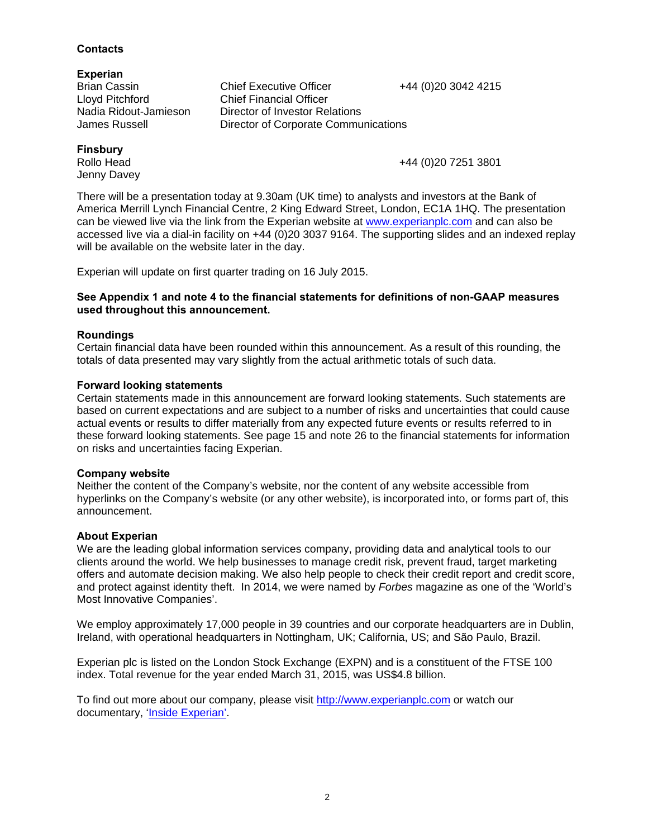# Ireland, with operational headquarters in Nottingham, UK; California, US; and São Paulo, Brazil.

Experian plc is listed on the London Stock Exchange (EXPN) and is a constituent of the FTSE 100 index. Total revenue for the year ended March 31, 2015, was US\$4.8 billion.

To find out more about our company, please visit http://www.experianplc.com or watch our documentary, 'Inside Experian'.

clients around the world. We help businesses to manage credit risk, prevent fraud, target marketing offers and automate decision making. We also help people to check their credit report and credit score, and protect against identity theft. In 2014, we were named by *Forbes* magazine as one of the 'World's Most Innovative Companies'. We employ approximately 17,000 people in 39 countries and our corporate headquarters are in Dublin,

Neither the content of the Company's website, nor the content of any website accessible from hyperlinks on the Company's website (or any other website), is incorporated into, or forms part of, this announcement.

We are the leading global information services company, providing data and analytical tools to our

**Company website** 

**About Experian**

**Forward looking statements**  Certain statements made in this announcement are forward looking statements. Such statements are based on current expectations and are subject to a number of risks and uncertainties that could cause actual events or results to differ materially from any expected future events or results referred to in these forward looking statements. See page 15 and note 26 to the financial statements for information on risks and uncertainties facing Experian.

# **Roundings**

Certain financial data have been rounded within this announcement. As a result of this rounding, the

totals of data presented may vary slightly from the actual arithmetic totals of such data.

America Merrill Lynch Financial Centre, 2 King Edward Street, London, EC1A 1HQ. The presentation can be viewed live via the link from the Experian website at www.experianplc.com and can also be accessed live via a dial-in facility on +44 (0)20 3037 9164. The supporting slides and an indexed replay will be available on the website later in the day.

Experian will update on first quarter trading on 16 July 2015.

# **See Appendix 1 and note 4 to the financial statements for definitions of non-GAAP measures**

**used throughout this announcement.** 

# There will be a presentation today at 9.30am (UK time) to analysts and investors at the Bank of

Jenny Davey

**Finsbury** 

Brian Cassin **Chief Executive Officer** +44 (0)20 3042 4215 Nadia Ridout-Jamieson Director of Investor Relations James Russell Director of Corporate Communications

# **Contacts**

# **Experian**

Lloyd Pitchford Chief Financial Officer

Rollo Head +44 (0)20 7251 3801

2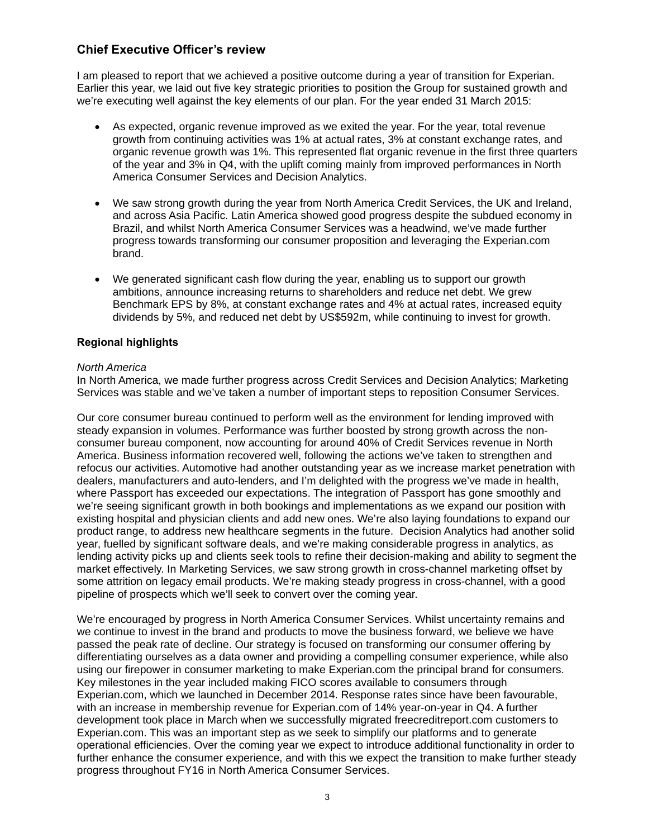# **Chief Executive Officer's review**

I am pleased to report that we achieved a positive outcome during a year of transition for Experian. Earlier this year, we laid out five key strategic priorities to position the Group for sustained growth and we're executing well against the key elements of our plan. For the year ended 31 March 2015:

- As expected, organic revenue improved as we exited the year. For the year, total revenue growth from continuing activities was 1% at actual rates, 3% at constant exchange rates, and organic revenue growth was 1%. This represented flat organic revenue in the first three quarters of the year and 3% in Q4, with the uplift coming mainly from improved performances in North America Consumer Services and Decision Analytics.
- We saw strong growth during the year from North America Credit Services, the UK and Ireland, and across Asia Pacific. Latin America showed good progress despite the subdued economy in Brazil, and whilst North America Consumer Services was a headwind, we've made further progress towards transforming our consumer proposition and leveraging the Experian.com brand.
- We generated significant cash flow during the year, enabling us to support our growth ambitions, announce increasing returns to shareholders and reduce net debt. We grew Benchmark EPS by 8%, at constant exchange rates and 4% at actual rates, increased equity dividends by 5%, and reduced net debt by US\$592m, while continuing to invest for growth.

# **Regional highlights**

# *North America*

In North America, we made further progress across Credit Services and Decision Analytics; Marketing Services was stable and we've taken a number of important steps to reposition Consumer Services.

Our core consumer bureau continued to perform well as the environment for lending improved with steady expansion in volumes. Performance was further boosted by strong growth across the nonconsumer bureau component, now accounting for around 40% of Credit Services revenue in North America. Business information recovered well, following the actions we've taken to strengthen and refocus our activities. Automotive had another outstanding year as we increase market penetration with dealers, manufacturers and auto-lenders, and I'm delighted with the progress we've made in health, where Passport has exceeded our expectations. The integration of Passport has gone smoothly and we're seeing significant growth in both bookings and implementations as we expand our position with existing hospital and physician clients and add new ones. We're also laying foundations to expand our product range, to address new healthcare segments in the future. Decision Analytics had another solid year, fuelled by significant software deals, and we're making considerable progress in analytics, as lending activity picks up and clients seek tools to refine their decision-making and ability to segment the market effectively. In Marketing Services, we saw strong growth in cross-channel marketing offset by some attrition on legacy email products. We're making steady progress in cross-channel, with a good pipeline of prospects which we'll seek to convert over the coming year.

We're encouraged by progress in North America Consumer Services. Whilst uncertainty remains and we continue to invest in the brand and products to move the business forward, we believe we have passed the peak rate of decline. Our strategy is focused on transforming our consumer offering by differentiating ourselves as a data owner and providing a compelling consumer experience, while also using our firepower in consumer marketing to make Experian.com the principal brand for consumers. Key milestones in the year included making FICO scores available to consumers through Experian.com, which we launched in December 2014. Response rates since have been favourable, with an increase in membership revenue for Experian.com of 14% year-on-year in Q4. A further development took place in March when we successfully migrated freecreditreport.com customers to Experian.com. This was an important step as we seek to simplify our platforms and to generate operational efficiencies. Over the coming year we expect to introduce additional functionality in order to further enhance the consumer experience, and with this we expect the transition to make further steady progress throughout FY16 in North America Consumer Services.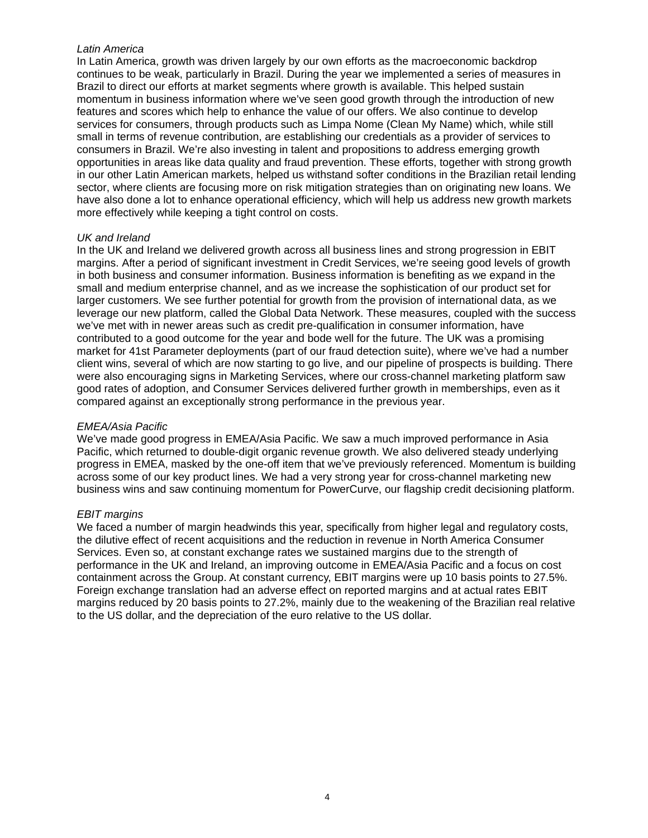# *Latin America*

In Latin America, growth was driven largely by our own efforts as the macroeconomic backdrop continues to be weak, particularly in Brazil. During the year we implemented a series of measures in Brazil to direct our efforts at market segments where growth is available. This helped sustain momentum in business information where we've seen good growth through the introduction of new features and scores which help to enhance the value of our offers. We also continue to develop services for consumers, through products such as Limpa Nome (Clean My Name) which, while still small in terms of revenue contribution, are establishing our credentials as a provider of services to consumers in Brazil. We're also investing in talent and propositions to address emerging growth opportunities in areas like data quality and fraud prevention. These efforts, together with strong growth in our other Latin American markets, helped us withstand softer conditions in the Brazilian retail lending sector, where clients are focusing more on risk mitigation strategies than on originating new loans. We have also done a lot to enhance operational efficiency, which will help us address new growth markets more effectively while keeping a tight control on costs.

# *UK and Ireland*

In the UK and Ireland we delivered growth across all business lines and strong progression in EBIT margins. After a period of significant investment in Credit Services, we're seeing good levels of growth in both business and consumer information. Business information is benefiting as we expand in the small and medium enterprise channel, and as we increase the sophistication of our product set for larger customers. We see further potential for growth from the provision of international data, as we leverage our new platform, called the Global Data Network. These measures, coupled with the success we've met with in newer areas such as credit pre-qualification in consumer information, have contributed to a good outcome for the year and bode well for the future. The UK was a promising market for 41st Parameter deployments (part of our fraud detection suite), where we've had a number client wins, several of which are now starting to go live, and our pipeline of prospects is building. There were also encouraging signs in Marketing Services, where our cross-channel marketing platform saw good rates of adoption, and Consumer Services delivered further growth in memberships, even as it compared against an exceptionally strong performance in the previous year.

# *EMEA/Asia Pacific*

We've made good progress in EMEA/Asia Pacific. We saw a much improved performance in Asia Pacific, which returned to double-digit organic revenue growth. We also delivered steady underlying progress in EMEA, masked by the one-off item that we've previously referenced. Momentum is building across some of our key product lines. We had a very strong year for cross-channel marketing new business wins and saw continuing momentum for PowerCurve, our flagship credit decisioning platform.

# *EBIT margins*

We faced a number of margin headwinds this year, specifically from higher legal and regulatory costs, the dilutive effect of recent acquisitions and the reduction in revenue in North America Consumer Services. Even so, at constant exchange rates we sustained margins due to the strength of performance in the UK and Ireland, an improving outcome in EMEA/Asia Pacific and a focus on cost containment across the Group. At constant currency, EBIT margins were up 10 basis points to 27.5%. Foreign exchange translation had an adverse effect on reported margins and at actual rates EBIT margins reduced by 20 basis points to 27.2%, mainly due to the weakening of the Brazilian real relative to the US dollar, and the depreciation of the euro relative to the US dollar.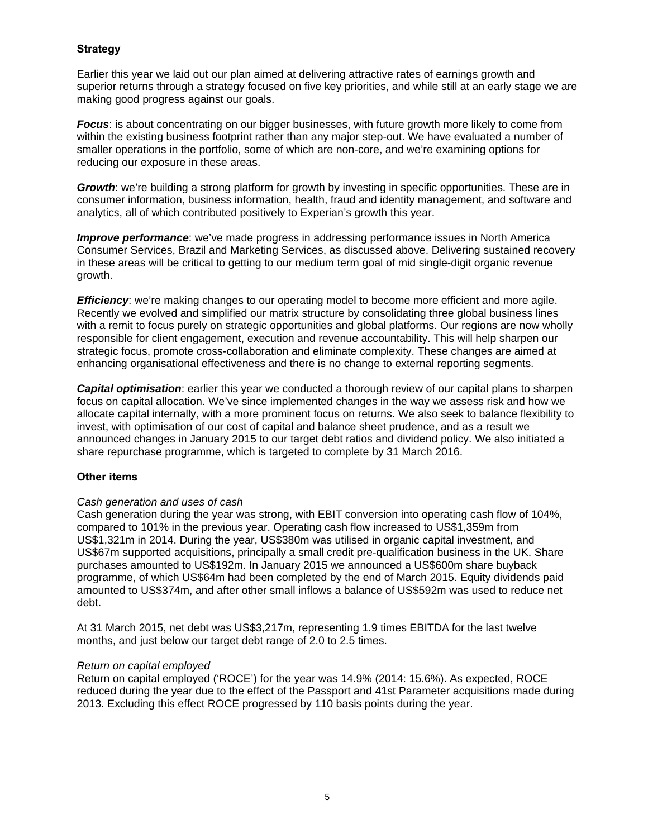# **Strategy**

Earlier this year we laid out our plan aimed at delivering attractive rates of earnings growth and superior returns through a strategy focused on five key priorities, and while still at an early stage we are making good progress against our goals.

*Focus*: is about concentrating on our bigger businesses, with future growth more likely to come from within the existing business footprint rather than any major step-out. We have evaluated a number of smaller operations in the portfolio, some of which are non-core, and we're examining options for reducing our exposure in these areas.

*Growth*: we're building a strong platform for growth by investing in specific opportunities. These are in consumer information, business information, health, fraud and identity management, and software and analytics, all of which contributed positively to Experian's growth this year.

*Improve performance*: we've made progress in addressing performance issues in North America Consumer Services, Brazil and Marketing Services, as discussed above. Delivering sustained recovery in these areas will be critical to getting to our medium term goal of mid single-digit organic revenue growth.

*Efficiency:* we're making changes to our operating model to become more efficient and more agile. Recently we evolved and simplified our matrix structure by consolidating three global business lines with a remit to focus purely on strategic opportunities and global platforms. Our regions are now wholly responsible for client engagement, execution and revenue accountability. This will help sharpen our strategic focus, promote cross-collaboration and eliminate complexity. These changes are aimed at enhancing organisational effectiveness and there is no change to external reporting segments.

*Capital optimisation*: earlier this year we conducted a thorough review of our capital plans to sharpen focus on capital allocation. We've since implemented changes in the way we assess risk and how we allocate capital internally, with a more prominent focus on returns. We also seek to balance flexibility to invest, with optimisation of our cost of capital and balance sheet prudence, and as a result we announced changes in January 2015 to our target debt ratios and dividend policy. We also initiated a share repurchase programme, which is targeted to complete by 31 March 2016.

# **Other items**

# *Cash generation and uses of cash*

Cash generation during the year was strong, with EBIT conversion into operating cash flow of 104%, compared to 101% in the previous year. Operating cash flow increased to US\$1,359m from US\$1,321m in 2014. During the year, US\$380m was utilised in organic capital investment, and US\$67m supported acquisitions, principally a small credit pre-qualification business in the UK. Share purchases amounted to US\$192m. In January 2015 we announced a US\$600m share buyback programme, of which US\$64m had been completed by the end of March 2015. Equity dividends paid amounted to US\$374m, and after other small inflows a balance of US\$592m was used to reduce net debt.

At 31 March 2015, net debt was US\$3,217m, representing 1.9 times EBITDA for the last twelve months, and just below our target debt range of 2.0 to 2.5 times.

# *Return on capital employed*

Return on capital employed ('ROCE') for the year was 14.9% (2014: 15.6%). As expected, ROCE reduced during the year due to the effect of the Passport and 41st Parameter acquisitions made during 2013. Excluding this effect ROCE progressed by 110 basis points during the year.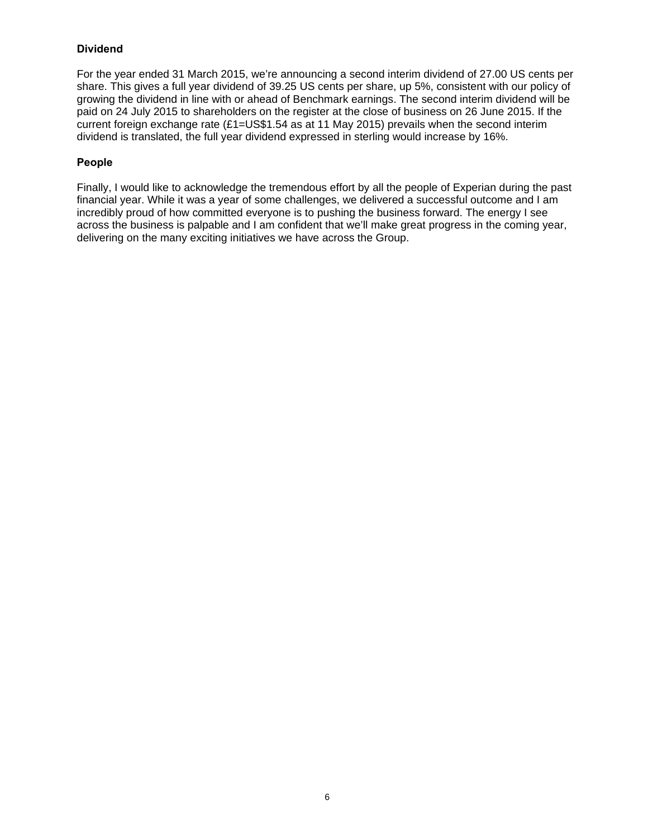# **Dividend**

For the year ended 31 March 2015, we're announcing a second interim dividend of 27.00 US cents per share. This gives a full year dividend of 39.25 US cents per share, up 5%, consistent with our policy of growing the dividend in line with or ahead of Benchmark earnings. The second interim dividend will be paid on 24 July 2015 to shareholders on the register at the close of business on 26 June 2015. If the current foreign exchange rate (£1=US\$1.54 as at 11 May 2015) prevails when the second interim dividend is translated, the full year dividend expressed in sterling would increase by 16%.

# **People**

Finally, I would like to acknowledge the tremendous effort by all the people of Experian during the past financial year. While it was a year of some challenges, we delivered a successful outcome and I am incredibly proud of how committed everyone is to pushing the business forward. The energy I see across the business is palpable and I am confident that we'll make great progress in the coming year, delivering on the many exciting initiatives we have across the Group.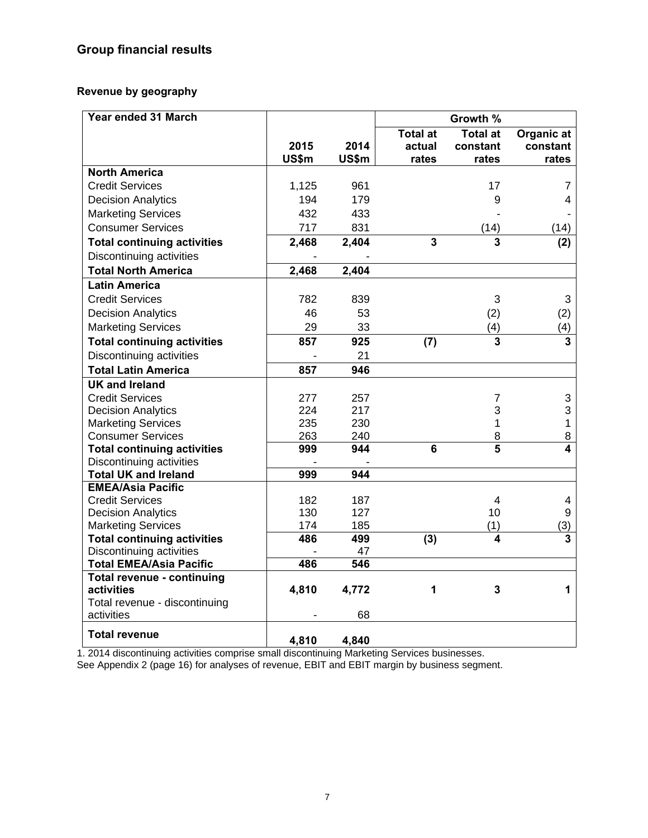# **Group financial results**

# **Revenue by geography**

| Year ended 31 March                         |       |       |                 | Growth %                |                         |
|---------------------------------------------|-------|-------|-----------------|-------------------------|-------------------------|
|                                             |       |       | <b>Total at</b> | <b>Total at</b>         | Organic at              |
|                                             | 2015  | 2014  | actual          | constant                | constant                |
|                                             | US\$m | US\$m | rates           | rates                   | rates                   |
| <b>North America</b>                        |       |       |                 |                         |                         |
| <b>Credit Services</b>                      | 1,125 | 961   |                 | 17                      | 7                       |
| <b>Decision Analytics</b>                   | 194   | 179   |                 | 9                       | 4                       |
| <b>Marketing Services</b>                   | 432   | 433   |                 |                         |                         |
| <b>Consumer Services</b>                    | 717   | 831   |                 | (14)                    | (14)                    |
| <b>Total continuing activities</b>          | 2,468 | 2,404 | $\overline{3}$  | 3                       | (2)                     |
| Discontinuing activities                    | ä,    |       |                 |                         |                         |
| <b>Total North America</b>                  | 2,468 | 2,404 |                 |                         |                         |
| <b>Latin America</b>                        |       |       |                 |                         |                         |
| <b>Credit Services</b>                      | 782   | 839   |                 | 3                       | 3                       |
| <b>Decision Analytics</b>                   | 46    | 53    |                 | (2)                     | (2)                     |
| <b>Marketing Services</b>                   | 29    | 33    |                 | (4)                     | (4)                     |
| <b>Total continuing activities</b>          | 857   | 925   | (7)             | 3                       | 3                       |
| <b>Discontinuing activities</b>             |       | 21    |                 |                         |                         |
| <b>Total Latin America</b>                  | 857   | 946   |                 |                         |                         |
| <b>UK and Ireland</b>                       |       |       |                 |                         |                         |
| <b>Credit Services</b>                      | 277   | 257   |                 | 7                       | 3                       |
| <b>Decision Analytics</b>                   | 224   | 217   |                 | 3                       | 3                       |
| <b>Marketing Services</b>                   | 235   | 230   |                 | 1                       | $\mathbf{1}$            |
| <b>Consumer Services</b>                    | 263   | 240   |                 | 8                       | 8                       |
| <b>Total continuing activities</b>          | 999   | 944   | 6               | $\overline{\mathbf{5}}$ | 4                       |
| Discontinuing activities                    |       |       |                 |                         |                         |
| <b>Total UK and Ireland</b>                 | 999   | 944   |                 |                         |                         |
| <b>EMEA/Asia Pacific</b>                    |       |       |                 |                         |                         |
| <b>Credit Services</b>                      | 182   | 187   |                 | 4                       | 4                       |
| <b>Decision Analytics</b>                   | 130   | 127   |                 | 10                      | 9                       |
| <b>Marketing Services</b>                   | 174   | 185   |                 | (1)                     | (3)                     |
| <b>Total continuing activities</b>          | 486   | 499   | (3)             | 4                       | $\overline{\mathbf{3}}$ |
| Discontinuing activities                    |       | 47    |                 |                         |                         |
| <b>Total EMEA/Asia Pacific</b>              | 486   | 546   |                 |                         |                         |
| <b>Total revenue - continuing</b>           |       |       |                 |                         |                         |
| activities                                  | 4,810 | 4,772 | 1               | 3                       | 1                       |
| Total revenue - discontinuing<br>activities |       | 68    |                 |                         |                         |
|                                             |       |       |                 |                         |                         |
| <b>Total revenue</b>                        | 4,810 | 4,840 |                 |                         |                         |

1. 2014 discontinuing activities comprise small discontinuing Marketing Services businesses.

See Appendix 2 (page 16) for analyses of revenue, EBIT and EBIT margin by business segment.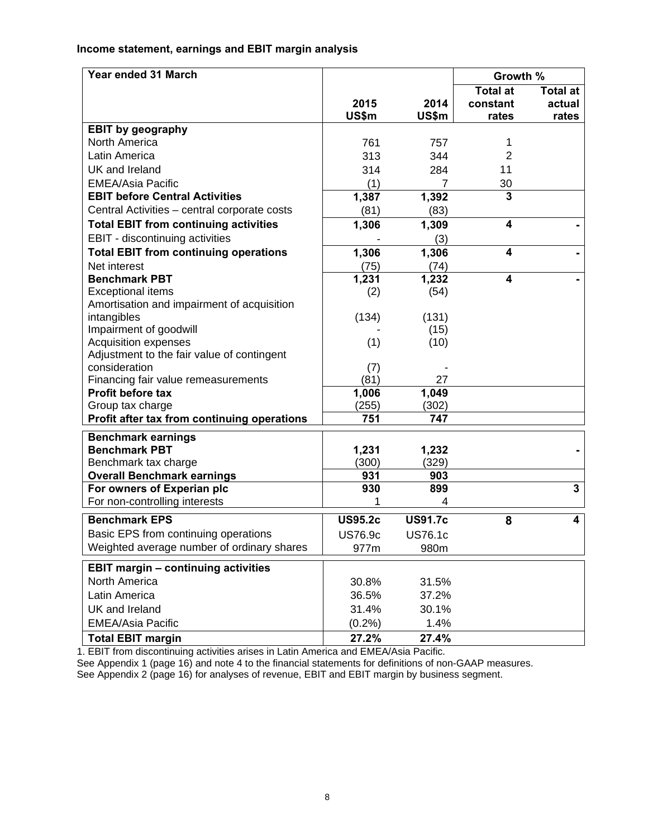# **Income statement, earnings and EBIT margin analysis**

| Year ended 31 March                          |                |                | Growth %                |                         |
|----------------------------------------------|----------------|----------------|-------------------------|-------------------------|
|                                              |                |                | <b>Total at</b>         | <b>Total at</b>         |
|                                              | 2015           | 2014           | constant                | actual                  |
|                                              | US\$m          | US\$m          | rates                   | rates                   |
| <b>EBIT by geography</b>                     |                |                |                         |                         |
| North America                                | 761            | 757            | 1                       |                         |
| Latin America                                | 313            | 344            | $\overline{2}$          |                         |
| UK and Ireland                               | 314            | 284            | 11                      |                         |
| <b>EMEA/Asia Pacific</b>                     | (1)            | 7              | 30                      |                         |
| <b>EBIT before Central Activities</b>        | 1,387          | 1,392          | $\overline{\mathbf{3}}$ |                         |
| Central Activities - central corporate costs | (81)           | (83)           |                         |                         |
| <b>Total EBIT from continuing activities</b> | 1,306          | 1,309          | $\overline{\mathbf{4}}$ |                         |
| EBIT - discontinuing activities              |                | (3)            |                         |                         |
| <b>Total EBIT from continuing operations</b> | 1,306          | 1,306          | 4                       |                         |
| Net interest                                 | (75)           | (74)           |                         |                         |
| <b>Benchmark PBT</b>                         | 1,231          | 1,232          | 4                       |                         |
| <b>Exceptional items</b>                     | (2)            | (54)           |                         |                         |
| Amortisation and impairment of acquisition   |                |                |                         |                         |
| intangibles                                  | (134)          | (131)          |                         |                         |
| Impairment of goodwill                       |                | (15)           |                         |                         |
| <b>Acquisition expenses</b>                  | (1)            | (10)           |                         |                         |
| Adjustment to the fair value of contingent   |                |                |                         |                         |
| consideration                                | (7)            |                |                         |                         |
| Financing fair value remeasurements          | (81)           | 27             |                         |                         |
| <b>Profit before tax</b>                     | 1,006          | 1,049          |                         |                         |
| Group tax charge                             | (255)          | (302)          |                         |                         |
| Profit after tax from continuing operations  | 751            | 747            |                         |                         |
| <b>Benchmark earnings</b>                    |                |                |                         |                         |
| <b>Benchmark PBT</b>                         | 1,231          | 1,232          |                         |                         |
| Benchmark tax charge                         | (300)          | (329)          |                         |                         |
| <b>Overall Benchmark earnings</b>            | 931            | 903            |                         |                         |
| For owners of Experian plc                   | 930            | 899            |                         | $\overline{\mathbf{3}}$ |
| For non-controlling interests                |                | 4              |                         |                         |
| <b>Benchmark EPS</b>                         | <b>US95.2c</b> | <b>US91.7c</b> | 8                       | 4                       |
| Basic EPS from continuing operations         | <b>US76.9c</b> | <b>US76.1c</b> |                         |                         |
| Weighted average number of ordinary shares   | 977m           | 980m           |                         |                         |
|                                              |                |                |                         |                         |
| <b>EBIT margin - continuing activities</b>   |                |                |                         |                         |
| North America                                | 30.8%          | 31.5%          |                         |                         |
| Latin America                                | 36.5%          | 37.2%          |                         |                         |
| UK and Ireland                               | 31.4%          | 30.1%          |                         |                         |
| <b>EMEA/Asia Pacific</b>                     | (0.2%)         | 1.4%           |                         |                         |
| <b>Total EBIT margin</b>                     | 27.2%          | 27.4%          |                         |                         |

1. EBIT from discontinuing activities arises in Latin America and EMEA/Asia Pacific.

See Appendix 1 (page 16) and note 4 to the financial statements for definitions of non-GAAP measures.

See Appendix 2 (page 16) for analyses of revenue, EBIT and EBIT margin by business segment.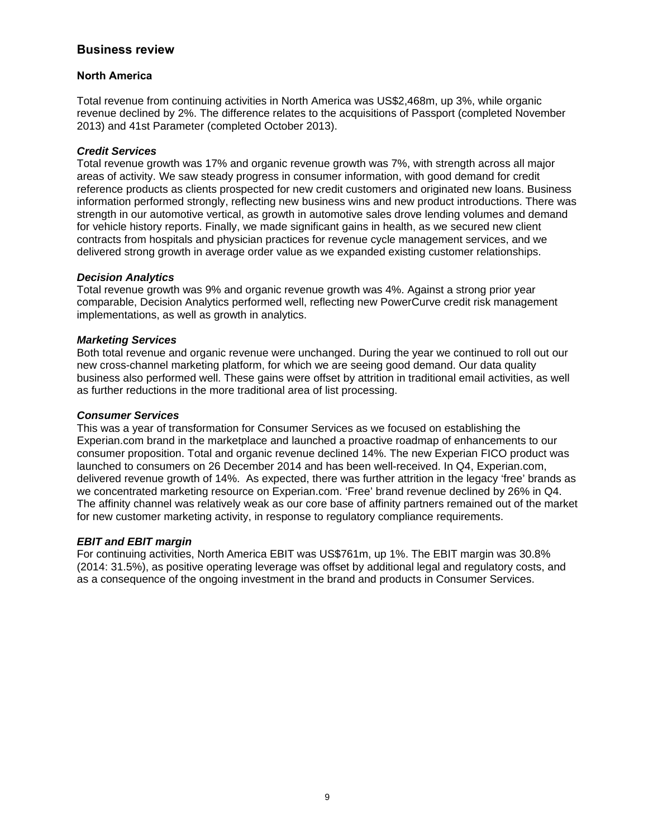# **Business review**

# **North America**

Total revenue from continuing activities in North America was US\$2,468m, up 3%, while organic revenue declined by 2%. The difference relates to the acquisitions of Passport (completed November 2013) and 41st Parameter (completed October 2013).

# *Credit Services*

Total revenue growth was 17% and organic revenue growth was 7%, with strength across all major areas of activity. We saw steady progress in consumer information, with good demand for credit reference products as clients prospected for new credit customers and originated new loans. Business information performed strongly, reflecting new business wins and new product introductions. There was strength in our automotive vertical, as growth in automotive sales drove lending volumes and demand for vehicle history reports. Finally, we made significant gains in health, as we secured new client contracts from hospitals and physician practices for revenue cycle management services, and we delivered strong growth in average order value as we expanded existing customer relationships.

# *Decision Analytics*

Total revenue growth was 9% and organic revenue growth was 4%. Against a strong prior year comparable, Decision Analytics performed well, reflecting new PowerCurve credit risk management implementations, as well as growth in analytics.

# *Marketing Services*

Both total revenue and organic revenue were unchanged. During the year we continued to roll out our new cross-channel marketing platform, for which we are seeing good demand. Our data quality business also performed well. These gains were offset by attrition in traditional email activities, as well as further reductions in the more traditional area of list processing.

# *Consumer Services*

This was a year of transformation for Consumer Services as we focused on establishing the Experian.com brand in the marketplace and launched a proactive roadmap of enhancements to our consumer proposition. Total and organic revenue declined 14%. The new Experian FICO product was launched to consumers on 26 December 2014 and has been well-received. In Q4, Experian.com, delivered revenue growth of 14%. As expected, there was further attrition in the legacy 'free' brands as we concentrated marketing resource on Experian.com. 'Free' brand revenue declined by 26% in Q4. The affinity channel was relatively weak as our core base of affinity partners remained out of the market for new customer marketing activity, in response to regulatory compliance requirements.

# *EBIT and EBIT margin*

For continuing activities, North America EBIT was US\$761m, up 1%. The EBIT margin was 30.8% (2014: 31.5%), as positive operating leverage was offset by additional legal and regulatory costs, and as a consequence of the ongoing investment in the brand and products in Consumer Services.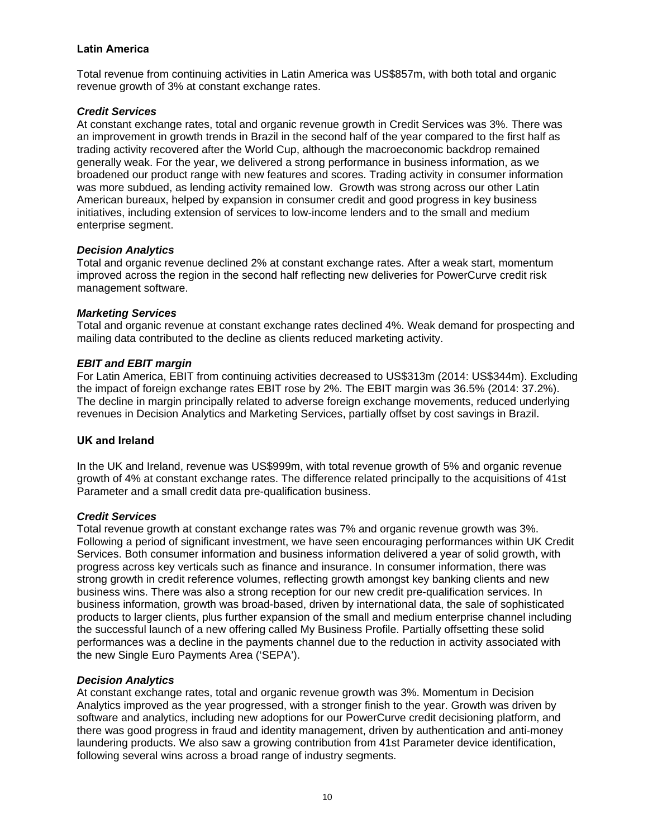# **Latin America**

Total revenue from continuing activities in Latin America was US\$857m, with both total and organic revenue growth of 3% at constant exchange rates.

# *Credit Services*

At constant exchange rates, total and organic revenue growth in Credit Services was 3%. There was an improvement in growth trends in Brazil in the second half of the year compared to the first half as trading activity recovered after the World Cup, although the macroeconomic backdrop remained generally weak. For the year, we delivered a strong performance in business information, as we broadened our product range with new features and scores. Trading activity in consumer information was more subdued, as lending activity remained low. Growth was strong across our other Latin American bureaux, helped by expansion in consumer credit and good progress in key business initiatives, including extension of services to low-income lenders and to the small and medium enterprise segment.

# *Decision Analytics*

Total and organic revenue declined 2% at constant exchange rates. After a weak start, momentum improved across the region in the second half reflecting new deliveries for PowerCurve credit risk management software.

# *Marketing Services*

Total and organic revenue at constant exchange rates declined 4%. Weak demand for prospecting and mailing data contributed to the decline as clients reduced marketing activity.

# *EBIT and EBIT margin*

For Latin America, EBIT from continuing activities decreased to US\$313m (2014: US\$344m). Excluding the impact of foreign exchange rates EBIT rose by 2%. The EBIT margin was 36.5% (2014: 37.2%). The decline in margin principally related to adverse foreign exchange movements, reduced underlying revenues in Decision Analytics and Marketing Services, partially offset by cost savings in Brazil.

# **UK and Ireland**

In the UK and Ireland, revenue was US\$999m, with total revenue growth of 5% and organic revenue growth of 4% at constant exchange rates. The difference related principally to the acquisitions of 41st Parameter and a small credit data pre-qualification business.

# *Credit Services*

Total revenue growth at constant exchange rates was 7% and organic revenue growth was 3%. Following a period of significant investment, we have seen encouraging performances within UK Credit Services. Both consumer information and business information delivered a year of solid growth, with progress across key verticals such as finance and insurance. In consumer information, there was strong growth in credit reference volumes, reflecting growth amongst key banking clients and new business wins. There was also a strong reception for our new credit pre-qualification services. In business information, growth was broad-based, driven by international data, the sale of sophisticated products to larger clients, plus further expansion of the small and medium enterprise channel including the successful launch of a new offering called My Business Profile. Partially offsetting these solid performances was a decline in the payments channel due to the reduction in activity associated with the new Single Euro Payments Area ('SEPA').

# *Decision Analytics*

At constant exchange rates, total and organic revenue growth was 3%. Momentum in Decision Analytics improved as the year progressed, with a stronger finish to the year. Growth was driven by software and analytics, including new adoptions for our PowerCurve credit decisioning platform, and there was good progress in fraud and identity management, driven by authentication and anti-money laundering products. We also saw a growing contribution from 41st Parameter device identification, following several wins across a broad range of industry segments.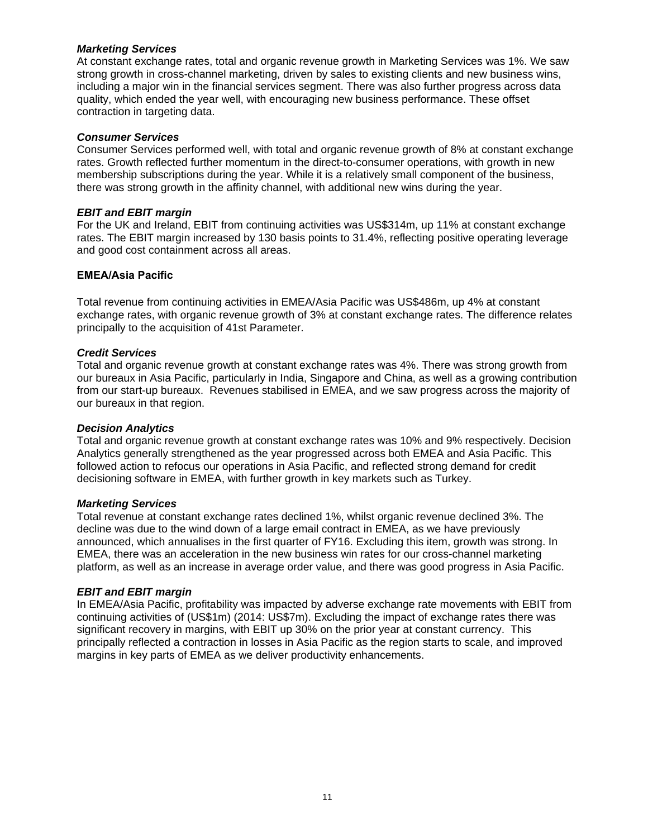# *Marketing Services*

At constant exchange rates, total and organic revenue growth in Marketing Services was 1%. We saw strong growth in cross-channel marketing, driven by sales to existing clients and new business wins, including a major win in the financial services segment. There was also further progress across data quality, which ended the year well, with encouraging new business performance. These offset contraction in targeting data.

# *Consumer Services*

Consumer Services performed well, with total and organic revenue growth of 8% at constant exchange rates. Growth reflected further momentum in the direct-to-consumer operations, with growth in new membership subscriptions during the year. While it is a relatively small component of the business, there was strong growth in the affinity channel, with additional new wins during the year.

# *EBIT and EBIT margin*

For the UK and Ireland, EBIT from continuing activities was US\$314m, up 11% at constant exchange rates. The EBIT margin increased by 130 basis points to 31.4%, reflecting positive operating leverage and good cost containment across all areas.

# **EMEA/Asia Pacific**

Total revenue from continuing activities in EMEA/Asia Pacific was US\$486m, up 4% at constant exchange rates, with organic revenue growth of 3% at constant exchange rates. The difference relates principally to the acquisition of 41st Parameter.

# *Credit Services*

Total and organic revenue growth at constant exchange rates was 4%. There was strong growth from our bureaux in Asia Pacific, particularly in India, Singapore and China, as well as a growing contribution from our start-up bureaux. Revenues stabilised in EMEA, and we saw progress across the majority of our bureaux in that region.

# *Decision Analytics*

Total and organic revenue growth at constant exchange rates was 10% and 9% respectively. Decision Analytics generally strengthened as the year progressed across both EMEA and Asia Pacific. This followed action to refocus our operations in Asia Pacific, and reflected strong demand for credit decisioning software in EMEA, with further growth in key markets such as Turkey.

# *Marketing Services*

Total revenue at constant exchange rates declined 1%, whilst organic revenue declined 3%. The decline was due to the wind down of a large email contract in EMEA, as we have previously announced, which annualises in the first quarter of FY16. Excluding this item, growth was strong. In EMEA, there was an acceleration in the new business win rates for our cross-channel marketing platform, as well as an increase in average order value, and there was good progress in Asia Pacific.

# *EBIT and EBIT margin*

In EMEA/Asia Pacific, profitability was impacted by adverse exchange rate movements with EBIT from continuing activities of (US\$1m) (2014: US\$7m). Excluding the impact of exchange rates there was significant recovery in margins, with EBIT up 30% on the prior year at constant currency. This principally reflected a contraction in losses in Asia Pacific as the region starts to scale, and improved margins in key parts of EMEA as we deliver productivity enhancements.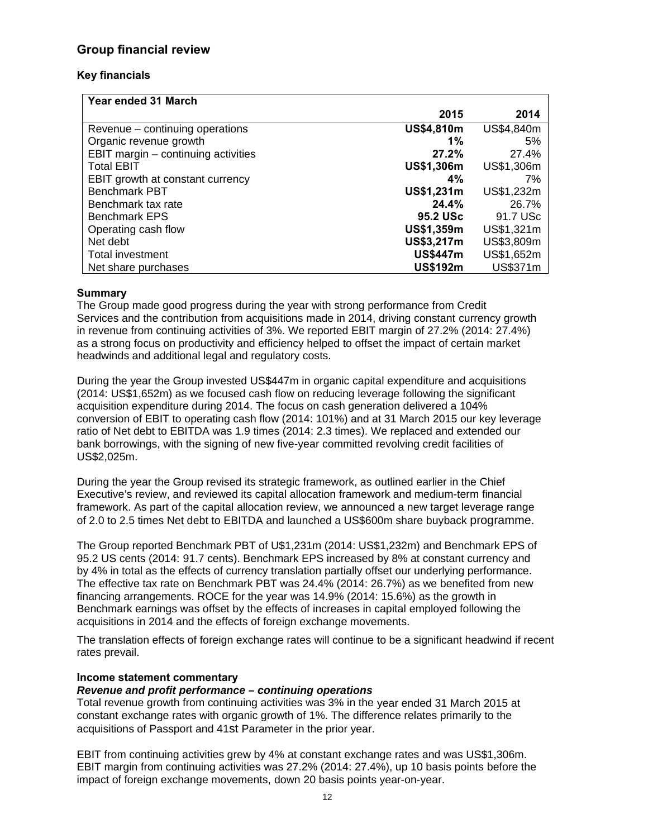# **Group financial review**

# **Key financials**

| <b>Year ended 31 March</b>          |                   |            |
|-------------------------------------|-------------------|------------|
|                                     | 2015              | 2014       |
| Revenue - continuing operations     | <b>US\$4,810m</b> | US\$4,840m |
| Organic revenue growth              | 1%                | 5%         |
| EBIT margin - continuing activities | 27.2%             | 27.4%      |
| <b>Total EBIT</b>                   | US\$1,306m        | US\$1,306m |
| EBIT growth at constant currency    | 4%                | 7%         |
| <b>Benchmark PBT</b>                | US\$1,231m        | US\$1,232m |
| Benchmark tax rate                  | 24.4%             | 26.7%      |
| <b>Benchmark EPS</b>                | 95.2 USc          | 91.7 USc   |
| Operating cash flow                 | US\$1,359m        | US\$1,321m |
| Net debt                            | US\$3,217m        | US\$3,809m |
| <b>Total investment</b>             | <b>US\$447m</b>   | US\$1,652m |
| Net share purchases                 | <b>US\$192m</b>   | US\$371m   |

# **Summary**

The Group made good progress during the year with strong performance from Credit Services and the contribution from acquisitions made in 2014, driving constant currency growth in revenue from continuing activities of 3%. We reported EBIT margin of 27.2% (2014: 27.4%) as a strong focus on productivity and efficiency helped to offset the impact of certain market headwinds and additional legal and regulatory costs.

During the year the Group invested US\$447m in organic capital expenditure and acquisitions (2014: US\$1,652m) as we focused cash flow on reducing leverage following the significant acquisition expenditure during 2014. The focus on cash generation delivered a 104% conversion of EBIT to operating cash flow (2014: 101%) and at 31 March 2015 our key leverage ratio of Net debt to EBITDA was 1.9 times (2014: 2.3 times). We replaced and extended our bank borrowings, with the signing of new five-year committed revolving credit facilities of US\$2,025m.

During the year the Group revised its strategic framework, as outlined earlier in the Chief Executive's review, and reviewed its capital allocation framework and medium-term financial framework. As part of the capital allocation review, we announced a new target leverage range of 2.0 to 2.5 times Net debt to EBITDA and launched a US\$600m share buyback programme.

The Group reported Benchmark PBT of U\$1,231m (2014: US\$1,232m) and Benchmark EPS of 95.2 US cents (2014: 91.7 cents). Benchmark EPS increased by 8% at constant currency and by 4% in total as the effects of currency translation partially offset our underlying performance. The effective tax rate on Benchmark PBT was 24.4% (2014: 26.7%) as we benefited from new financing arrangements. ROCE for the year was 14.9% (2014: 15.6%) as the growth in Benchmark earnings was offset by the effects of increases in capital employed following the acquisitions in 2014 and the effects of foreign exchange movements.

The translation effects of foreign exchange rates will continue to be a significant headwind if recent rates prevail.

# **Income statement commentary**

# *Revenue and profit performance – continuing operations*

Total revenue growth from continuing activities was 3% in the year ended 31 March 2015 at constant exchange rates with organic growth of 1%. The difference relates primarily to the acquisitions of Passport and 41st Parameter in the prior year.

EBIT from continuing activities grew by 4% at constant exchange rates and was US\$1,306m. EBIT margin from continuing activities was 27.2% (2014: 27.4%), up 10 basis points before the impact of foreign exchange movements, down 20 basis points year-on-year.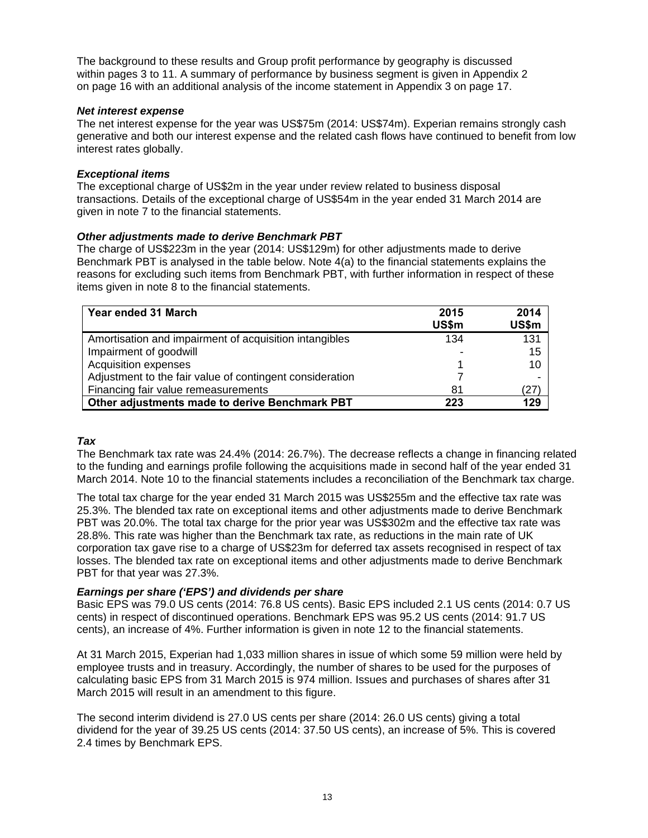The background to these results and Group profit performance by geography is discussed within pages 3 to 11. A summary of performance by business segment is given in Appendix 2 on page 16 with an additional analysis of the income statement in Appendix 3 on page 17.

# *Net interest expense*

The net interest expense for the year was US\$75m (2014: US\$74m). Experian remains strongly cash generative and both our interest expense and the related cash flows have continued to benefit from low interest rates globally.

# *Exceptional items*

The exceptional charge of US\$2m in the year under review related to business disposal transactions. Details of the exceptional charge of US\$54m in the year ended 31 March 2014 are given in note 7 to the financial statements.

# *Other adjustments made to derive Benchmark PBT*

The charge of US\$223m in the year (2014: US\$129m) for other adjustments made to derive Benchmark PBT is analysed in the table below. Note 4(a) to the financial statements explains the reasons for excluding such items from Benchmark PBT, with further information in respect of these items given in note 8 to the financial statements.

| Year ended 31 March                                      | 2015<br>US\$m | 2014<br>US\$m |
|----------------------------------------------------------|---------------|---------------|
| Amortisation and impairment of acquisition intangibles   | 134           | 131           |
| Impairment of goodwill                                   |               | 15            |
| Acquisition expenses                                     |               | 10            |
| Adjustment to the fair value of contingent consideration |               |               |
| Financing fair value remeasurements                      | 81            | (27)          |
| Other adjustments made to derive Benchmark PBT           | 223           | 129           |

# *Tax*

The Benchmark tax rate was 24.4% (2014: 26.7%). The decrease reflects a change in financing related to the funding and earnings profile following the acquisitions made in second half of the year ended 31 March 2014. Note 10 to the financial statements includes a reconciliation of the Benchmark tax charge.

The total tax charge for the year ended 31 March 2015 was US\$255m and the effective tax rate was 25.3%. The blended tax rate on exceptional items and other adjustments made to derive Benchmark PBT was 20.0%. The total tax charge for the prior year was US\$302m and the effective tax rate was 28.8%. This rate was higher than the Benchmark tax rate, as reductions in the main rate of UK corporation tax gave rise to a charge of US\$23m for deferred tax assets recognised in respect of tax losses. The blended tax rate on exceptional items and other adjustments made to derive Benchmark PBT for that year was 27.3%.

# *Earnings per share ('EPS') and dividends per share*

Basic EPS was 79.0 US cents (2014: 76.8 US cents). Basic EPS included 2.1 US cents (2014: 0.7 US cents) in respect of discontinued operations. Benchmark EPS was 95.2 US cents (2014: 91.7 US cents), an increase of 4%. Further information is given in note 12 to the financial statements.

At 31 March 2015, Experian had 1,033 million shares in issue of which some 59 million were held by employee trusts and in treasury. Accordingly, the number of shares to be used for the purposes of calculating basic EPS from 31 March 2015 is 974 million. Issues and purchases of shares after 31 March 2015 will result in an amendment to this figure.

The second interim dividend is 27.0 US cents per share (2014: 26.0 US cents) giving a total dividend for the year of 39.25 US cents (2014: 37.50 US cents), an increase of 5%. This is covered 2.4 times by Benchmark EPS.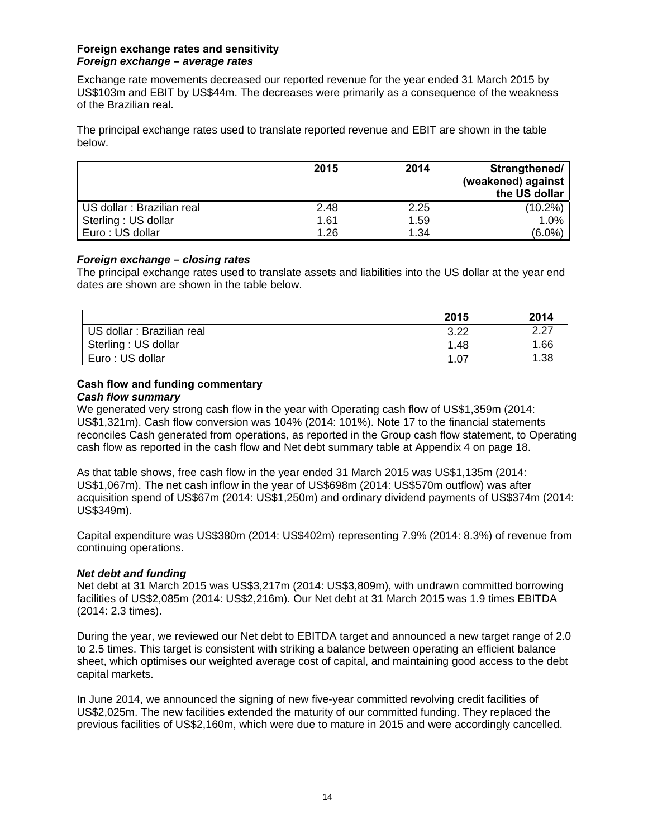# **Foreign exchange rates and sensitivity**  *Foreign exchange – average rates*

Exchange rate movements decreased our reported revenue for the year ended 31 March 2015 by US\$103m and EBIT by US\$44m. The decreases were primarily as a consequence of the weakness of the Brazilian real.

The principal exchange rates used to translate reported revenue and EBIT are shown in the table below.

|                            | 2015 | 2014 | Strengthened/<br>(weakened) against<br>the US dollar |
|----------------------------|------|------|------------------------------------------------------|
| US dollar : Brazilian real | 2.48 | 2.25 | $(10.2\%)$                                           |
| Sterling: US dollar        | 1.61 | 1.59 | 1.0%                                                 |
| Euro: US dollar            | 1.26 | 1.34 | $(6.0\%)$                                            |

# *Foreign exchange – closing rates*

The principal exchange rates used to translate assets and liabilities into the US dollar at the year end dates are shown are shown in the table below.

|                            | 2015 | 2014 |
|----------------------------|------|------|
| US dollar : Brazilian real | 3.22 | 2.27 |
| Sterling : US dollar       | 1.48 | 1.66 |
| Euro: US dollar            | 1.07 | 1.38 |

# **Cash flow and funding commentary**

# *Cash flow summary*

We generated very strong cash flow in the year with Operating cash flow of US\$1,359m (2014: US\$1,321m). Cash flow conversion was 104% (2014: 101%). Note 17 to the financial statements reconciles Cash generated from operations, as reported in the Group cash flow statement, to Operating cash flow as reported in the cash flow and Net debt summary table at Appendix 4 on page 18.

As that table shows, free cash flow in the year ended 31 March 2015 was US\$1,135m (2014: US\$1,067m). The net cash inflow in the year of US\$698m (2014: US\$570m outflow) was after acquisition spend of US\$67m (2014: US\$1,250m) and ordinary dividend payments of US\$374m (2014: US\$349m).

Capital expenditure was US\$380m (2014: US\$402m) representing 7.9% (2014: 8.3%) of revenue from continuing operations.

# *Net debt and funding*

Net debt at 31 March 2015 was US\$3,217m (2014: US\$3,809m), with undrawn committed borrowing facilities of US\$2,085m (2014: US\$2,216m). Our Net debt at 31 March 2015 was 1.9 times EBITDA (2014: 2.3 times).

During the year, we reviewed our Net debt to EBITDA target and announced a new target range of 2.0 to 2.5 times. This target is consistent with striking a balance between operating an efficient balance sheet, which optimises our weighted average cost of capital, and maintaining good access to the debt capital markets.

In June 2014, we announced the signing of new five-year committed revolving credit facilities of US\$2,025m. The new facilities extended the maturity of our committed funding. They replaced the previous facilities of US\$2,160m, which were due to mature in 2015 and were accordingly cancelled.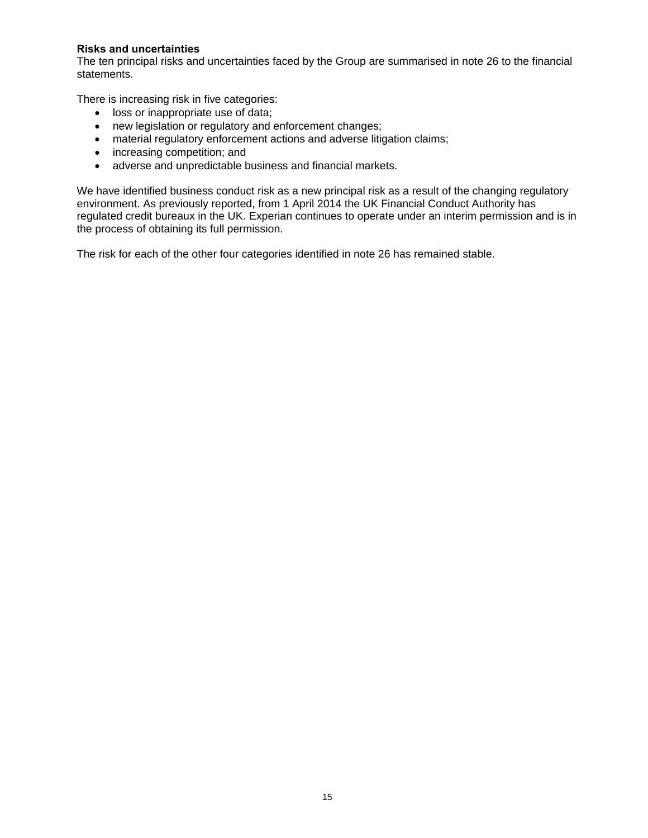# **Risks and uncertainties**

The ten principal risks and uncertainties faced by the Group are summarised in note 26 to the financial statements.

There is increasing risk in five categories:

- loss or inappropriate use of data;
- new legislation or regulatory and enforcement changes;
- material regulatory enforcement actions and adverse litigation claims;
- increasing competition; and
- adverse and unpredictable business and financial markets.

We have identified business conduct risk as a new principal risk as a result of the changing regulatory environment. As previously reported, from 1 April 2014 the UK Financial Conduct Authority has regulated credit bureaux in the UK. Experian continues to operate under an interim permission and is in the process of obtaining its full permission.

The risk for each of the other four categories identified in note 26 has remained stable.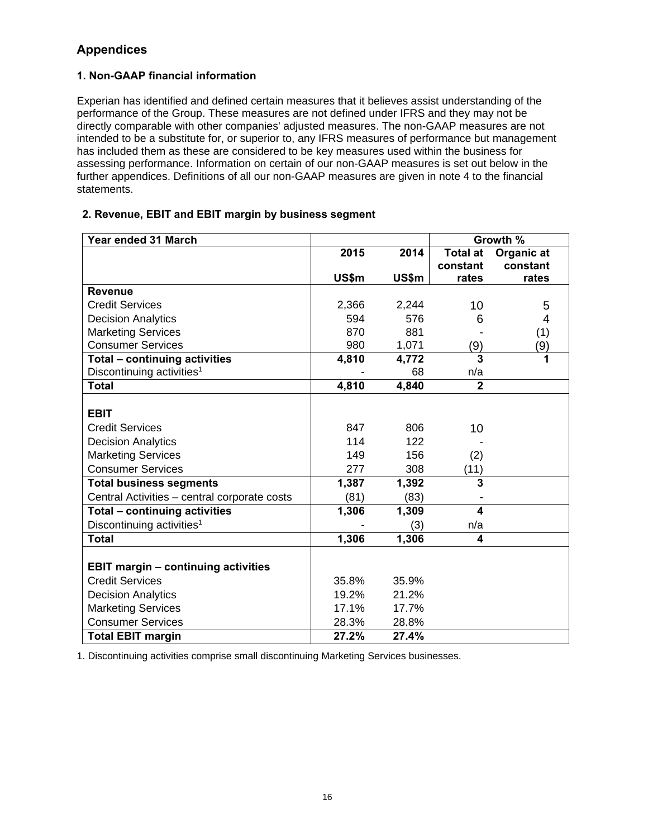# **Appendices**

# **1. Non-GAAP financial information**

Experian has identified and defined certain measures that it believes assist understanding of the performance of the Group. These measures are not defined under IFRS and they may not be directly comparable with other companies' adjusted measures. The non-GAAP measures are not intended to be a substitute for, or superior to, any IFRS measures of performance but management has included them as these are considered to be key measures used within the business for assessing performance. Information on certain of our non-GAAP measures is set out below in the further appendices. Definitions of all our non-GAAP measures are given in note 4 to the financial statements.

# **2. Revenue, EBIT and EBIT margin by business segment**

| Year ended 31 March                          |       |       |                         | Growth %   |
|----------------------------------------------|-------|-------|-------------------------|------------|
|                                              | 2015  | 2014  | <b>Total at</b>         | Organic at |
|                                              |       |       | constant                | constant   |
|                                              | US\$m | US\$m | rates                   | rates      |
| <b>Revenue</b>                               |       |       |                         |            |
| <b>Credit Services</b>                       | 2,366 | 2,244 | 10                      | 5          |
| <b>Decision Analytics</b>                    | 594   | 576   | 6                       | 4          |
| <b>Marketing Services</b>                    | 870   | 881   |                         | (1)        |
| <b>Consumer Services</b>                     | 980   | 1,071 | (9)                     | (9)        |
| Total - continuing activities                | 4,810 | 4,772 | $\overline{3}$          | 1          |
| Discontinuing activities <sup>1</sup>        |       | 68    | n/a                     |            |
| <b>Total</b>                                 | 4,810 | 4,840 | $\overline{2}$          |            |
|                                              |       |       |                         |            |
| <b>EBIT</b>                                  |       |       |                         |            |
| <b>Credit Services</b>                       | 847   | 806   | 10                      |            |
| <b>Decision Analytics</b>                    | 114   | 122   |                         |            |
| <b>Marketing Services</b>                    | 149   | 156   | (2)                     |            |
| <b>Consumer Services</b>                     | 277   | 308   | (11)                    |            |
| <b>Total business segments</b>               | 1,387 | 1,392 | 3                       |            |
| Central Activities - central corporate costs | (81)  | (83)  |                         |            |
| Total - continuing activities                | 1,306 | 1,309 | $\overline{\mathbf{4}}$ |            |
| Discontinuing activities <sup>1</sup>        |       | (3)   | n/a                     |            |
| <b>Total</b>                                 | 1,306 | 1,306 | 4                       |            |
|                                              |       |       |                         |            |
| <b>EBIT margin - continuing activities</b>   |       |       |                         |            |
| <b>Credit Services</b>                       | 35.8% | 35.9% |                         |            |
| <b>Decision Analytics</b>                    | 19.2% | 21.2% |                         |            |
| <b>Marketing Services</b>                    | 17.1% | 17.7% |                         |            |
| <b>Consumer Services</b>                     | 28.3% | 28.8% |                         |            |
| <b>Total EBIT margin</b>                     | 27.2% | 27.4% |                         |            |

1. Discontinuing activities comprise small discontinuing Marketing Services businesses.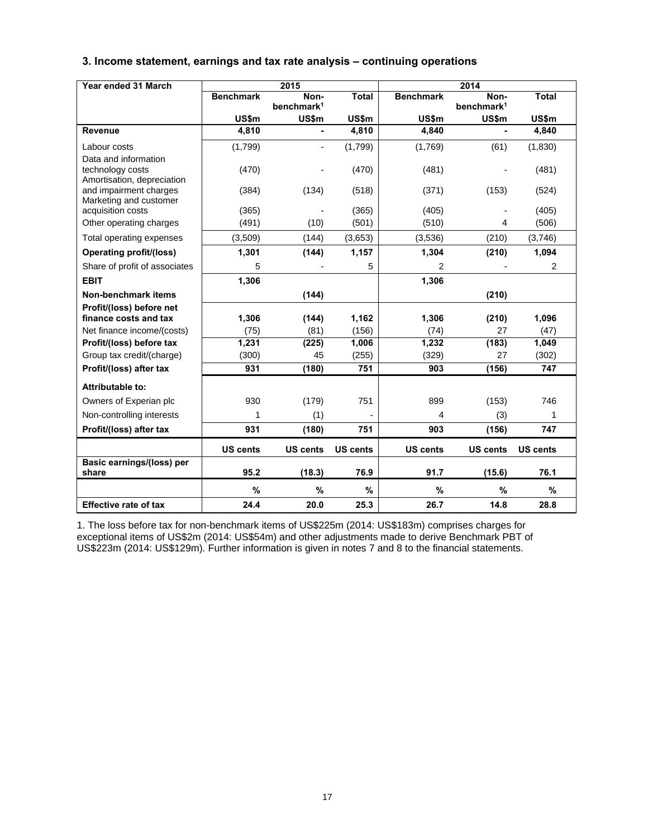# **3. Income statement, earnings and tax rate analysis – continuing operations**

| Year ended 31 March                                                    |                  | 2015                           |                 |                  | 2014                           |                 |
|------------------------------------------------------------------------|------------------|--------------------------------|-----------------|------------------|--------------------------------|-----------------|
|                                                                        | <b>Benchmark</b> | Non-<br>benchmark <sup>1</sup> | <b>Total</b>    | <b>Benchmark</b> | Non-<br>benchmark <sup>1</sup> | <b>Total</b>    |
|                                                                        | <b>US\$m</b>     | <b>US\$m</b>                   | US\$m           | US\$m            | <b>US\$m</b>                   | US\$m           |
| <b>Revenue</b>                                                         | 4,810            |                                | 4,810           | 4,840            |                                | 4,840           |
| Labour costs                                                           | (1,799)          |                                | (1,799)         | (1,769)          | (61)                           | (1,830)         |
| Data and information<br>technology costs<br>Amortisation, depreciation | (470)            |                                | (470)           | (481)            |                                | (481)           |
| and impairment charges<br>Marketing and customer                       | (384)            | (134)                          | (518)           | (371)            | (153)                          | (524)           |
| acquisition costs                                                      | (365)            |                                | (365)           | (405)            |                                | (405)           |
| Other operating charges                                                | (491)            | (10)                           | (501)           | (510)            | 4                              | (506)           |
| Total operating expenses                                               | (3,509)          | (144)                          | (3,653)         | (3,536)          | (210)                          | (3,746)         |
| <b>Operating profit/(loss)</b>                                         | 1,301            | (144)                          | 1,157           | 1,304            | (210)                          | 1,094           |
| Share of profit of associates                                          | 5                |                                | 5               | 2                |                                | 2               |
| <b>EBIT</b>                                                            | 1,306            |                                |                 | 1,306            |                                |                 |
| Non-benchmark items                                                    |                  | (144)                          |                 |                  | (210)                          |                 |
| Profit/(loss) before net                                               |                  |                                |                 |                  |                                |                 |
| finance costs and tax                                                  | 1,306            | (144)                          | 1,162           | 1,306            | (210)                          | 1,096           |
| Net finance income/(costs)                                             | (75)             | (81)                           | (156)           | (74)             | 27                             | (47)            |
| Profit/(loss) before tax                                               | 1,231            | (225)                          | 1,006           | 1,232            | (183)                          | 1,049           |
| Group tax credit/(charge)                                              | (300)            | 45                             | (255)           | (329)            | 27                             | (302)           |
| Profit/(loss) after tax                                                | 931              | (180)                          | 751             | 903              | (156)                          | 747             |
| Attributable to:                                                       |                  |                                |                 |                  |                                |                 |
| Owners of Experian plc                                                 | 930              | (179)                          | 751             | 899              | (153)                          | 746             |
| Non-controlling interests                                              | 1                | (1)                            |                 | 4                | (3)                            | 1               |
| Profit/(loss) after tax                                                | 931              | (180)                          | 751             | 903              | (156)                          | 747             |
|                                                                        | <b>US cents</b>  | <b>US cents</b>                | <b>US cents</b> | <b>US cents</b>  | <b>US cents</b>                | <b>US cents</b> |
| Basic earnings/(loss) per<br>share                                     | 95.2             | (18.3)                         | 76.9            | 91.7             | (15.6)                         | 76.1            |
|                                                                        | %                | %                              | %               | %                | %                              | %               |
| <b>Effective rate of tax</b>                                           | 24.4             | 20.0                           | 25.3            | 26.7             | 14.8                           | 28.8            |

1. The loss before tax for non-benchmark items of US\$225m (2014: US\$183m) comprises charges for exceptional items of US\$2m (2014: US\$54m) and other adjustments made to derive Benchmark PBT of US\$223m (2014: US\$129m). Further information is given in notes 7 and 8 to the financial statements.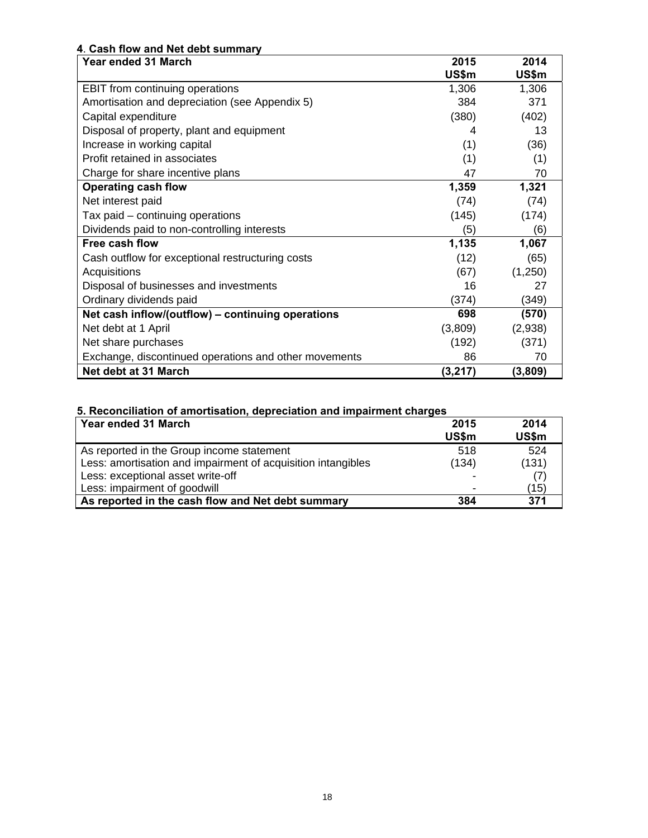# **4**. **Cash flow and Net debt summary**

| Year ended 31 March                                   | 2015     | 2014    |
|-------------------------------------------------------|----------|---------|
|                                                       | US\$m    | US\$m   |
| EBIT from continuing operations                       | 1,306    | 1,306   |
| Amortisation and depreciation (see Appendix 5)        | 384      | 371     |
| Capital expenditure                                   | (380)    | (402)   |
| Disposal of property, plant and equipment             | 4        | 13      |
| Increase in working capital                           | (1)      | (36)    |
| Profit retained in associates                         | (1)      | (1)     |
| Charge for share incentive plans                      | 47       | 70      |
| <b>Operating cash flow</b>                            | 1,359    | 1,321   |
| Net interest paid                                     | (74)     | (74)    |
| Tax paid – continuing operations                      | (145)    | (174)   |
| Dividends paid to non-controlling interests           | (5)      | (6)     |
| Free cash flow                                        | 1,135    | 1,067   |
| Cash outflow for exceptional restructuring costs      | (12)     | (65)    |
| Acquisitions                                          | (67)     | (1,250) |
| Disposal of businesses and investments                | 16       | 27      |
| Ordinary dividends paid                               | (374)    | (349)   |
| Net cash inflow/(outflow) - continuing operations     | 698      | (570)   |
| Net debt at 1 April                                   | (3,809)  | (2,938) |
| Net share purchases                                   | (192)    | (371)   |
| Exchange, discontinued operations and other movements | 86       | 70      |
| Net debt at 31 March                                  | (3, 217) | (3,809) |

# **5. Reconciliation of amortisation, depreciation and impairment charges**

| Year ended 31 March                                          | 2015                     | 2014  |
|--------------------------------------------------------------|--------------------------|-------|
|                                                              | US\$m                    | US\$m |
| As reported in the Group income statement                    | 518                      | 524   |
| Less: amortisation and impairment of acquisition intangibles | (134)                    | (131) |
| Less: exceptional asset write-off                            |                          |       |
| Less: impairment of goodwill                                 | $\overline{\phantom{0}}$ | (15)  |
| As reported in the cash flow and Net debt summary            | 384                      | 371   |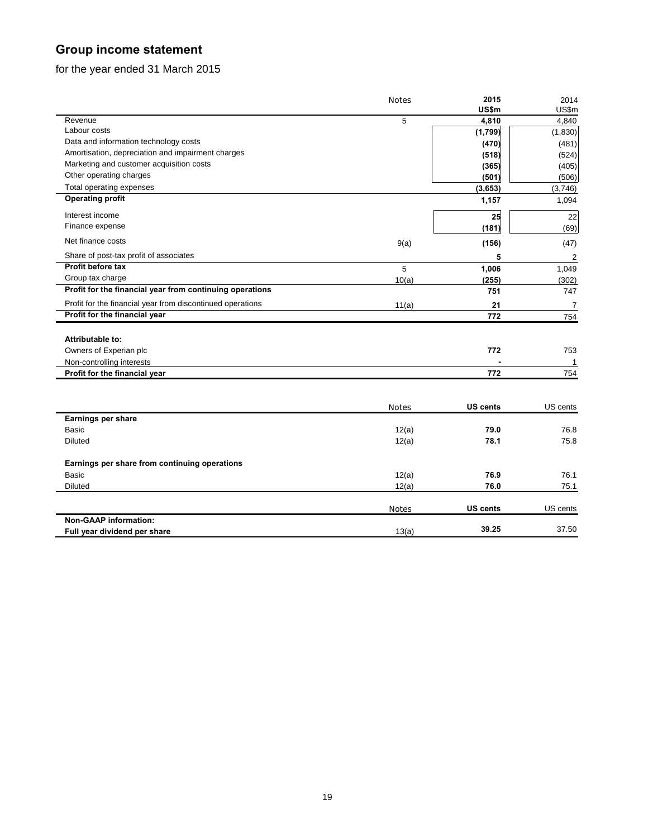# **Group income statement**

for the year ended 31 March 2015

|                                                            | <b>Notes</b> | 2015            | 2014           |
|------------------------------------------------------------|--------------|-----------------|----------------|
|                                                            |              | US\$m           | US\$m          |
| Revenue                                                    | 5            | 4,810           | 4,840          |
| Labour costs                                               |              | (1,799)         | (1,830)        |
| Data and information technology costs                      |              | (470)           | (481)          |
| Amortisation, depreciation and impairment charges          |              | (518)           | (524)          |
| Marketing and customer acquisition costs                   |              | (365)           | (405)          |
| Other operating charges                                    |              | (501)           | (506)          |
| Total operating expenses                                   |              | (3,653)         | (3,746)        |
| <b>Operating profit</b>                                    |              | 1,157           | 1,094          |
| Interest income                                            |              | 25              | 22             |
| Finance expense                                            |              | (181)           | (69)           |
| Net finance costs                                          | 9(a)         | (156)           | (47)           |
| Share of post-tax profit of associates                     |              | 5               | $\overline{2}$ |
| Profit before tax                                          | 5            | 1,006           | 1,049          |
| Group tax charge                                           | 10(a)        | (255)           | (302)          |
| Profit for the financial year from continuing operations   |              | 751             | 747            |
| Profit for the financial year from discontinued operations | 11(a)        | 21              | 7              |
| Profit for the financial year                              |              | 772             | 754            |
|                                                            |              |                 |                |
| Attributable to:                                           |              |                 |                |
| Owners of Experian plc                                     |              | 772             | 753            |
| Non-controlling interests                                  |              |                 | -1             |
| Profit for the financial year                              |              | 772             | 754            |
|                                                            |              |                 |                |
|                                                            | Notes        | <b>US cents</b> | US cents       |
| Earnings per share                                         |              |                 |                |
| <b>Basic</b>                                               | 12(a)        | 79.0            | 76.8           |
| Diluted                                                    | 12(a)        | 78.1            | 75.8           |
| Earnings per share from continuing operations              |              |                 |                |
| <b>Basic</b>                                               | 12(a)        | 76.9            | 76.1           |
| <b>Diluted</b>                                             | 12(a)        | 76.0            | 75.1           |
|                                                            | <b>Notes</b> | <b>US cents</b> | US cents       |
| <b>Non-GAAP information:</b>                               |              |                 |                |
| Full year dividend per share                               | 13(a)        | 39.25           | 37.50          |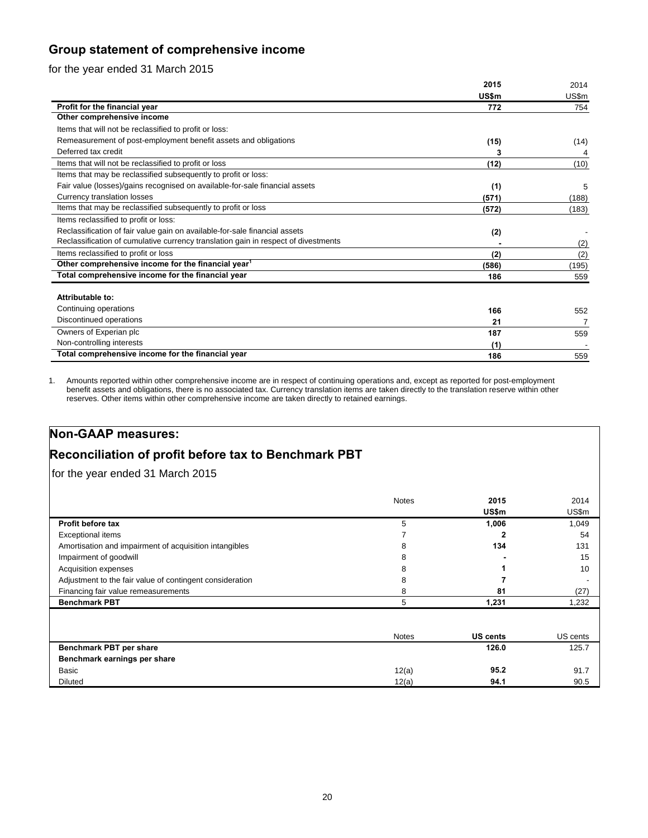# **Group statement of comprehensive income**

# for the year ended 31 March 2015

|                                                                                    | 2015  | 2014  |
|------------------------------------------------------------------------------------|-------|-------|
|                                                                                    | US\$m | US\$m |
| Profit for the financial year                                                      | 772   | 754   |
| Other comprehensive income                                                         |       |       |
| Items that will not be reclassified to profit or loss:                             |       |       |
| Remeasurement of post-employment benefit assets and obligations                    | (15)  | (14)  |
| Deferred tax credit                                                                | 3     |       |
| Items that will not be reclassified to profit or loss                              | (12)  | (10)  |
| Items that may be reclassified subsequently to profit or loss:                     |       |       |
| Fair value (losses)/gains recognised on available-for-sale financial assets        | (1)   | 5     |
| Currency translation losses                                                        | (571) | (188) |
| Items that may be reclassified subsequently to profit or loss                      | (572) | (183) |
| Items reclassified to profit or loss:                                              |       |       |
| Reclassification of fair value gain on available-for-sale financial assets         | (2)   |       |
| Reclassification of cumulative currency translation gain in respect of divestments |       | (2)   |
| Items reclassified to profit or loss                                               | (2)   | (2)   |
| Other comprehensive income for the financial year <sup>1</sup>                     | (586) | (195) |
| Total comprehensive income for the financial year                                  | 186   | 559   |
|                                                                                    |       |       |
| Attributable to:                                                                   |       |       |
| Continuing operations                                                              | 166   | 552   |
| Discontinued operations                                                            | 21    |       |
| Owners of Experian plc                                                             | 187   | 559   |
| Non-controlling interests                                                          | (1)   |       |
| Total comprehensive income for the financial year                                  | 186   | 559   |

1. Amounts reported within other comprehensive income are in respect of continuing operations and, except as reported for post-employment benefit assets and obligations, there is no associated tax. Currency translation items are taken directly to the translation reserve within other reserves. Other items within other comprehensive income are taken directly to retained earnings.

# **Non-GAAP measures:**

# **Reconciliation of profit before tax to Benchmark PBT**

for the year ended 31 March 2015

|                                                          | <b>Notes</b> | 2015            | 2014     |
|----------------------------------------------------------|--------------|-----------------|----------|
|                                                          |              | US\$m           | US\$m    |
| Profit before tax                                        | 5            | 1,006           | 1,049    |
| Exceptional items                                        |              |                 | 54       |
| Amortisation and impairment of acquisition intangibles   | 8            | 134             | 131      |
| Impairment of goodwill                                   | 8            |                 | 15       |
| Acquisition expenses                                     | 8            |                 | 10       |
| Adjustment to the fair value of contingent consideration | 8            |                 |          |
| Financing fair value remeasurements                      | 8            | 81              | (27)     |
| <b>Benchmark PBT</b>                                     | 5            | 1,231           | 1,232    |
|                                                          |              |                 |          |
|                                                          | <b>Notes</b> | <b>US cents</b> | US cents |
| Benchmark PBT per share                                  |              | 126.0           | 125.7    |
| Benchmark earnings per share                             |              |                 |          |
| Basic                                                    | 12(a)        | 95.2            | 91.7     |
| <b>Diluted</b>                                           | 12(a)        | 94.1            | 90.5     |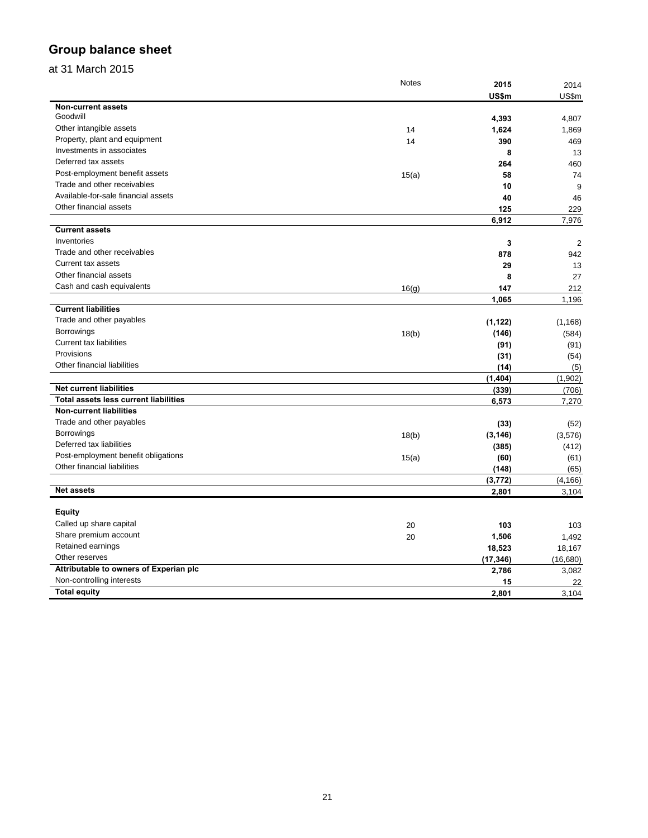# **Group balance sheet**

# at 31 March 2015

|                                        | <b>Notes</b> | 2015      | 2014           |
|----------------------------------------|--------------|-----------|----------------|
|                                        |              | US\$m     | US\$m          |
| Non-current assets                     |              |           |                |
| Goodwill                               |              | 4,393     | 4,807          |
| Other intangible assets                | 14           | 1,624     | 1,869          |
| Property, plant and equipment          | 14           | 390       | 469            |
| Investments in associates              |              | 8         | 13             |
| Deferred tax assets                    |              | 264       | 460            |
| Post-employment benefit assets         | 15(a)        | 58        | 74             |
| Trade and other receivables            |              | 10        | 9              |
| Available-for-sale financial assets    |              | 40        | 46             |
| Other financial assets                 |              | 125       | 229            |
|                                        |              | 6,912     | 7,976          |
| <b>Current assets</b>                  |              |           |                |
| Inventories                            |              | 3         | $\overline{2}$ |
| Trade and other receivables            |              | 878       | 942            |
| Current tax assets                     |              | 29        | 13             |
| Other financial assets                 |              | 8         | 27             |
| Cash and cash equivalents              | 16(g)        | 147       | 212            |
|                                        |              | 1,065     | 1,196          |
| <b>Current liabilities</b>             |              |           |                |
| Trade and other payables               |              | (1, 122)  | (1, 168)       |
| <b>Borrowings</b>                      | 18(b)        | (146)     | (584)          |
| <b>Current tax liabilities</b>         |              | (91)      | (91)           |
| Provisions                             |              | (31)      | (54)           |
| Other financial liabilities            |              | (14)      | (5)            |
|                                        |              | (1,404)   | (1,902)        |
| <b>Net current liabilities</b>         |              | (339)     | (706)          |
| Total assets less current liabilities  |              | 6,573     | 7,270          |
| <b>Non-current liabilities</b>         |              |           |                |
| Trade and other payables               |              | (33)      | (52)           |
| <b>Borrowings</b>                      | 18(b)        | (3, 146)  | (3,576)        |
| Deferred tax liabilities               |              | (385)     | (412)          |
| Post-employment benefit obligations    | 15(a)        | (60)      | (61)           |
| Other financial liabilities            |              | (148)     | (65)           |
|                                        |              | (3, 772)  | (4, 166)       |
| <b>Net assets</b>                      |              | 2,801     | 3,104          |
|                                        |              |           |                |
| Equity                                 |              |           |                |
| Called up share capital                | 20           | 103       | 103            |
| Share premium account                  | 20           | 1,506     | 1,492          |
| Retained earnings                      |              | 18,523    | 18,167         |
| Other reserves                         |              |           |                |
| Attributable to owners of Experian plc |              | (17, 346) | (16,680)       |
| Non-controlling interests              |              | 2,786     | 3,082          |
| <b>Total equity</b>                    |              | 15        | 22             |
|                                        |              | 2.801     | 3.104          |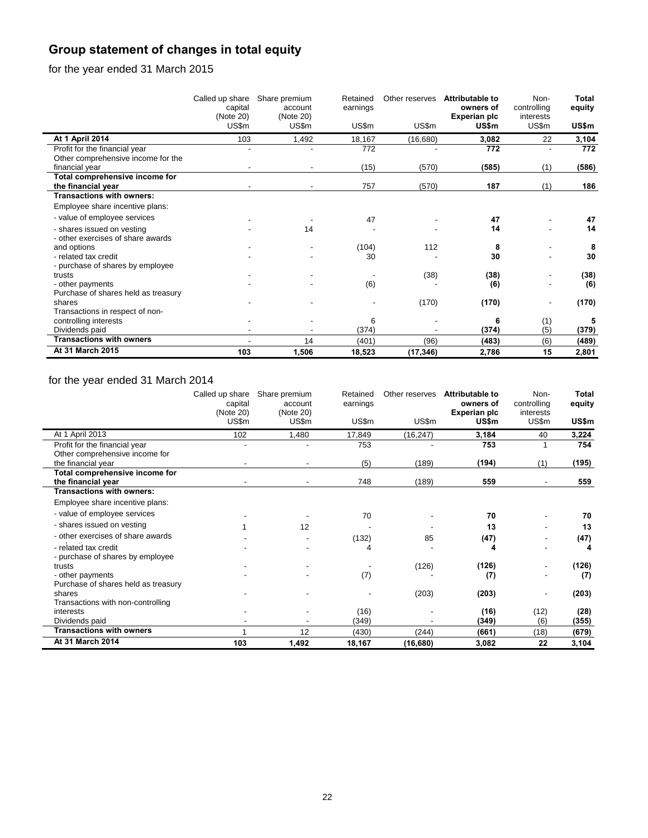# **Group statement of changes in total equity**

for the year ended 31 March 2015

|                                     | Called up share<br>capital<br>(Note 20)<br>US\$m | Share premium<br>account<br>(Note 20)<br>US\$m | Retained<br>earnings<br>US\$m | Other reserves<br>US\$m | <b>Attributable to</b><br>owners of<br>Experian plc<br>US\$m | Non-<br>controlling<br>interests<br>US\$m | Total<br>equity<br>US\$m |
|-------------------------------------|--------------------------------------------------|------------------------------------------------|-------------------------------|-------------------------|--------------------------------------------------------------|-------------------------------------------|--------------------------|
| At 1 April 2014                     | 103                                              | 1,492                                          | 18,167                        | (16,680)                | 3,082                                                        | 22                                        | 3,104                    |
| Profit for the financial year       |                                                  |                                                | 772                           |                         | 772                                                          |                                           | 772                      |
| Other comprehensive income for the  |                                                  |                                                |                               |                         |                                                              |                                           |                          |
| financial year                      |                                                  |                                                | (15)                          | (570)                   | (585)                                                        | (1)                                       | (586)                    |
| Total comprehensive income for      |                                                  |                                                |                               |                         |                                                              |                                           |                          |
| the financial year                  |                                                  |                                                | 757                           | (570)                   | 187                                                          | (1)                                       | 186                      |
| <b>Transactions with owners:</b>    |                                                  |                                                |                               |                         |                                                              |                                           |                          |
| Employee share incentive plans:     |                                                  |                                                |                               |                         |                                                              |                                           |                          |
| - value of employee services        |                                                  |                                                | 47                            |                         | 47                                                           |                                           | 47                       |
| - shares issued on vesting          |                                                  | 14                                             |                               |                         | 14                                                           |                                           | 14                       |
| - other exercises of share awards   |                                                  |                                                |                               |                         |                                                              |                                           |                          |
| and options                         |                                                  |                                                | (104)                         | 112                     | 8                                                            |                                           | 8                        |
| - related tax credit                |                                                  |                                                | 30                            |                         | 30                                                           |                                           | 30                       |
| - purchase of shares by employee    |                                                  |                                                |                               |                         |                                                              |                                           |                          |
| trusts                              |                                                  |                                                |                               | (38)                    | (38)                                                         |                                           | (38)                     |
| - other payments                    |                                                  |                                                | (6)                           |                         | (6)                                                          |                                           | (6)                      |
| Purchase of shares held as treasury |                                                  |                                                |                               |                         |                                                              |                                           |                          |
| shares                              |                                                  |                                                |                               | (170)                   | (170)                                                        |                                           | (170)                    |
| Transactions in respect of non-     |                                                  |                                                |                               |                         |                                                              |                                           |                          |
| controlling interests               |                                                  |                                                | 6                             |                         | 6                                                            | (1)                                       | 5                        |
| Dividends paid                      |                                                  |                                                | (374)                         |                         | (374)                                                        | (5)                                       | (379)                    |
| <b>Transactions with owners</b>     |                                                  | 14                                             | (401)                         | (96)                    | (483)                                                        | (6)                                       | (489)                    |
| At 31 March 2015                    | 103                                              | 1,506                                          | 18,523                        | (17, 346)               | 2,786                                                        | 15                                        | 2,801                    |

# for the year ended 31 March 2014

|                                     | Called up share<br>capital<br>(Note 20)<br>US\$m | Share premium<br>account<br>(Note 20)<br>US\$m | Retained<br>earnings<br>US\$m | Other reserves<br>US\$m | Attributable to<br>owners of<br><b>Experian plc</b><br>US\$m | Non-<br>controlling<br>interests<br>US\$m | <b>Total</b><br>equity<br>US\$m |
|-------------------------------------|--------------------------------------------------|------------------------------------------------|-------------------------------|-------------------------|--------------------------------------------------------------|-------------------------------------------|---------------------------------|
| At 1 April 2013                     | 102                                              | 1,480                                          | 17,849                        | (16, 247)               | 3,184                                                        | 40                                        | 3,224                           |
| Profit for the financial year       |                                                  |                                                | 753                           |                         | 753                                                          |                                           | 754                             |
| Other comprehensive income for      |                                                  |                                                |                               |                         |                                                              |                                           |                                 |
| the financial year                  |                                                  |                                                | (5)                           | (189)                   | (194)                                                        | (1)                                       | (195)                           |
| Total comprehensive income for      |                                                  |                                                |                               |                         |                                                              |                                           |                                 |
| the financial year                  |                                                  |                                                | 748                           | (189)                   | 559                                                          |                                           | 559                             |
| <b>Transactions with owners:</b>    |                                                  |                                                |                               |                         |                                                              |                                           |                                 |
| Employee share incentive plans:     |                                                  |                                                |                               |                         |                                                              |                                           |                                 |
| - value of employee services        |                                                  |                                                | 70                            |                         | 70                                                           |                                           | 70                              |
| - shares issued on vesting          |                                                  | 12                                             |                               |                         | 13                                                           |                                           | 13                              |
| - other exercises of share awards   |                                                  |                                                | (132)                         | 85                      | (47)                                                         |                                           | (47)                            |
| - related tax credit                |                                                  |                                                | 4                             |                         | 4                                                            |                                           | 4                               |
| - purchase of shares by employee    |                                                  |                                                |                               |                         |                                                              |                                           |                                 |
| trusts                              |                                                  |                                                |                               | (126)                   | (126)                                                        |                                           | (126)                           |
| - other payments                    |                                                  |                                                | (7)                           |                         | (7)                                                          |                                           | (7)                             |
| Purchase of shares held as treasury |                                                  |                                                |                               |                         |                                                              |                                           |                                 |
| shares                              |                                                  |                                                |                               | (203)                   | (203)                                                        |                                           | (203)                           |
| Transactions with non-controlling   |                                                  |                                                |                               |                         |                                                              |                                           |                                 |
| interests                           |                                                  |                                                | (16)                          |                         | (16)                                                         | (12)                                      | (28)                            |
| Dividends paid                      |                                                  |                                                | (349)                         |                         | (349)                                                        | (6)                                       | (355)                           |
| <b>Transactions with owners</b>     |                                                  | 12                                             | (430)                         | (244)                   | (661)                                                        | (18)                                      | (679)                           |
| At 31 March 2014                    | 103                                              | 1,492                                          | 18,167                        | (16, 680)               | 3,082                                                        | 22                                        | 3,104                           |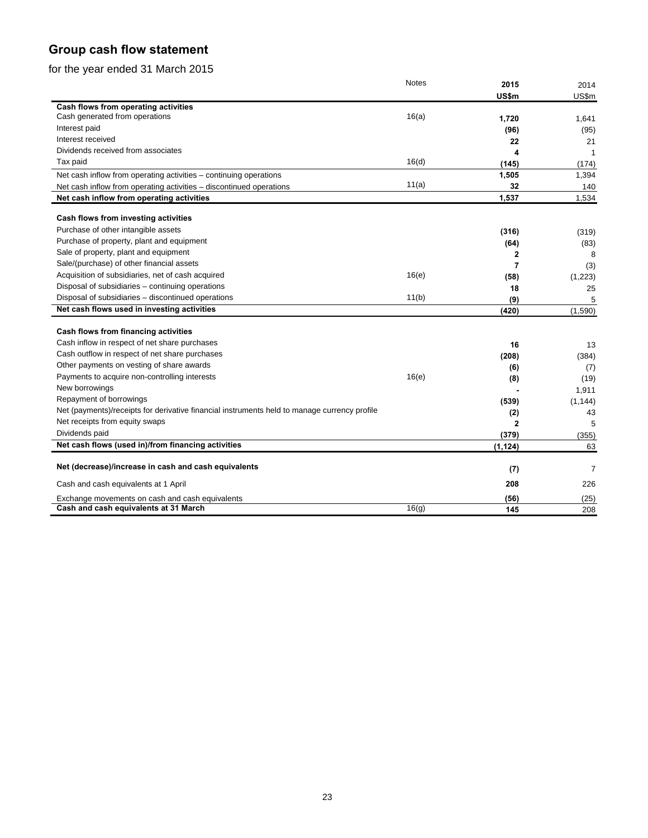# **Group cash flow statement**

for the year ended 31 March 2015

|                                                                                              | Notes | 2015                    | 2014     |
|----------------------------------------------------------------------------------------------|-------|-------------------------|----------|
|                                                                                              |       | US\$m                   | US\$m    |
| Cash flows from operating activities                                                         |       |                         |          |
| Cash generated from operations                                                               | 16(a) | 1,720                   | 1,641    |
| Interest paid                                                                                |       | (96)                    | (95)     |
| Interest received                                                                            |       | 22                      | 21       |
| Dividends received from associates                                                           |       | 4                       | -1       |
| Tax paid                                                                                     | 16(d) | (145)                   | (174)    |
| Net cash inflow from operating activities - continuing operations                            |       | 1,505                   | 1,394    |
| Net cash inflow from operating activities - discontinued operations                          | 11(a) | 32                      | 140      |
| Net cash inflow from operating activities                                                    |       | 1,537                   | 1,534    |
| Cash flows from investing activities                                                         |       |                         |          |
| Purchase of other intangible assets                                                          |       | (316)                   | (319)    |
| Purchase of property, plant and equipment                                                    |       | (64)                    | (83)     |
| Sale of property, plant and equipment                                                        |       | $\overline{\mathbf{2}}$ | 8        |
| Sale/(purchase) of other financial assets                                                    |       | 7                       | (3)      |
| Acquisition of subsidiaries, net of cash acquired                                            | 16(e) | (58)                    | (1,223)  |
| Disposal of subsidiaries - continuing operations                                             |       | 18                      | 25       |
| Disposal of subsidiaries - discontinued operations                                           | 11(b) | (9)                     | 5        |
| Net cash flows used in investing activities                                                  |       | (420)                   | (1,590)  |
|                                                                                              |       |                         |          |
| Cash flows from financing activities                                                         |       |                         |          |
| Cash inflow in respect of net share purchases                                                |       | 16                      | 13       |
| Cash outflow in respect of net share purchases                                               |       | (208)                   | (384)    |
| Other payments on vesting of share awards                                                    |       | (6)                     | (7)      |
| Payments to acquire non-controlling interests                                                | 16(e) | (8)                     | (19)     |
| New borrowings                                                                               |       |                         | 1,911    |
| Repayment of borrowings                                                                      |       | (539)                   | (1, 144) |
| Net (payments)/receipts for derivative financial instruments held to manage currency profile |       | (2)                     | 43       |
| Net receipts from equity swaps                                                               |       | $\overline{2}$          | 5        |
| Dividends paid                                                                               |       | (379)                   | (355)    |
| Net cash flows (used in)/from financing activities                                           |       | (1, 124)                | 63       |
| Net (decrease)/increase in cash and cash equivalents                                         |       | (7)                     | 7        |
| Cash and cash equivalents at 1 April                                                         |       | 208                     | 226      |
| Exchange movements on cash and cash equivalents                                              |       | (56)                    | (25)     |
| Cash and cash equivalents at 31 March                                                        | 16(q) | 145                     | 208      |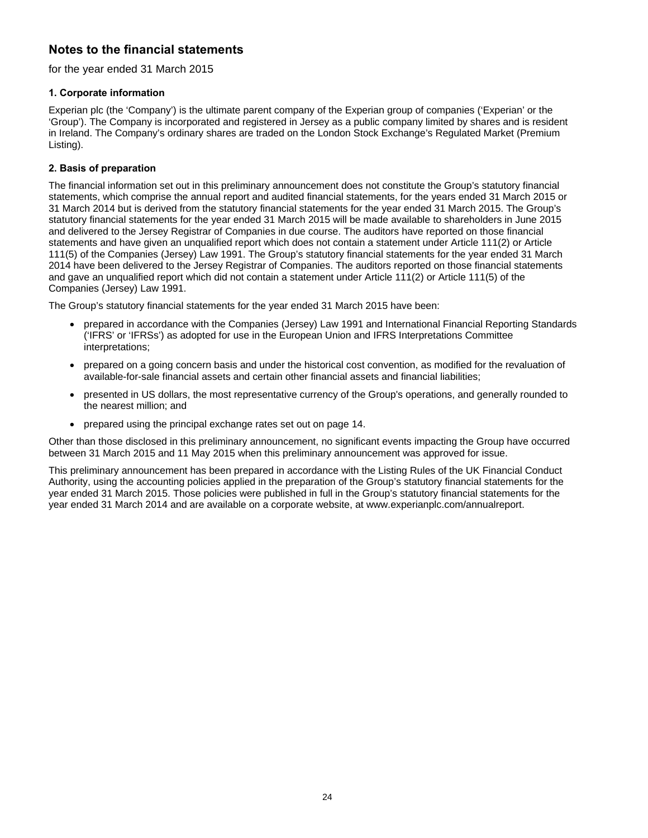# **Notes to the financial statements**

for the year ended 31 March 2015

# **1. Corporate information**

Experian plc (the 'Company') is the ultimate parent company of the Experian group of companies ('Experian' or the 'Group'). The Company is incorporated and registered in Jersey as a public company limited by shares and is resident in Ireland. The Company's ordinary shares are traded on the London Stock Exchange's Regulated Market (Premium Listing).

# **2. Basis of preparation**

The financial information set out in this preliminary announcement does not constitute the Group's statutory financial statements, which comprise the annual report and audited financial statements, for the years ended 31 March 2015 or 31 March 2014 but is derived from the statutory financial statements for the year ended 31 March 2015. The Group's statutory financial statements for the year ended 31 March 2015 will be made available to shareholders in June 2015 and delivered to the Jersey Registrar of Companies in due course. The auditors have reported on those financial statements and have given an unqualified report which does not contain a statement under Article 111(2) or Article 111(5) of the Companies (Jersey) Law 1991. The Group's statutory financial statements for the year ended 31 March 2014 have been delivered to the Jersey Registrar of Companies. The auditors reported on those financial statements and gave an unqualified report which did not contain a statement under Article 111(2) or Article 111(5) of the Companies (Jersey) Law 1991.

The Group's statutory financial statements for the year ended 31 March 2015 have been:

- prepared in accordance with the Companies (Jersey) Law 1991 and International Financial Reporting Standards ('IFRS' or 'IFRSs') as adopted for use in the European Union and IFRS Interpretations Committee interpretations;
- prepared on a going concern basis and under the historical cost convention, as modified for the revaluation of available-for-sale financial assets and certain other financial assets and financial liabilities;
- presented in US dollars, the most representative currency of the Group's operations, and generally rounded to the nearest million; and
- prepared using the principal exchange rates set out on page 14.

Other than those disclosed in this preliminary announcement, no significant events impacting the Group have occurred between 31 March 2015 and 11 May 2015 when this preliminary announcement was approved for issue.

This preliminary announcement has been prepared in accordance with the Listing Rules of the UK Financial Conduct Authority, using the accounting policies applied in the preparation of the Group's statutory financial statements for the year ended 31 March 2015. Those policies were published in full in the Group's statutory financial statements for the year ended 31 March 2014 and are available on a corporate website, at www.experianplc.com/annualreport.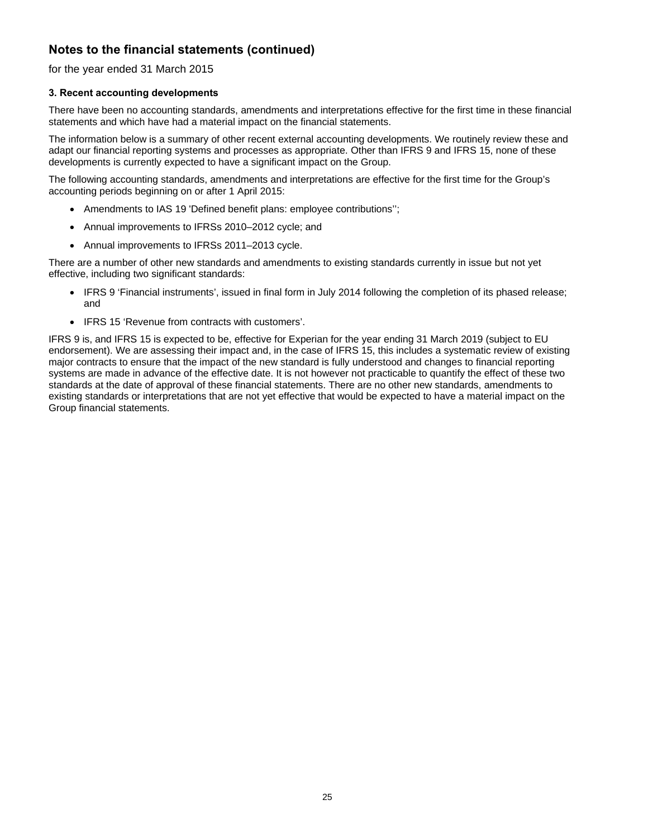# for the year ended 31 March 2015

# **3. Recent accounting developments**

There have been no accounting standards, amendments and interpretations effective for the first time in these financial statements and which have had a material impact on the financial statements.

The information below is a summary of other recent external accounting developments. We routinely review these and adapt our financial reporting systems and processes as appropriate. Other than IFRS 9 and IFRS 15, none of these developments is currently expected to have a significant impact on the Group.

The following accounting standards, amendments and interpretations are effective for the first time for the Group's accounting periods beginning on or after 1 April 2015:

- Amendments to IAS 19 'Defined benefit plans: employee contributions'';
- Annual improvements to IFRSs 2010–2012 cycle; and
- Annual improvements to IFRSs 2011–2013 cycle.

There are a number of other new standards and amendments to existing standards currently in issue but not yet effective, including two significant standards:

- IFRS 9 'Financial instruments', issued in final form in July 2014 following the completion of its phased release; and
- IFRS 15 'Revenue from contracts with customers'.

IFRS 9 is, and IFRS 15 is expected to be, effective for Experian for the year ending 31 March 2019 (subject to EU endorsement). We are assessing their impact and, in the case of IFRS 15, this includes a systematic review of existing major contracts to ensure that the impact of the new standard is fully understood and changes to financial reporting systems are made in advance of the effective date. It is not however not practicable to quantify the effect of these two standards at the date of approval of these financial statements. There are no other new standards, amendments to existing standards or interpretations that are not yet effective that would be expected to have a material impact on the Group financial statements.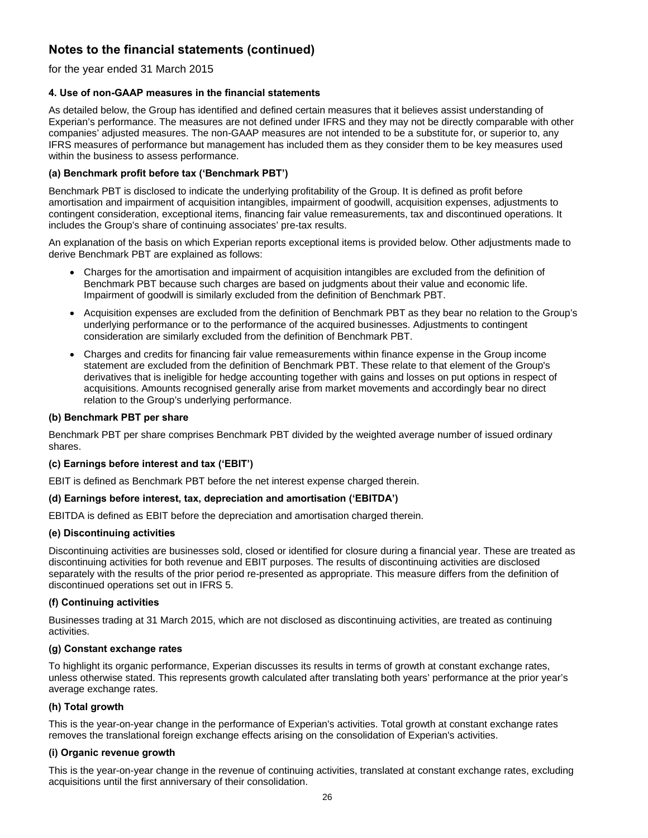for the year ended 31 March 2015

# **4. Use of non-GAAP measures in the financial statements**

As detailed below, the Group has identified and defined certain measures that it believes assist understanding of Experian's performance. The measures are not defined under IFRS and they may not be directly comparable with other companies' adjusted measures. The non-GAAP measures are not intended to be a substitute for, or superior to, any IFRS measures of performance but management has included them as they consider them to be key measures used within the business to assess performance.

# **(a) Benchmark profit before tax ('Benchmark PBT')**

Benchmark PBT is disclosed to indicate the underlying profitability of the Group. It is defined as profit before amortisation and impairment of acquisition intangibles, impairment of goodwill, acquisition expenses, adjustments to contingent consideration, exceptional items, financing fair value remeasurements, tax and discontinued operations. It includes the Group's share of continuing associates' pre-tax results.

An explanation of the basis on which Experian reports exceptional items is provided below. Other adjustments made to derive Benchmark PBT are explained as follows:

- Charges for the amortisation and impairment of acquisition intangibles are excluded from the definition of Benchmark PBT because such charges are based on judgments about their value and economic life. Impairment of goodwill is similarly excluded from the definition of Benchmark PBT.
- Acquisition expenses are excluded from the definition of Benchmark PBT as they bear no relation to the Group's underlying performance or to the performance of the acquired businesses. Adjustments to contingent consideration are similarly excluded from the definition of Benchmark PBT.
- Charges and credits for financing fair value remeasurements within finance expense in the Group income statement are excluded from the definition of Benchmark PBT. These relate to that element of the Group's derivatives that is ineligible for hedge accounting together with gains and losses on put options in respect of acquisitions. Amounts recognised generally arise from market movements and accordingly bear no direct relation to the Group's underlying performance.

### **(b) Benchmark PBT per share**

Benchmark PBT per share comprises Benchmark PBT divided by the weighted average number of issued ordinary shares.

# **(c) Earnings before interest and tax ('EBIT')**

EBIT is defined as Benchmark PBT before the net interest expense charged therein.

### **(d) Earnings before interest, tax, depreciation and amortisation ('EBITDA')**

EBITDA is defined as EBIT before the depreciation and amortisation charged therein.

# **(e) Discontinuing activities**

Discontinuing activities are businesses sold, closed or identified for closure during a financial year. These are treated as discontinuing activities for both revenue and EBIT purposes. The results of discontinuing activities are disclosed separately with the results of the prior period re-presented as appropriate. This measure differs from the definition of discontinued operations set out in IFRS 5.

# **(f) Continuing activities**

Businesses trading at 31 March 2015, which are not disclosed as discontinuing activities, are treated as continuing activities.

# **(g) Constant exchange rates**

To highlight its organic performance, Experian discusses its results in terms of growth at constant exchange rates, unless otherwise stated. This represents growth calculated after translating both years' performance at the prior year's average exchange rates.

# **(h) Total growth**

This is the year-on-year change in the performance of Experian's activities. Total growth at constant exchange rates removes the translational foreign exchange effects arising on the consolidation of Experian's activities.

# **(i) Organic revenue growth**

This is the year-on-year change in the revenue of continuing activities, translated at constant exchange rates, excluding acquisitions until the first anniversary of their consolidation.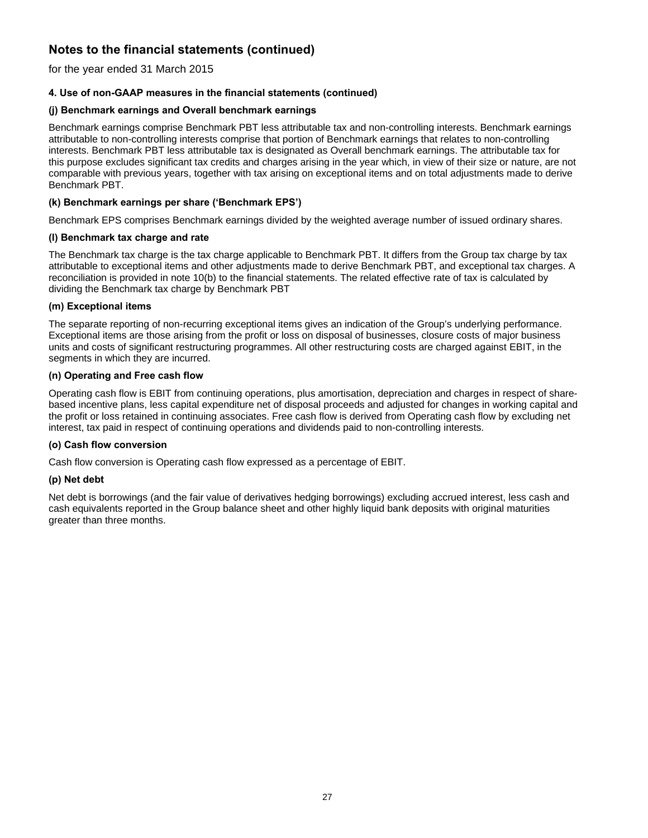for the year ended 31 March 2015

# **4. Use of non-GAAP measures in the financial statements (continued)**

# **(j) Benchmark earnings and Overall benchmark earnings**

Benchmark earnings comprise Benchmark PBT less attributable tax and non-controlling interests. Benchmark earnings attributable to non-controlling interests comprise that portion of Benchmark earnings that relates to non-controlling interests. Benchmark PBT less attributable tax is designated as Overall benchmark earnings. The attributable tax for this purpose excludes significant tax credits and charges arising in the year which, in view of their size or nature, are not comparable with previous years, together with tax arising on exceptional items and on total adjustments made to derive Benchmark PBT.

# **(k) Benchmark earnings per share ('Benchmark EPS')**

Benchmark EPS comprises Benchmark earnings divided by the weighted average number of issued ordinary shares.

# **(l) Benchmark tax charge and rate**

The Benchmark tax charge is the tax charge applicable to Benchmark PBT. It differs from the Group tax charge by tax attributable to exceptional items and other adjustments made to derive Benchmark PBT, and exceptional tax charges. A reconciliation is provided in note 10(b) to the financial statements. The related effective rate of tax is calculated by dividing the Benchmark tax charge by Benchmark PBT

# **(m) Exceptional items**

The separate reporting of non-recurring exceptional items gives an indication of the Group's underlying performance. Exceptional items are those arising from the profit or loss on disposal of businesses, closure costs of major business units and costs of significant restructuring programmes. All other restructuring costs are charged against EBIT, in the segments in which they are incurred.

# **(n) Operating and Free cash flow**

Operating cash flow is EBIT from continuing operations, plus amortisation, depreciation and charges in respect of sharebased incentive plans, less capital expenditure net of disposal proceeds and adjusted for changes in working capital and the profit or loss retained in continuing associates. Free cash flow is derived from Operating cash flow by excluding net interest, tax paid in respect of continuing operations and dividends paid to non-controlling interests.

# **(o) Cash flow conversion**

Cash flow conversion is Operating cash flow expressed as a percentage of EBIT.

# **(p) Net debt**

Net debt is borrowings (and the fair value of derivatives hedging borrowings) excluding accrued interest, less cash and cash equivalents reported in the Group balance sheet and other highly liquid bank deposits with original maturities greater than three months.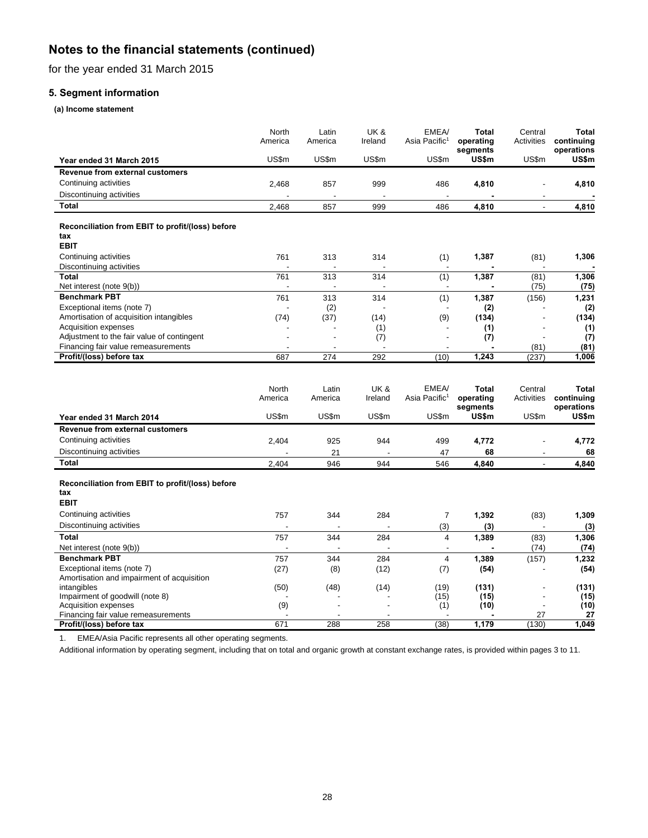for the year ended 31 March 2015

# **5. Segment information**

### **(a) Income statement**

|                                                                                                                             | North<br>America<br>US\$m | Latin<br>America<br>US\$m | UK &<br>Ireland<br>US\$m | EMEA/<br>Asia Pacific <sup>1</sup><br>US\$m | Total<br>operating<br>segments<br>US\$m | Central<br>Activities<br>US\$m | Total<br>continuing<br>operations<br>US\$m |
|-----------------------------------------------------------------------------------------------------------------------------|---------------------------|---------------------------|--------------------------|---------------------------------------------|-----------------------------------------|--------------------------------|--------------------------------------------|
| Year ended 31 March 2015                                                                                                    |                           |                           |                          |                                             |                                         |                                |                                            |
| <b>Revenue from external customers</b>                                                                                      |                           |                           |                          |                                             |                                         |                                |                                            |
| Continuing activities                                                                                                       | 2,468                     | 857                       | 999                      | 486                                         | 4,810                                   | L,                             | 4,810                                      |
| Discontinuing activities                                                                                                    |                           |                           |                          |                                             |                                         |                                |                                            |
| <b>Total</b>                                                                                                                | 2,468                     | 857                       | 999                      | 486                                         | 4,810                                   |                                | 4,810                                      |
| Reconciliation from EBIT to profit/(loss) before<br>tax<br><b>EBIT</b>                                                      |                           |                           |                          |                                             |                                         |                                |                                            |
| Continuing activities                                                                                                       | 761                       | 313                       | 314                      | (1)                                         | 1,387                                   | (81)                           | 1,306                                      |
| Discontinuing activities                                                                                                    |                           |                           |                          |                                             |                                         |                                |                                            |
| Total                                                                                                                       | 761                       | 313                       | 314                      | (1)                                         | 1,387                                   | (81)                           | 1,306                                      |
| Net interest (note 9(b))                                                                                                    |                           | $\overline{a}$            |                          |                                             |                                         | (75)                           | (75)                                       |
| <b>Benchmark PBT</b>                                                                                                        | 761                       | 313                       | 314                      | (1)                                         | 1,387                                   | (156)                          | 1,231                                      |
| Exceptional items (note 7)                                                                                                  |                           | (2)                       |                          |                                             | (2)<br>(134)                            | $\overline{a}$                 | (2)                                        |
| Amortisation of acquisition intangibles<br>Acquisition expenses                                                             | (74)                      | (37)                      | (14)<br>(1)              | (9)                                         | (1)                                     |                                | (134)<br>(1)                               |
| Adjustment to the fair value of contingent                                                                                  |                           |                           | (7)                      |                                             | (7)                                     |                                | (7)                                        |
| Financing fair value remeasurements                                                                                         | $\overline{\phantom{a}}$  |                           |                          |                                             |                                         | (81)                           | (81)                                       |
| Profit/(loss) before tax                                                                                                    | 687                       | 274                       | 292                      | (10)                                        | 1,243                                   | (237)                          | 1,006                                      |
| Year ended 31 March 2014                                                                                                    | North<br>America<br>US\$m | Latin<br>America<br>US\$m | UK&<br>Ireland<br>US\$m  | EMEA/<br>Asia Pacific <sup>1</sup><br>US\$m | Total<br>operating<br>segments<br>US\$m | Central<br>Activities<br>US\$m | Total<br>continuing<br>operations<br>US\$m |
| <b>Revenue from external customers</b>                                                                                      |                           |                           |                          |                                             |                                         |                                |                                            |
| Continuing activities                                                                                                       | 2,404                     | 925                       | 944                      | 499                                         | 4,772                                   | L                              | 4,772                                      |
| Discontinuing activities                                                                                                    |                           | 21                        |                          | 47                                          | 68                                      | ٠                              | 68                                         |
| <b>Total</b>                                                                                                                | 2,404                     | 946                       | 944                      | 546                                         | 4,840                                   | $\blacksquare$                 | 4,840                                      |
| Reconciliation from EBIT to profit/(loss) before<br>tax<br><b>EBIT</b><br>Continuing activities<br>Discontinuing activities | 757                       | 344                       | 284                      | 7                                           | 1,392                                   | (83)                           | 1,309                                      |
|                                                                                                                             |                           |                           |                          | (3)                                         | (3)                                     |                                | (3)                                        |
| Total                                                                                                                       | 757                       | 344                       | 284                      | 4                                           | 1,389                                   | (83)                           | 1,306                                      |
| Net interest (note 9(b))<br><b>Benchmark PBT</b>                                                                            |                           |                           |                          | $\overline{\phantom{a}}$                    |                                         | (74)                           | (74)                                       |
| Exceptional items (note 7)                                                                                                  | 757                       | 344                       | 284                      | $\overline{4}$                              | 1,389                                   | (157)                          | 1,232                                      |
| Amortisation and impairment of acquisition<br>intangibles                                                                   | (27)<br>(50)              | (8)<br>(48)               | (12)<br>(14)             | (7)<br>(19)                                 | (54)<br>(131)                           |                                | (54)<br>(131)                              |
| Impairment of goodwill (note 8)                                                                                             |                           |                           |                          | (15)                                        | (15)                                    |                                | (15)                                       |
| Acquisition expenses                                                                                                        | (9)                       |                           |                          | (1)                                         | (10)                                    |                                | (10)                                       |
| Financing fair value remeasurements                                                                                         |                           |                           |                          |                                             |                                         | 27                             | 27                                         |
| Profit/(loss) before tax                                                                                                    | 671                       | 288                       | 258                      | (38)                                        | 1,179                                   | (130)                          | 1.049                                      |

1. EMEA/Asia Pacific represents all other operating segments.

Additional information by operating segment, including that on total and organic growth at constant exchange rates, is provided within pages 3 to 11.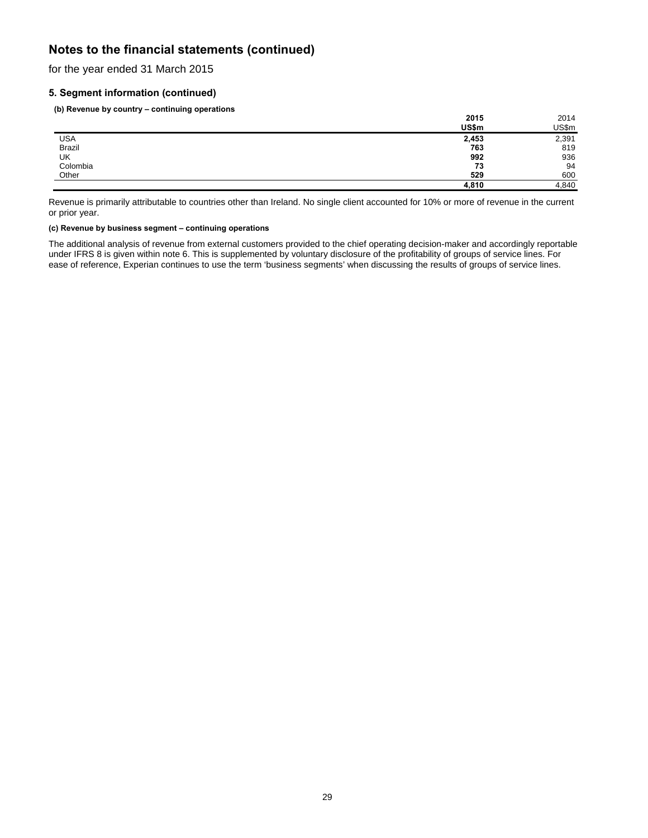for the year ended 31 March 2015

# **5. Segment information (continued)**

**(b) Revenue by country – continuing operations** 

|               | 2015  | 2014  |
|---------------|-------|-------|
|               | US\$m | US\$m |
| USA<br>Brazil | 2,453 | 2,391 |
|               | 763   | 819   |
| UK            | 992   | 936   |
| Colombia      | 73    | 94    |
| Other         | 529   | 600   |
|               | 4,810 | 4,840 |

Revenue is primarily attributable to countries other than Ireland. No single client accounted for 10% or more of revenue in the current or prior year.

### **(c) Revenue by business segment – continuing operations**

The additional analysis of revenue from external customers provided to the chief operating decision-maker and accordingly reportable under IFRS 8 is given within note 6. This is supplemented by voluntary disclosure of the profitability of groups of service lines. For ease of reference, Experian continues to use the term 'business segments' when discussing the results of groups of service lines.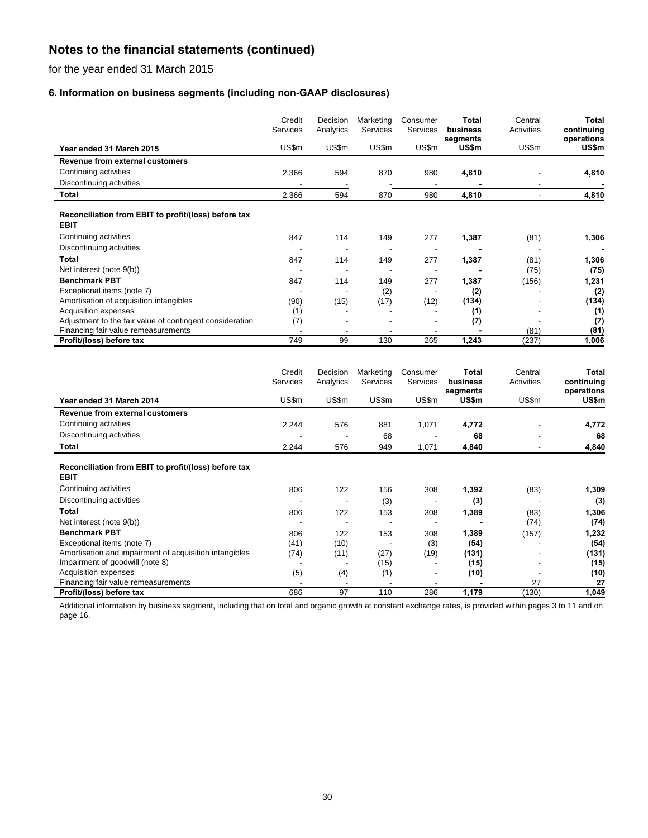for the year ended 31 March 2015

# **6. Information on business segments (including non-GAAP disclosures)**

|                                                                     | Credit<br>Services | Decision<br>Analytics | Marketing<br>Services | Consumer<br><b>Services</b> | Total<br>business<br>segments | Central<br>Activities | Total<br>continuing<br>operations |
|---------------------------------------------------------------------|--------------------|-----------------------|-----------------------|-----------------------------|-------------------------------|-----------------------|-----------------------------------|
| Year ended 31 March 2015                                            | US\$m              | US\$m                 | US\$m                 | US\$m                       | US\$m                         | US\$m                 | US\$m                             |
| Revenue from external customers                                     |                    |                       |                       |                             |                               |                       |                                   |
| Continuing activities                                               | 2,366              | 594                   | 870                   | 980                         | 4,810                         |                       | 4,810                             |
| Discontinuing activities                                            |                    | $\blacksquare$        | $\blacksquare$        | ٠                           |                               |                       |                                   |
| Total                                                               | 2,366              | 594                   | 870                   | 980                         | 4,810                         |                       | 4,810                             |
| Reconciliation from EBIT to profit/(loss) before tax<br><b>EBIT</b> |                    |                       |                       |                             |                               |                       |                                   |
| Continuing activities                                               | 847                | 114                   | 149                   | 277                         | 1,387                         | (81)                  | 1,306                             |
| Discontinuing activities                                            |                    |                       |                       |                             |                               |                       |                                   |
| <b>Total</b>                                                        | 847                | 114                   | 149                   | 277                         | 1,387                         | (81)                  | 1,306                             |
| Net interest (note 9(b))                                            |                    |                       |                       |                             |                               | (75)                  | (75)                              |
| <b>Benchmark PBT</b>                                                | 847                | 114                   | 149                   | 277                         | 1,387                         | (156)                 | 1,231                             |
| Exceptional items (note 7)                                          |                    |                       | (2)                   |                             | (2)                           |                       | (2)                               |
| Amortisation of acquisition intangibles                             | (90)               | (15)                  | (17)                  | (12)                        | (134)                         |                       | (134)                             |
| Acquisition expenses                                                | (1)                |                       |                       |                             | (1)                           |                       | (1)                               |
| Adjustment to the fair value of contingent consideration            | (7)                |                       |                       |                             | (7)                           |                       | (7)                               |
| Financing fair value remeasurements                                 |                    |                       |                       |                             |                               | (81)                  | (81)                              |
| Profit/(loss) before tax                                            | 749                | 99                    | 130                   | 265                         | 1,243                         | (237)                 | 1,006                             |
|                                                                     |                    |                       |                       |                             |                               |                       |                                   |

|                                                                     | Credit<br><b>Services</b> | Decision<br>Analytics | Marketing<br><b>Services</b> | Consumer<br>Services | Total<br>business | Central<br>Activities | <b>Total</b><br>continuing |
|---------------------------------------------------------------------|---------------------------|-----------------------|------------------------------|----------------------|-------------------|-----------------------|----------------------------|
| Year ended 31 March 2014                                            | US\$m                     | US\$m                 | US\$m                        | US\$m                | segments<br>US\$m | US\$m                 | operations<br>US\$m        |
| Revenue from external customers                                     |                           |                       |                              |                      |                   |                       |                            |
| Continuing activities                                               | 2,244                     | 576                   | 881                          | 1,071                | 4,772             |                       | 4,772                      |
| Discontinuing activities                                            |                           |                       | 68                           |                      | 68                |                       | 68                         |
| Total                                                               | 2,244                     | 576                   | 949                          | 1,071                | 4,840             |                       | 4,840                      |
| Reconciliation from EBIT to profit/(loss) before tax<br><b>EBIT</b> |                           |                       |                              |                      |                   |                       |                            |
| Continuing activities                                               | 806                       | 122                   | 156                          | 308                  | 1,392             | (83)                  | 1,309                      |
| Discontinuing activities                                            |                           |                       | (3)                          |                      | (3)               |                       | (3)                        |
| Total<br>Net interest (note 9(b))                                   | 806                       | 122                   | 153                          | 308                  | 1,389             | (83)<br>(74)          | 1,306<br>(74)              |
| <b>Benchmark PBT</b>                                                | 806                       | 122                   | 153                          | 308                  | 1,389             | (157)                 | 1,232                      |
| Exceptional items (note 7)                                          | (41)                      | (10)                  |                              | (3)                  | (54)              |                       | (54)                       |
| Amortisation and impairment of acquisition intangibles              | (74)                      | (11)                  | (27)                         | (19)                 | (131)             |                       | (131)                      |
| Impairment of goodwill (note 8)                                     |                           |                       | (15)                         |                      | (15)              |                       | (15)                       |
| Acquisition expenses                                                | (5)                       | (4)                   | (1)                          |                      | (10)              |                       | (10)                       |
| Financing fair value remeasurements                                 |                           |                       |                              |                      |                   | 27                    | 27                         |
| Profit/(loss) before tax                                            | 686                       | 97                    | 110                          | 286                  | 1,179             | (130)                 | 1,049                      |

Additional information by business segment, including that on total and organic growth at constant exchange rates, is provided within pages 3 to 11 and on page 16.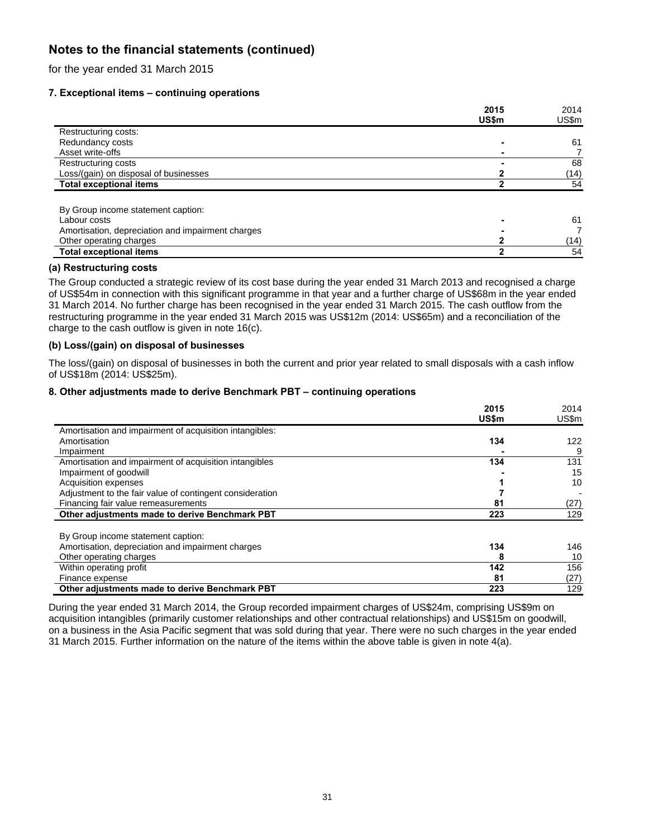for the year ended 31 March 2015

# **7. Exceptional items – continuing operations**

|                                                   | 2015  | 2014  |
|---------------------------------------------------|-------|-------|
|                                                   | US\$m | US\$m |
| Restructuring costs:                              |       |       |
| Redundancy costs                                  |       | 61    |
| Asset write-offs                                  |       |       |
| Restructuring costs                               |       | 68    |
| Loss/(gain) on disposal of businesses             |       | (14)  |
| <b>Total exceptional items</b>                    |       | 54    |
| By Group income statement caption:                |       |       |
| Labour costs                                      |       | 61    |
| Amortisation, depreciation and impairment charges |       | 7     |
| Other operating charges                           |       | (14)  |
| <b>Total exceptional items</b>                    |       | 54    |

# **(a) Restructuring costs**

The Group conducted a strategic review of its cost base during the year ended 31 March 2013 and recognised a charge of US\$54m in connection with this significant programme in that year and a further charge of US\$68m in the year ended 31 March 2014. No further charge has been recognised in the year ended 31 March 2015. The cash outflow from the restructuring programme in the year ended 31 March 2015 was US\$12m (2014: US\$65m) and a reconciliation of the charge to the cash outflow is given in note 16(c).

### **(b) Loss/(gain) on disposal of businesses**

The loss/(gain) on disposal of businesses in both the current and prior year related to small disposals with a cash inflow of US\$18m (2014: US\$25m).

### **8. Other adjustments made to derive Benchmark PBT – continuing operations**

|                                                          | 2015         | 2014  |
|----------------------------------------------------------|--------------|-------|
|                                                          | <b>US\$m</b> | US\$m |
| Amortisation and impairment of acquisition intangibles:  |              |       |
| Amortisation                                             | 134          | 122   |
| Impairment                                               |              | 9     |
| Amortisation and impairment of acquisition intangibles   | 134          | 131   |
| Impairment of goodwill                                   |              | 15    |
| Acquisition expenses                                     |              | 10    |
| Adjustment to the fair value of contingent consideration |              |       |
| Financing fair value remeasurements                      | 81           | (27)  |
| Other adjustments made to derive Benchmark PBT           | 223          | 129   |
| By Group income statement caption:                       |              |       |
| Amortisation, depreciation and impairment charges        | 134          | 146   |
| Other operating charges                                  |              | 10    |
| Within operating profit                                  | 142          | 156   |
| Finance expense                                          | 81           | (27)  |
| Other adjustments made to derive Benchmark PBT           | 223          | 129   |

During the year ended 31 March 2014, the Group recorded impairment charges of US\$24m, comprising US\$9m on acquisition intangibles (primarily customer relationships and other contractual relationships) and US\$15m on goodwill, on a business in the Asia Pacific segment that was sold during that year. There were no such charges in the year ended 31 March 2015. Further information on the nature of the items within the above table is given in note 4(a).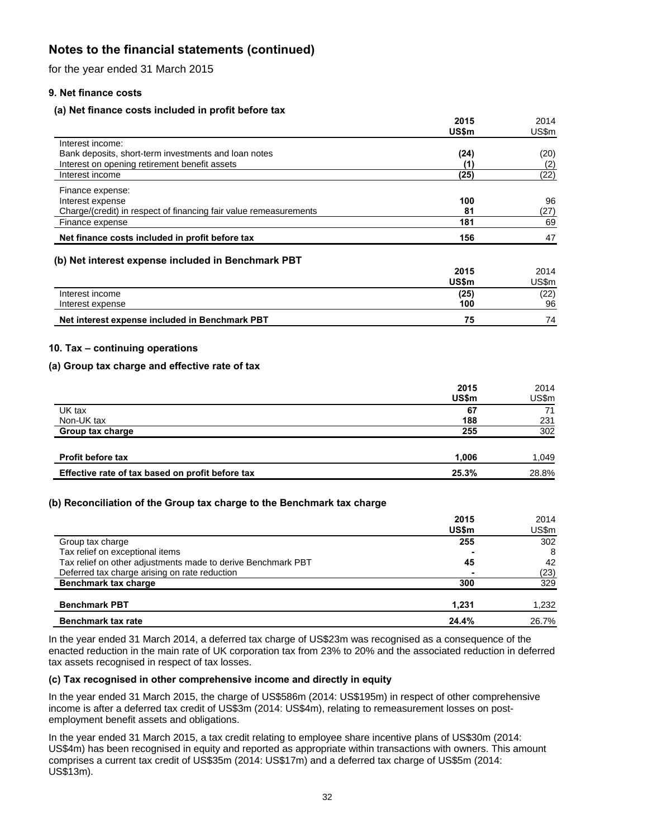for the year ended 31 March 2015

# **9. Net finance costs**

# **(a) Net finance costs included in profit before tax**

|                                                                   | 2015  | 2014  |
|-------------------------------------------------------------------|-------|-------|
|                                                                   | US\$m | US\$m |
| Interest income:                                                  |       |       |
| Bank deposits, short-term investments and loan notes              | (24)  | (20)  |
| Interest on opening retirement benefit assets                     |       | (2)   |
| Interest income                                                   | (25)  | (22)  |
| Finance expense:                                                  |       |       |
| Interest expense                                                  | 100   | 96    |
| Charge/(credit) in respect of financing fair value remeasurements | 81    | (27)  |
| Finance expense                                                   | 181   | 69    |
| Net finance costs included in profit before tax                   | 156   | 47    |
|                                                                   |       |       |

# **(b) Net interest expense included in Benchmark PBT**

|                                                | 2015  | 2014  |
|------------------------------------------------|-------|-------|
|                                                | US\$m | JS\$m |
| Interest income                                | (25)  | (22)  |
| Interest expense                               | 100   | 96    |
| Net interest expense included in Benchmark PBT | 75    | 74    |

# **10. Tax – continuing operations**

# **(a) Group tax charge and effective rate of tax**

| 2015<br>US\$m                                             | 2014<br>US\$m |
|-----------------------------------------------------------|---------------|
| UK tax<br>67                                              | 71            |
| Non-UK tax<br>188                                         | 231           |
| 255<br>Group tax charge                                   | 302           |
|                                                           |               |
| <b>Profit before tax</b><br>1,006                         | 1,049         |
| Effective rate of tax based on profit before tax<br>25.3% | 28.8%         |

# **(b) Reconciliation of the Group tax charge to the Benchmark tax charge**

|                                                              | 2015<br>US\$m | 2014<br>US\$m |
|--------------------------------------------------------------|---------------|---------------|
| Group tax charge                                             | 255           | 302           |
| Tax relief on exceptional items                              |               | 8             |
| Tax relief on other adjustments made to derive Benchmark PBT | 45            | 42            |
| Deferred tax charge arising on rate reduction                |               | (23)          |
| Benchmark tax charge                                         | 300           | 329           |
| <b>Benchmark PBT</b>                                         | 1.231         | 1,232         |
| <b>Benchmark tax rate</b>                                    | 24.4%         | 26.7%         |

In the year ended 31 March 2014, a deferred tax charge of US\$23m was recognised as a consequence of the enacted reduction in the main rate of UK corporation tax from 23% to 20% and the associated reduction in deferred tax assets recognised in respect of tax losses.

# **(c) Tax recognised in other comprehensive income and directly in equity**

In the year ended 31 March 2015, the charge of US\$586m (2014: US\$195m) in respect of other comprehensive income is after a deferred tax credit of US\$3m (2014: US\$4m), relating to remeasurement losses on postemployment benefit assets and obligations.

In the year ended 31 March 2015, a tax credit relating to employee share incentive plans of US\$30m (2014: US\$4m) has been recognised in equity and reported as appropriate within transactions with owners. This amount comprises a current tax credit of US\$35m (2014: US\$17m) and a deferred tax charge of US\$5m (2014: US\$13m).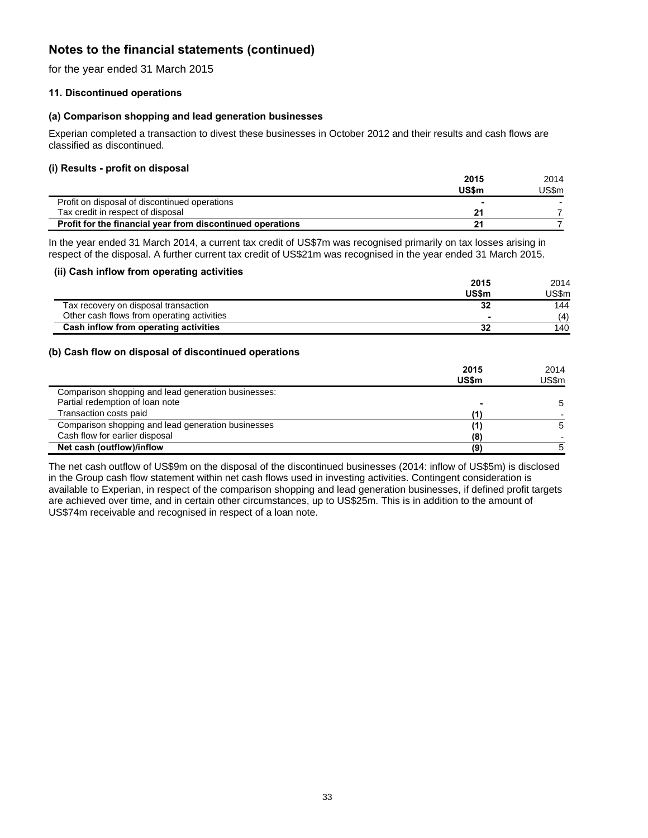for the year ended 31 March 2015

# **11. Discontinued operations**

# **(a) Comparison shopping and lead generation businesses**

Experian completed a transaction to divest these businesses in October 2012 and their results and cash flows are classified as discontinued.

### **(i) Results - profit on disposal**

|                                                            | 2015         | 2014    |
|------------------------------------------------------------|--------------|---------|
|                                                            | <b>US\$m</b> | 'JS\$m_ |
| Profit on disposal of discontinued operations              |              |         |
| Tax credit in respect of disposal                          | 21           |         |
| Profit for the financial year from discontinued operations | 21           |         |

In the year ended 31 March 2014, a current tax credit of US\$7m was recognised primarily on tax losses arising in respect of the disposal. A further current tax credit of US\$21m was recognised in the year ended 31 March 2015.

### **(ii) Cash inflow from operating activities**

|                                            | 2015         | 2014   |
|--------------------------------------------|--------------|--------|
|                                            | <b>US\$m</b> | JS\$m. |
| Tax recovery on disposal transaction       | 32           | 144    |
| Other cash flows from operating activities |              | (4)    |
| Cash inflow from operating activities      | 32           | 140    |

### **(b) Cash flow on disposal of discontinued operations**

|                                                     | 2015  | 2014  |
|-----------------------------------------------------|-------|-------|
|                                                     | US\$m | US\$m |
| Comparison shopping and lead generation businesses: |       |       |
| Partial redemption of loan note                     |       | -5    |
| Transaction costs paid                              |       |       |
| Comparison shopping and lead generation businesses  | (1)   | 5     |
| Cash flow for earlier disposal                      | (8)   |       |
| Net cash (outflow)/inflow                           | (9)   |       |

The net cash outflow of US\$9m on the disposal of the discontinued businesses (2014: inflow of US\$5m) is disclosed in the Group cash flow statement within net cash flows used in investing activities. Contingent consideration is available to Experian, in respect of the comparison shopping and lead generation businesses, if defined profit targets are achieved over time, and in certain other circumstances, up to US\$25m. This is in addition to the amount of US\$74m receivable and recognised in respect of a loan note.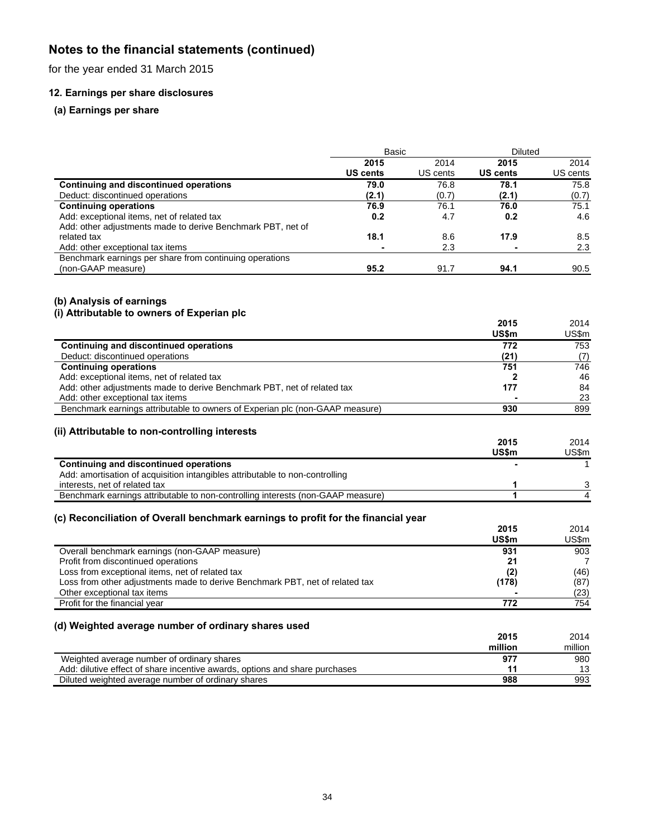for the year ended 31 March 2015

# **12. Earnings per share disclosures**

# **(a) Earnings per share**

|                                                             | Basic           |          | <b>Diluted</b> |          |
|-------------------------------------------------------------|-----------------|----------|----------------|----------|
|                                                             | 2015            | 2014     | 2015           | 2014     |
|                                                             | <b>US cents</b> | US cents | US cents       | US cents |
| Continuing and discontinued operations                      | 79.0            | 76.8     | 78.1           | 75.8     |
| Deduct: discontinued operations                             | (2.1)           | (0.7)    | (2.1)          | (0.7)    |
| <b>Continuing operations</b>                                | 76.9            | 76.1     | 76.0           | 75.1     |
| Add: exceptional items, net of related tax                  | 0.2             | 4.7      | 0.2            | 4.6      |
| Add: other adjustments made to derive Benchmark PBT, net of |                 |          |                |          |
| related tax                                                 | 18.1            | 8.6      | 17.9           | 8.5      |
| Add: other exceptional tax items                            |                 | 2.3      |                | 2.3      |
| Benchmark earnings per share from continuing operations     |                 |          |                |          |
| (non-GAAP measure)                                          | 95.2            | 91.7     | 94.1           | 90.5     |

### **(b) Analysis of earnings**

### **(i) Attributable to owners of Experian plc**

|                                                                                                                                 | 2015         | 2014          |
|---------------------------------------------------------------------------------------------------------------------------------|--------------|---------------|
|                                                                                                                                 | US\$m        | US\$m         |
| <b>Continuing and discontinued operations</b>                                                                                   | 772          | 753           |
| Deduct: discontinued operations                                                                                                 | (21)         | (7)           |
| <b>Continuing operations</b>                                                                                                    | 751          | 746           |
| Add: exceptional items, net of related tax                                                                                      | $\mathbf{2}$ | 46            |
| Add: other adjustments made to derive Benchmark PBT, net of related tax                                                         | 177          | 84            |
| Add: other exceptional tax items                                                                                                |              | 23            |
| Benchmark earnings attributable to owners of Experian plc (non-GAAP measure)                                                    | 930          | 899           |
|                                                                                                                                 |              |               |
| (ii) Attributable to non-controlling interests                                                                                  |              |               |
|                                                                                                                                 | 2015         | 2014          |
|                                                                                                                                 | <b>US\$m</b> | US\$m         |
| <b>Continuing and discontinued operations</b>                                                                                   |              | 1             |
| Add: amortisation of acquisition intangibles attributable to non-controlling                                                    |              |               |
| interests, net of related tax                                                                                                   | 1            | 3             |
| Benchmark earnings attributable to non-controlling interests (non-GAAP measure)                                                 | 1            | 4             |
|                                                                                                                                 |              |               |
| (c) Reconciliation of Overall benchmark earnings to profit for the financial year                                               | 2015         |               |
|                                                                                                                                 | US\$m        | 2014<br>US\$m |
|                                                                                                                                 |              |               |
| Overall benchmark earnings (non-GAAP measure)                                                                                   | 931          | 903           |
| Profit from discontinued operations                                                                                             | 21           | 7             |
| Loss from exceptional items, net of related tax<br>Loss from other adjustments made to derive Benchmark PBT, net of related tax | (2)          | (46)          |
| Other exceptional tax items                                                                                                     | (178)        | (87)          |
| Profit for the financial year                                                                                                   | 772          | (23)<br>754   |
|                                                                                                                                 |              |               |
| (d) Weighted average number of ordinary shares used                                                                             |              |               |
|                                                                                                                                 | 2015         | 2014          |
|                                                                                                                                 | million      | million       |
|                                                                                                                                 | 977          |               |
| Weighted average number of ordinary shares<br>Add: dilutive effect of share incentive awards, options and share purchases       | 11           | 980<br>13     |
| Diluted weighted average number of ordinary shares                                                                              | 988          | 993           |
|                                                                                                                                 |              |               |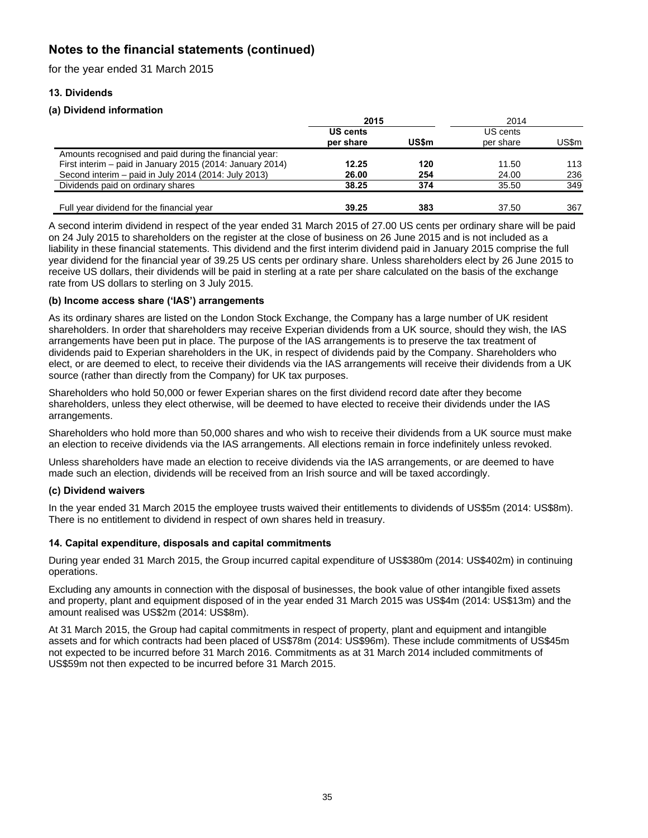for the year ended 31 March 2015

# **13. Dividends**

# **(a) Dividend information**

|                                                           | 2015                         |              | 2014                  |       |
|-----------------------------------------------------------|------------------------------|--------------|-----------------------|-------|
|                                                           | <b>US cents</b><br>per share | <b>US\$m</b> | US cents<br>per share | US\$m |
| Amounts recognised and paid during the financial year:    |                              |              |                       |       |
| First interim – paid in January 2015 (2014: January 2014) | 12.25                        | 120          | 11.50                 | 113   |
| Second interim – paid in July 2014 (2014: July 2013)      | 26.00                        | 254          | 24.00                 | 236   |
| Dividends paid on ordinary shares                         | 38.25                        | 374          | 35.50                 | 349   |
| Full year dividend for the financial year                 | 39.25                        | 383          | 37.50                 | 367   |

A second interim dividend in respect of the year ended 31 March 2015 of 27.00 US cents per ordinary share will be paid on 24 July 2015 to shareholders on the register at the close of business on 26 June 2015 and is not included as a liability in these financial statements. This dividend and the first interim dividend paid in January 2015 comprise the full year dividend for the financial year of 39.25 US cents per ordinary share. Unless shareholders elect by 26 June 2015 to receive US dollars, their dividends will be paid in sterling at a rate per share calculated on the basis of the exchange rate from US dollars to sterling on 3 July 2015.

# **(b) Income access share ('IAS') arrangements**

As its ordinary shares are listed on the London Stock Exchange, the Company has a large number of UK resident shareholders. In order that shareholders may receive Experian dividends from a UK source, should they wish, the IAS arrangements have been put in place. The purpose of the IAS arrangements is to preserve the tax treatment of dividends paid to Experian shareholders in the UK, in respect of dividends paid by the Company. Shareholders who elect, or are deemed to elect, to receive their dividends via the IAS arrangements will receive their dividends from a UK source (rather than directly from the Company) for UK tax purposes.

Shareholders who hold 50,000 or fewer Experian shares on the first dividend record date after they become shareholders, unless they elect otherwise, will be deemed to have elected to receive their dividends under the IAS arrangements.

Shareholders who hold more than 50,000 shares and who wish to receive their dividends from a UK source must make an election to receive dividends via the IAS arrangements. All elections remain in force indefinitely unless revoked.

Unless shareholders have made an election to receive dividends via the IAS arrangements, or are deemed to have made such an election, dividends will be received from an Irish source and will be taxed accordingly.

# **(c) Dividend waivers**

In the year ended 31 March 2015 the employee trusts waived their entitlements to dividends of US\$5m (2014: US\$8m). There is no entitlement to dividend in respect of own shares held in treasury.

# **14. Capital expenditure, disposals and capital commitments**

During year ended 31 March 2015, the Group incurred capital expenditure of US\$380m (2014: US\$402m) in continuing operations.

Excluding any amounts in connection with the disposal of businesses, the book value of other intangible fixed assets and property, plant and equipment disposed of in the year ended 31 March 2015 was US\$4m (2014: US\$13m) and the amount realised was US\$2m (2014: US\$8m).

At 31 March 2015, the Group had capital commitments in respect of property, plant and equipment and intangible assets and for which contracts had been placed of US\$78m (2014: US\$96m). These include commitments of US\$45m not expected to be incurred before 31 March 2016. Commitments as at 31 March 2014 included commitments of US\$59m not then expected to be incurred before 31 March 2015.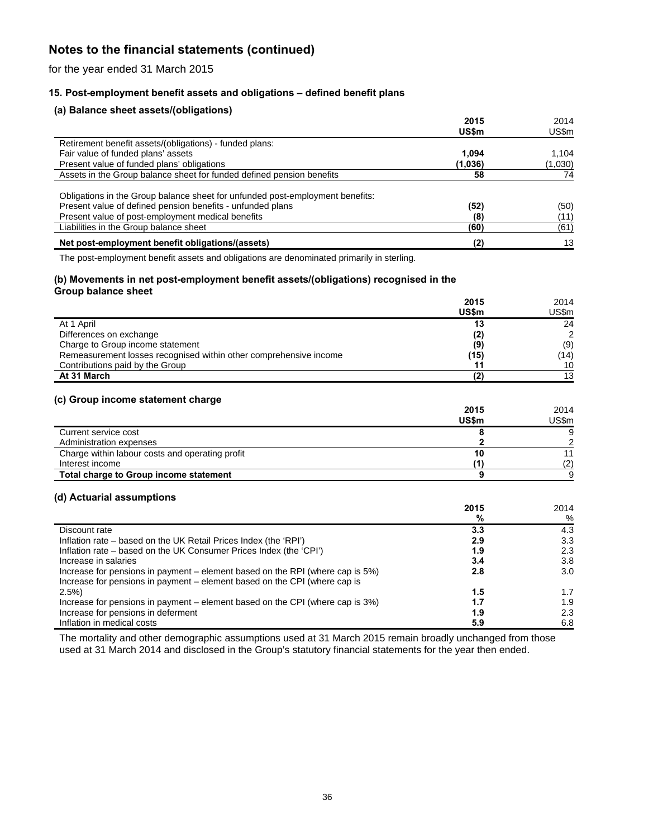for the year ended 31 March 2015

# **15. Post-employment benefit assets and obligations – defined benefit plans**

# **(a) Balance sheet assets/(obligations)**

|                                                                               | 2015<br>US\$m | 2014<br>US\$m |
|-------------------------------------------------------------------------------|---------------|---------------|
| Retirement benefit assets/(obligations) - funded plans:                       |               |               |
| Fair value of funded plans' assets                                            | 1.094         | 1.104         |
| Present value of funded plans' obligations                                    | (1,036)       | (1,030)       |
| Assets in the Group balance sheet for funded defined pension benefits         | 58            | 74            |
|                                                                               |               |               |
| Obligations in the Group balance sheet for unfunded post-employment benefits: |               |               |
| Present value of defined pension benefits - unfunded plans                    | (52)          | (50)          |
| Present value of post-employment medical benefits                             | (8)           | (11           |
| Liabilities in the Group balance sheet                                        | (60)          | (61)          |
| Net post-employment benefit obligations/(assets)                              | (2)           | 13            |

The post-employment benefit assets and obligations are denominated primarily in sterling.

### **(b) Movements in net post-employment benefit assets/(obligations) recognised in the Group balance sheet**

|                                                                   | 2015         | 2014          |
|-------------------------------------------------------------------|--------------|---------------|
|                                                                   | <b>US\$m</b> | US\$m         |
| At 1 April                                                        | 13           | 24            |
| Differences on exchange                                           | (2)          | $\mathcal{D}$ |
| Charge to Group income statement                                  | (9)          | (9)           |
| Remeasurement losses recognised within other comprehensive income | (15)         | (14)          |
| Contributions paid by the Group                                   | 11           | 10            |
| At 31 March                                                       |              | 13            |

# **(c) Group income statement charge**

|                                                 | 2015  | 2014  |
|-------------------------------------------------|-------|-------|
|                                                 | US\$m | US\$m |
| Current service cost                            |       |       |
| Administration expenses                         |       | ົ     |
| Charge within labour costs and operating profit |       |       |
| Interest income                                 |       | (2)   |
| Total charge to Group income statement          |       |       |

### **(d) Actuarial assumptions**

|                                                                               | 2015 | 2014 |
|-------------------------------------------------------------------------------|------|------|
|                                                                               | %    | $\%$ |
| Discount rate                                                                 | 3.3  | 4.3  |
| Inflation rate – based on the UK Retail Prices Index (the 'RPI')              | 2.9  | 3.3  |
| Inflation rate – based on the UK Consumer Prices Index (the 'CPI')            | 1.9  | 2.3  |
| Increase in salaries                                                          | 3.4  | 3.8  |
| Increase for pensions in payment – element based on the RPI (where cap is 5%) | 2.8  | 3.0  |
| Increase for pensions in payment – element based on the CPI (where cap is     |      |      |
| $2.5\%)$                                                                      | 1.5  | 1.7  |
| Increase for pensions in payment – element based on the CPI (where cap is 3%) | 1.7  | 1.9  |
| Increase for pensions in deferment                                            | 1.9  | 2.3  |
| Inflation in medical costs                                                    | 5.9  | 6.8  |

The mortality and other demographic assumptions used at 31 March 2015 remain broadly unchanged from those used at 31 March 2014 and disclosed in the Group's statutory financial statements for the year then ended.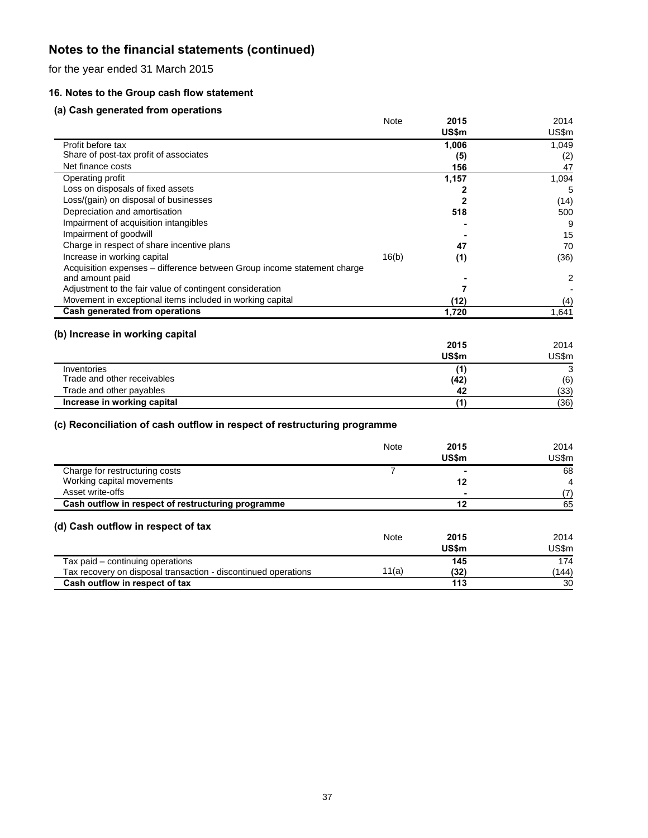for the year ended 31 March 2015

# **16. Notes to the Group cash flow statement**

# **(a) Cash generated from operations**

|                                                                         | Note  | 2015  | 2014  |
|-------------------------------------------------------------------------|-------|-------|-------|
|                                                                         |       | US\$m | US\$m |
| Profit before tax                                                       |       | 1,006 | 1,049 |
| Share of post-tax profit of associates                                  |       | (5)   | (2)   |
| Net finance costs                                                       |       | 156   | 47    |
| Operating profit                                                        |       | 1,157 | 1,094 |
| Loss on disposals of fixed assets                                       |       |       | 5     |
| Loss/(gain) on disposal of businesses                                   |       | 2     | (14)  |
| Depreciation and amortisation                                           |       | 518   | 500   |
| Impairment of acquisition intangibles                                   |       |       | 9     |
| Impairment of goodwill                                                  |       |       | 15    |
| Charge in respect of share incentive plans                              |       | 47    | 70    |
| Increase in working capital                                             | 16(b) | (1)   | (36)  |
| Acquisition expenses - difference between Group income statement charge |       |       |       |
| and amount paid                                                         |       |       | 2     |
| Adjustment to the fair value of contingent consideration                |       | 7     |       |
| Movement in exceptional items included in working capital               |       | (12)  | (4)   |
| Cash generated from operations                                          |       | 1,720 | 1,641 |
| (b) Increase in working capital                                         |       |       |       |
|                                                                         |       | 2015  | 2014  |
|                                                                         |       | US\$m | US\$m |
| Inventories                                                             |       | (1)   | 3     |
| Trade and other receivables                                             |       | (42)  | (6)   |
| Trade and other payables                                                |       | 42    | (33)  |
| Increase in working capital                                             |       | (1)   | (36)  |

|                                                                | <b>Note</b> | 2015<br>US\$m | 2014<br>US\$m |
|----------------------------------------------------------------|-------------|---------------|---------------|
| Charge for restructuring costs                                 |             |               | 68            |
| Working capital movements                                      |             | 12            | 4             |
| Asset write-offs                                               |             |               | (7)           |
| Cash outflow in respect of restructuring programme             |             | 12            | 65            |
| (d) Cash outflow in respect of tax                             | <b>Note</b> | 2015<br>US\$m | 2014<br>US\$m |
| Tax paid - continuing operations                               |             | 145           | 174           |
| Tax recovery on disposal transaction - discontinued operations | 11(a)       | (32)          | (144)         |
| Cash outflow in respect of tax                                 |             | 113           | 30            |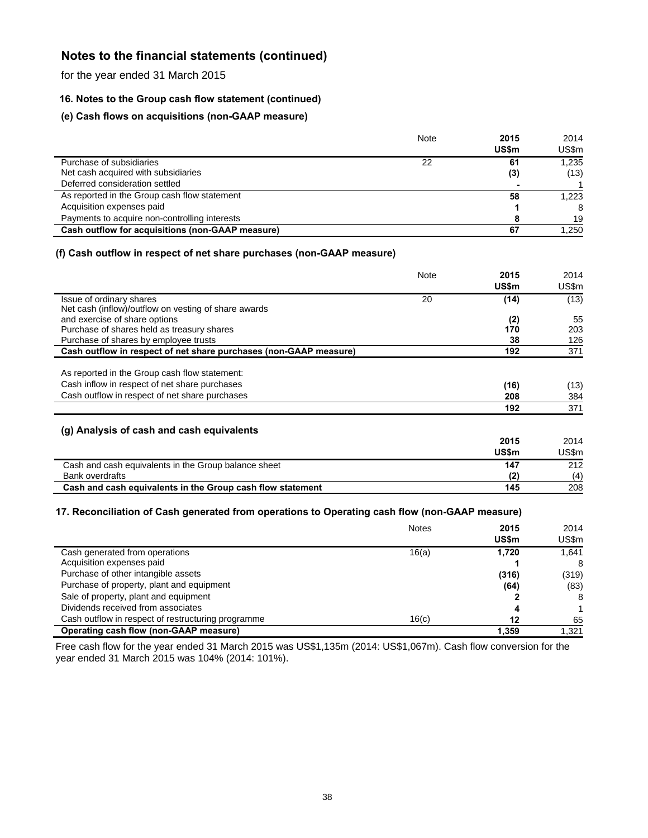for the year ended 31 March 2015

# **16. Notes to the Group cash flow statement (continued)**

# **(e) Cash flows on acquisitions (non-GAAP measure)**

|                                                  | Note | 2015<br>US\$m | 2014<br>US\$m |
|--------------------------------------------------|------|---------------|---------------|
| Purchase of subsidiaries                         | 22   | 61            | 1,235         |
| Net cash acquired with subsidiaries              |      | (3)           | (13)          |
| Deferred consideration settled                   |      |               |               |
| As reported in the Group cash flow statement     |      | 58            | 1.223         |
| Acquisition expenses paid                        |      |               | 8             |
| Payments to acquire non-controlling interests    |      |               | 19            |
| Cash outflow for acquisitions (non-GAAP measure) |      | 67            | 1.250         |

# **(f) Cash outflow in respect of net share purchases (non-GAAP measure)**

|                                                                   | <b>Note</b> | 2015  | 2014  |
|-------------------------------------------------------------------|-------------|-------|-------|
|                                                                   |             | US\$m | US\$m |
| Issue of ordinary shares                                          | 20          | (14)  | (13)  |
| Net cash (inflow)/outflow on vesting of share awards              |             |       |       |
| and exercise of share options                                     |             | (2)   | 55    |
| Purchase of shares held as treasury shares                        |             | 170   | 203   |
| Purchase of shares by employee trusts                             |             | 38    | 126   |
| Cash outflow in respect of net share purchases (non-GAAP measure) |             | 192   | 371   |
|                                                                   |             |       |       |
| As reported in the Group cash flow statement:                     |             |       |       |
| Cash inflow in respect of net share purchases                     |             | (16)  | (13)  |
| Cash outflow in respect of net share purchases                    |             | 208   | 384   |
|                                                                   |             | 192   | 371   |
|                                                                   |             |       |       |
| (g) Analysis of cash and cash equivalents                         |             |       |       |
|                                                                   |             | 2015  | 2014  |
|                                                                   |             | US\$m | US\$m |
| Cash and cash equivalents in the Group balance sheet              |             | 147   | 212   |
| <b>Bank overdrafts</b>                                            |             | (2)   | (4)   |
| Cash and cash equivalents in the Group cash flow statement        |             | 145   | 208   |

# **17. Reconciliation of Cash generated from operations to Operating cash flow (non-GAAP measure)**

|                                                    | <b>Notes</b> | 2015<br><b>US\$m</b> | 2014<br>US\$m |
|----------------------------------------------------|--------------|----------------------|---------------|
| Cash generated from operations                     | 16(a)        | 1,720                | 1.641         |
| Acquisition expenses paid                          |              |                      | 8             |
| Purchase of other intangible assets                |              | (316)                | (319)         |
| Purchase of property, plant and equipment          |              | (64)                 | (83)          |
| Sale of property, plant and equipment              |              |                      | 8             |
| Dividends received from associates                 |              | Δ                    |               |
| Cash outflow in respect of restructuring programme | 16(c)        | 12                   | 65            |
| Operating cash flow (non-GAAP measure)             |              | 1.359                | 1.321         |

Free cash flow for the year ended 31 March 2015 was US\$1,135m (2014: US\$1,067m). Cash flow conversion for the year ended 31 March 2015 was 104% (2014: 101%).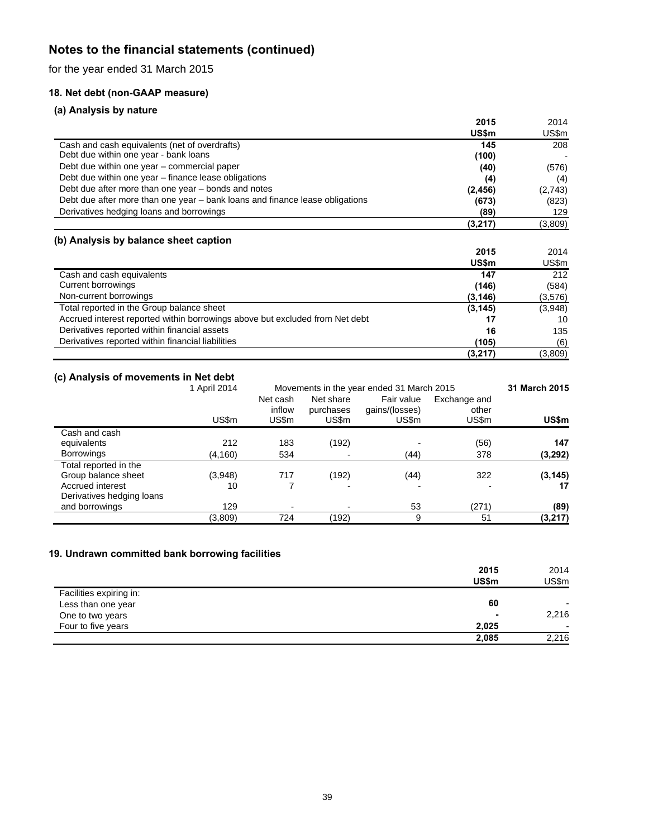for the year ended 31 March 2015

# **18. Net debt (non-GAAP measure)**

# **(a) Analysis by nature**

|                                                                              | 2015     | 2014    |
|------------------------------------------------------------------------------|----------|---------|
|                                                                              | US\$m    | US\$m   |
| Cash and cash equivalents (net of overdrafts)                                | 145      | 208     |
| Debt due within one year - bank loans                                        | (100)    |         |
| Debt due within one year – commercial paper                                  | (40)     | (576)   |
| Debt due within one year – finance lease obligations                         | (4)      | (4)     |
| Debt due after more than one year – bonds and notes                          | (2, 456) | (2,743) |
| Debt due after more than one year – bank loans and finance lease obligations | (673)    | (823)   |
| Derivatives hedging loans and borrowings                                     | (89)     | 129     |
|                                                                              | (3,217)  | (3,809) |
|                                                                              |          |         |
| (b) Analysis by balance sheet caption                                        |          |         |
|                                                                              | 2015     | 2014    |
|                                                                              | US\$m    | US\$m   |
| Cash and cash equivalents                                                    | 147      | 212     |
| Current borrowings                                                           | (146)    | (584)   |
| Non-current borrowings                                                       | (3, 146) | (3,576) |
|                                                                              |          |         |
| Total reported in the Group balance sheet                                    | (3, 145) | (3,948) |
| Accrued interest reported within borrowings above but excluded from Net debt | 17       | 10      |
| Derivatives reported within financial assets                                 | 16       | 135     |
| Derivatives reported within financial liabilities                            | (105)    | (6)     |

# **(c) Analysis of movements in Net debt**

|                           | 1 April 2014 | Movements in the year ended 31 March 2015 |                                 |                                       |                                |          | 31 March 2015 |
|---------------------------|--------------|-------------------------------------------|---------------------------------|---------------------------------------|--------------------------------|----------|---------------|
|                           | US\$m        | Net cash<br>inflow<br>US\$m               | Net share<br>purchases<br>US\$m | Fair value<br>gains/(losses)<br>US\$m | Exchange and<br>other<br>US\$m | US\$m    |               |
| Cash and cash             |              |                                           |                                 |                                       |                                |          |               |
| equivalents               | 212          | 183                                       | (192)                           |                                       | (56)                           | 147      |               |
| <b>Borrowings</b>         | (4,160)      | 534                                       |                                 | (44)                                  | 378                            | (3,292)  |               |
| Total reported in the     |              |                                           |                                 |                                       |                                |          |               |
| Group balance sheet       | (3,948)      | 717                                       | (192)                           | (44)                                  | 322                            | (3, 145) |               |
| Accrued interest          | 10           |                                           |                                 |                                       |                                | 17       |               |
| Derivatives hedging loans |              |                                           |                                 |                                       |                                |          |               |
| and borrowings            | 129          | ۰                                         |                                 | 53                                    | (271)                          | (89)     |               |
|                           | (3,809)      | 724                                       | (192)                           | 9                                     | 51                             | (3, 217) |               |

# **19. Undrawn committed bank borrowing facilities**

|                         | 2015  | 2014                     |
|-------------------------|-------|--------------------------|
|                         | US\$m | US\$m                    |
| Facilities expiring in: |       |                          |
| Less than one year      | 60    |                          |
| One to two years        |       | 2,216                    |
| Four to five years      | 2,025 | $\overline{\phantom{0}}$ |
|                         | 2,085 | 2,216                    |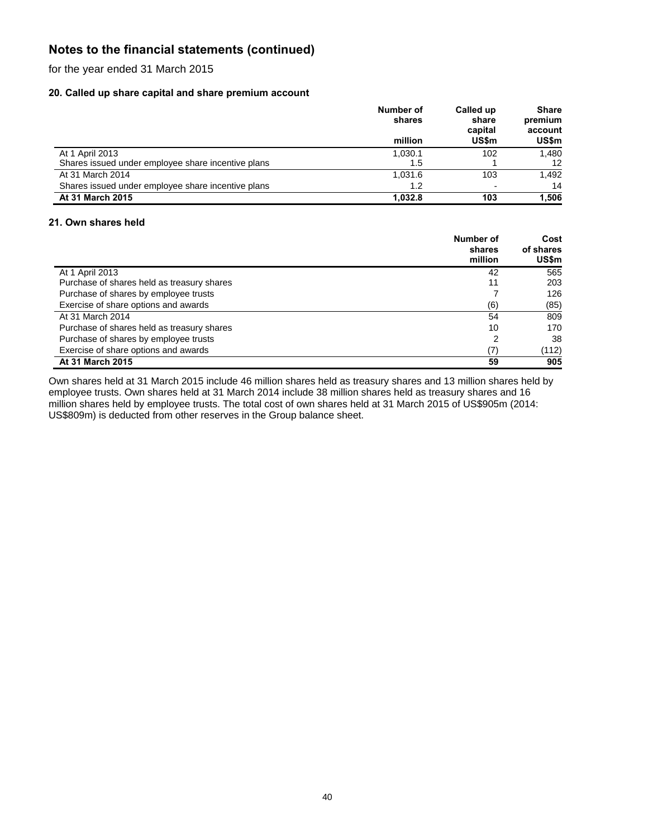for the year ended 31 March 2015

# **20. Called up share capital and share premium account**

|                                                    | Number of<br>shares | Called up<br>share<br>capital | <b>Share</b><br>premium<br>account |
|----------------------------------------------------|---------------------|-------------------------------|------------------------------------|
|                                                    | million             | <b>US\$m</b>                  | US\$m                              |
| At 1 April 2013                                    | 1.030.1             | 102                           | 1.480                              |
| Shares issued under employee share incentive plans | 1.5                 |                               | 12                                 |
| At 31 March 2014                                   | 1.031.6             | 103                           | 1.492                              |
| Shares issued under employee share incentive plans | 1.2                 |                               | 14                                 |
| At 31 March 2015                                   | 1.032.8             | 103                           | 1.506                              |

# **21. Own shares held**

|                                            | Number of<br>shares<br>million | Cost<br>of shares<br>US\$m |
|--------------------------------------------|--------------------------------|----------------------------|
| At 1 April 2013                            | 42                             | 565                        |
| Purchase of shares held as treasury shares | 11                             | 203                        |
| Purchase of shares by employee trusts      |                                | 126                        |
| Exercise of share options and awards       | (6)                            | (85)                       |
| At 31 March 2014                           | 54                             | 809                        |
| Purchase of shares held as treasury shares | 10                             | 170                        |
| Purchase of shares by employee trusts      | 2                              | 38                         |
| Exercise of share options and awards       | (7)                            | (112)                      |
| At 31 March 2015                           | 59                             | 905                        |

Own shares held at 31 March 2015 include 46 million shares held as treasury shares and 13 million shares held by employee trusts. Own shares held at 31 March 2014 include 38 million shares held as treasury shares and 16 million shares held by employee trusts. The total cost of own shares held at 31 March 2015 of US\$905m (2014: US\$809m) is deducted from other reserves in the Group balance sheet.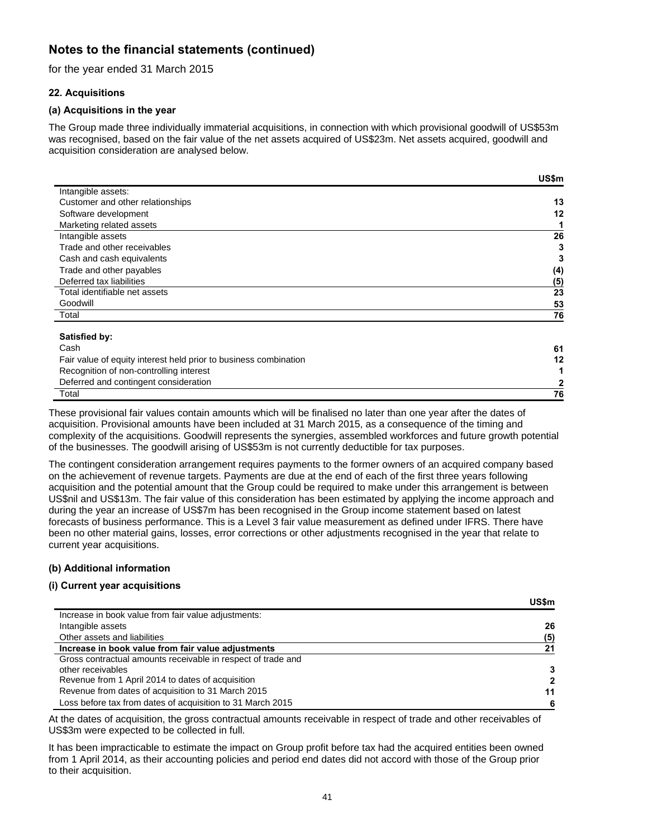for the year ended 31 March 2015

# **22. Acquisitions**

# **(a) Acquisitions in the year**

The Group made three individually immaterial acquisitions, in connection with which provisional goodwill of US\$53m was recognised, based on the fair value of the net assets acquired of US\$23m. Net assets acquired, goodwill and acquisition consideration are analysed below.

|                                  | US\$m |
|----------------------------------|-------|
| Intangible assets:               |       |
| Customer and other relationships | 13    |
| Software development             | 12    |
| Marketing related assets         |       |
| Intangible assets                | 26    |
| Trade and other receivables      | 3     |
| Cash and cash equivalents        | 3     |
| Trade and other payables         | (4)   |
| Deferred tax liabilities         | (5)   |
| Total identifiable net assets    | 23    |
| Goodwill                         | 53    |
| Total                            | 76    |

### **Satisfied by:**

| Cash                                                             | 61 |
|------------------------------------------------------------------|----|
| Fair value of equity interest held prior to business combination | 12 |
| Recognition of non-controlling interest                          |    |
| Deferred and contingent consideration                            |    |
| Total                                                            | 76 |

These provisional fair values contain amounts which will be finalised no later than one year after the dates of acquisition. Provisional amounts have been included at 31 March 2015, as a consequence of the timing and complexity of the acquisitions. Goodwill represents the synergies, assembled workforces and future growth potential of the businesses. The goodwill arising of US\$53m is not currently deductible for tax purposes.

The contingent consideration arrangement requires payments to the former owners of an acquired company based on the achievement of revenue targets. Payments are due at the end of each of the first three years following acquisition and the potential amount that the Group could be required to make under this arrangement is between US\$nil and US\$13m. The fair value of this consideration has been estimated by applying the income approach and during the year an increase of US\$7m has been recognised in the Group income statement based on latest forecasts of business performance. This is a Level 3 fair value measurement as defined under IFRS. There have been no other material gains, losses, error corrections or other adjustments recognised in the year that relate to current year acquisitions.

# **(b) Additional information**

# **(i) Current year acquisitions**

|                                                              | <b>US\$m</b> |
|--------------------------------------------------------------|--------------|
| Increase in book value from fair value adjustments:          |              |
| Intangible assets                                            | 26           |
| Other assets and liabilities                                 | (5)          |
| Increase in book value from fair value adjustments           | 21           |
| Gross contractual amounts receivable in respect of trade and |              |
| other receivables                                            | 3            |
| Revenue from 1 April 2014 to dates of acquisition            | 2            |
| Revenue from dates of acquisition to 31 March 2015           | 11           |
| Loss before tax from dates of acquisition to 31 March 2015   | 6            |

At the dates of acquisition, the gross contractual amounts receivable in respect of trade and other receivables of US\$3m were expected to be collected in full.

It has been impracticable to estimate the impact on Group profit before tax had the acquired entities been owned from 1 April 2014, as their accounting policies and period end dates did not accord with those of the Group prior to their acquisition.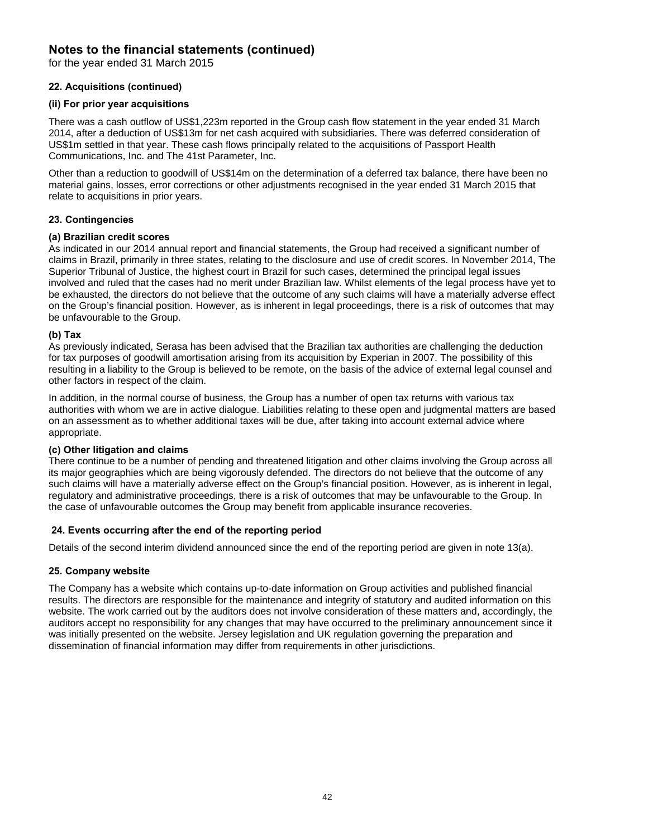for the year ended 31 March 2015

# **22. Acquisitions (continued)**

# **(ii) For prior year acquisitions**

There was a cash outflow of US\$1,223m reported in the Group cash flow statement in the year ended 31 March 2014, after a deduction of US\$13m for net cash acquired with subsidiaries. There was deferred consideration of US\$1m settled in that year. These cash flows principally related to the acquisitions of Passport Health Communications, Inc. and The 41st Parameter, Inc.

Other than a reduction to goodwill of US\$14m on the determination of a deferred tax balance, there have been no material gains, losses, error corrections or other adjustments recognised in the year ended 31 March 2015 that relate to acquisitions in prior years.

# **23. Contingencies**

### **(a) Brazilian credit scores**

As indicated in our 2014 annual report and financial statements, the Group had received a significant number of claims in Brazil, primarily in three states, relating to the disclosure and use of credit scores. In November 2014, The Superior Tribunal of Justice, the highest court in Brazil for such cases, determined the principal legal issues involved and ruled that the cases had no merit under Brazilian law. Whilst elements of the legal process have yet to be exhausted, the directors do not believe that the outcome of any such claims will have a materially adverse effect on the Group's financial position. However, as is inherent in legal proceedings, there is a risk of outcomes that may be unfavourable to the Group.

### **(b) Tax**

As previously indicated, Serasa has been advised that the Brazilian tax authorities are challenging the deduction for tax purposes of goodwill amortisation arising from its acquisition by Experian in 2007. The possibility of this resulting in a liability to the Group is believed to be remote, on the basis of the advice of external legal counsel and other factors in respect of the claim.

In addition, in the normal course of business, the Group has a number of open tax returns with various tax authorities with whom we are in active dialogue. Liabilities relating to these open and judgmental matters are based on an assessment as to whether additional taxes will be due, after taking into account external advice where appropriate.

### **(c) Other litigation and claims**

There continue to be a number of pending and threatened litigation and other claims involving the Group across all its major geographies which are being vigorously defended. The directors do not believe that the outcome of any such claims will have a materially adverse effect on the Group's financial position. However, as is inherent in legal, regulatory and administrative proceedings, there is a risk of outcomes that may be unfavourable to the Group. In the case of unfavourable outcomes the Group may benefit from applicable insurance recoveries.

# **24. Events occurring after the end of the reporting period**

Details of the second interim dividend announced since the end of the reporting period are given in note 13(a).

# **25. Company website**

The Company has a website which contains up-to-date information on Group activities and published financial results. The directors are responsible for the maintenance and integrity of statutory and audited information on this website. The work carried out by the auditors does not involve consideration of these matters and, accordingly, the auditors accept no responsibility for any changes that may have occurred to the preliminary announcement since it was initially presented on the website. Jersey legislation and UK regulation governing the preparation and dissemination of financial information may differ from requirements in other jurisdictions.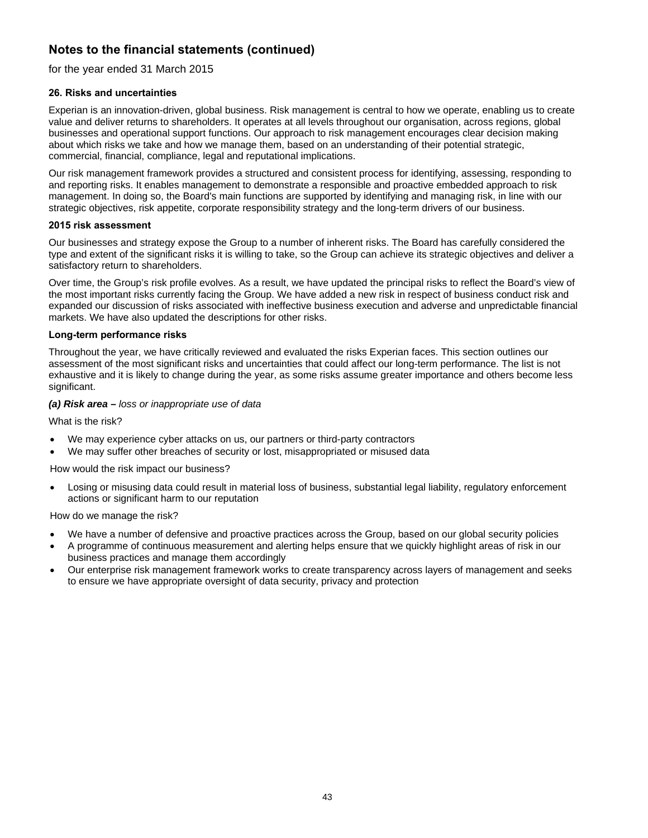for the year ended 31 March 2015

# **26. Risks and uncertainties**

Experian is an innovation-driven, global business. Risk management is central to how we operate, enabling us to create value and deliver returns to shareholders. It operates at all levels throughout our organisation, across regions, global businesses and operational support functions. Our approach to risk management encourages clear decision making about which risks we take and how we manage them, based on an understanding of their potential strategic, commercial, financial, compliance, legal and reputational implications.

Our risk management framework provides a structured and consistent process for identifying, assessing, responding to and reporting risks. It enables management to demonstrate a responsible and proactive embedded approach to risk management. In doing so, the Board's main functions are supported by identifying and managing risk, in line with our strategic objectives, risk appetite, corporate responsibility strategy and the long-term drivers of our business.

### **2015 risk assessment**

Our businesses and strategy expose the Group to a number of inherent risks. The Board has carefully considered the type and extent of the significant risks it is willing to take, so the Group can achieve its strategic objectives and deliver a satisfactory return to shareholders.

Over time, the Group's risk profile evolves. As a result, we have updated the principal risks to reflect the Board's view of the most important risks currently facing the Group. We have added a new risk in respect of business conduct risk and expanded our discussion of risks associated with ineffective business execution and adverse and unpredictable financial markets. We have also updated the descriptions for other risks.

# **Long-term performance risks**

Throughout the year, we have critically reviewed and evaluated the risks Experian faces. This section outlines our assessment of the most significant risks and uncertainties that could affect our long-term performance. The list is not exhaustive and it is likely to change during the year, as some risks assume greater importance and others become less significant.

# *(a) Risk area – loss or inappropriate use of data*

What is the risk?

- We may experience cyber attacks on us, our partners or third-party contractors
- We may suffer other breaches of security or lost, misappropriated or misused data

How would the risk impact our business?

 Losing or misusing data could result in material loss of business, substantial legal liability, regulatory enforcement actions or significant harm to our reputation

- We have a number of defensive and proactive practices across the Group, based on our global security policies
- A programme of continuous measurement and alerting helps ensure that we quickly highlight areas of risk in our business practices and manage them accordingly
- Our enterprise risk management framework works to create transparency across layers of management and seeks to ensure we have appropriate oversight of data security, privacy and protection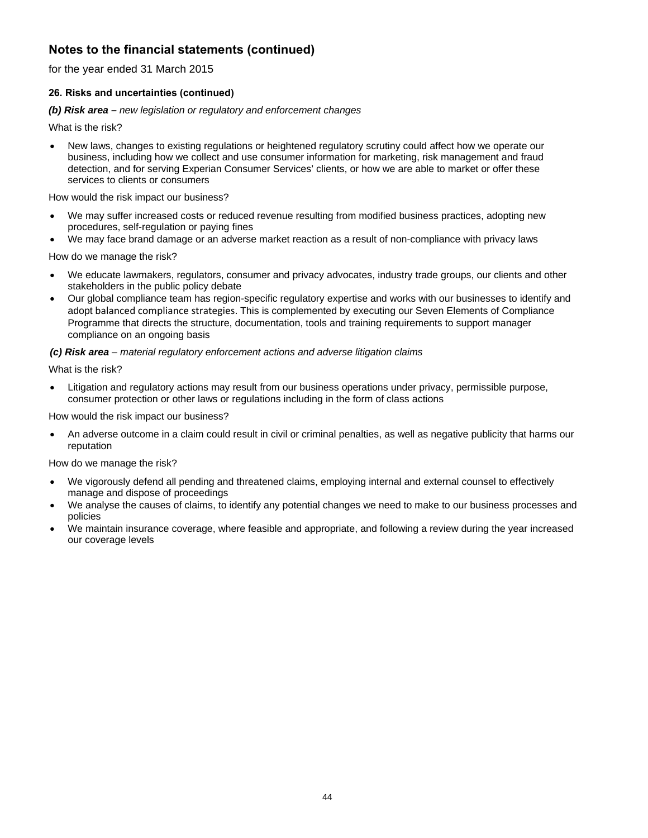for the year ended 31 March 2015

# **26. Risks and uncertainties (continued)**

### *(b) Risk area – new legislation or regulatory and enforcement changes*

What is the risk?

 New laws, changes to existing regulations or heightened regulatory scrutiny could affect how we operate our business, including how we collect and use consumer information for marketing, risk management and fraud detection, and for serving Experian Consumer Services' clients, or how we are able to market or offer these services to clients or consumers

How would the risk impact our business?

- We may suffer increased costs or reduced revenue resulting from modified business practices, adopting new procedures, self-regulation or paying fines
- We may face brand damage or an adverse market reaction as a result of non-compliance with privacy laws

How do we manage the risk?

- We educate lawmakers, regulators, consumer and privacy advocates, industry trade groups, our clients and other stakeholders in the public policy debate
- Our global compliance team has region-specific regulatory expertise and works with our businesses to identify and adopt balanced compliance strategies. This is complemented by executing our Seven Elements of Compliance Programme that directs the structure, documentation, tools and training requirements to support manager compliance on an ongoing basis

# *(c) Risk area – material regulatory enforcement actions and adverse litigation claims*

What is the risk?

 Litigation and regulatory actions may result from our business operations under privacy, permissible purpose, consumer protection or other laws or regulations including in the form of class actions

How would the risk impact our business?

 An adverse outcome in a claim could result in civil or criminal penalties, as well as negative publicity that harms our reputation

- We vigorously defend all pending and threatened claims, employing internal and external counsel to effectively manage and dispose of proceedings
- We analyse the causes of claims, to identify any potential changes we need to make to our business processes and policies
- We maintain insurance coverage, where feasible and appropriate, and following a review during the year increased our coverage levels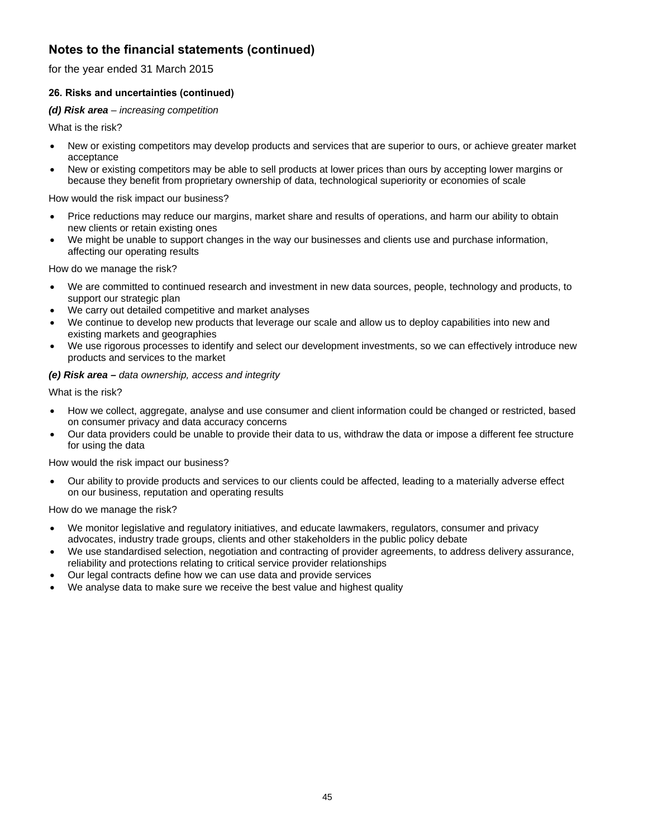for the year ended 31 March 2015

# **26. Risks and uncertainties (continued)**

# *(d) Risk area – increasing competition*

What is the risk?

- New or existing competitors may develop products and services that are superior to ours, or achieve greater market acceptance
- New or existing competitors may be able to sell products at lower prices than ours by accepting lower margins or because they benefit from proprietary ownership of data, technological superiority or economies of scale

How would the risk impact our business?

- Price reductions may reduce our margins, market share and results of operations, and harm our ability to obtain new clients or retain existing ones
- We might be unable to support changes in the way our businesses and clients use and purchase information, affecting our operating results

How do we manage the risk?

- We are committed to continued research and investment in new data sources, people, technology and products, to support our strategic plan
- We carry out detailed competitive and market analyses
- We continue to develop new products that leverage our scale and allow us to deploy capabilities into new and existing markets and geographies
- We use rigorous processes to identify and select our development investments, so we can effectively introduce new products and services to the market

# *(e) Risk area – data ownership, access and integrity*

What is the risk?

- How we collect, aggregate, analyse and use consumer and client information could be changed or restricted, based on consumer privacy and data accuracy concerns
- Our data providers could be unable to provide their data to us, withdraw the data or impose a different fee structure for using the data

How would the risk impact our business?

 Our ability to provide products and services to our clients could be affected, leading to a materially adverse effect on our business, reputation and operating results

- We monitor legislative and regulatory initiatives, and educate lawmakers, regulators, consumer and privacy advocates, industry trade groups, clients and other stakeholders in the public policy debate
- We use standardised selection, negotiation and contracting of provider agreements, to address delivery assurance, reliability and protections relating to critical service provider relationships
- Our legal contracts define how we can use data and provide services
- We analyse data to make sure we receive the best value and highest quality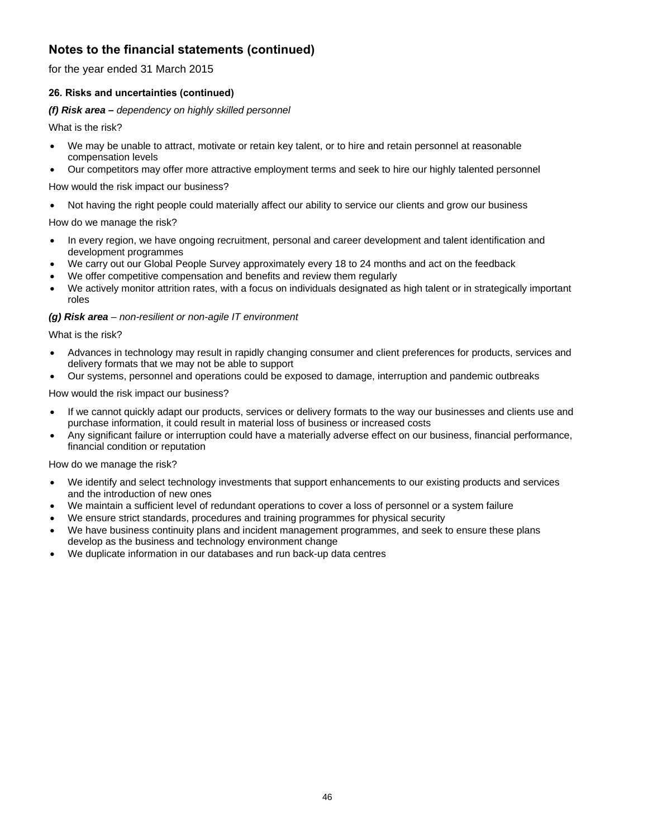for the year ended 31 March 2015

# **26. Risks and uncertainties (continued)**

# *(f) Risk area – dependency on highly skilled personnel*

What is the risk?

- We may be unable to attract, motivate or retain key talent, or to hire and retain personnel at reasonable compensation levels
- Our competitors may offer more attractive employment terms and seek to hire our highly talented personnel

How would the risk impact our business?

Not having the right people could materially affect our ability to service our clients and grow our business

How do we manage the risk?

- In every region, we have ongoing recruitment, personal and career development and talent identification and development programmes
- We carry out our Global People Survey approximately every 18 to 24 months and act on the feedback
- We offer competitive compensation and benefits and review them regularly
- We actively monitor attrition rates, with a focus on individuals designated as high talent or in strategically important roles

# *(g) Risk area – non-resilient or non-agile IT environment*

What is the risk?

- Advances in technology may result in rapidly changing consumer and client preferences for products, services and delivery formats that we may not be able to support
- Our systems, personnel and operations could be exposed to damage, interruption and pandemic outbreaks

How would the risk impact our business?

- If we cannot quickly adapt our products, services or delivery formats to the way our businesses and clients use and purchase information, it could result in material loss of business or increased costs
- Any significant failure or interruption could have a materially adverse effect on our business, financial performance, financial condition or reputation

- We identify and select technology investments that support enhancements to our existing products and services and the introduction of new ones
- We maintain a sufficient level of redundant operations to cover a loss of personnel or a system failure
- We ensure strict standards, procedures and training programmes for physical security
- We have business continuity plans and incident management programmes, and seek to ensure these plans develop as the business and technology environment change
- We duplicate information in our databases and run back-up data centres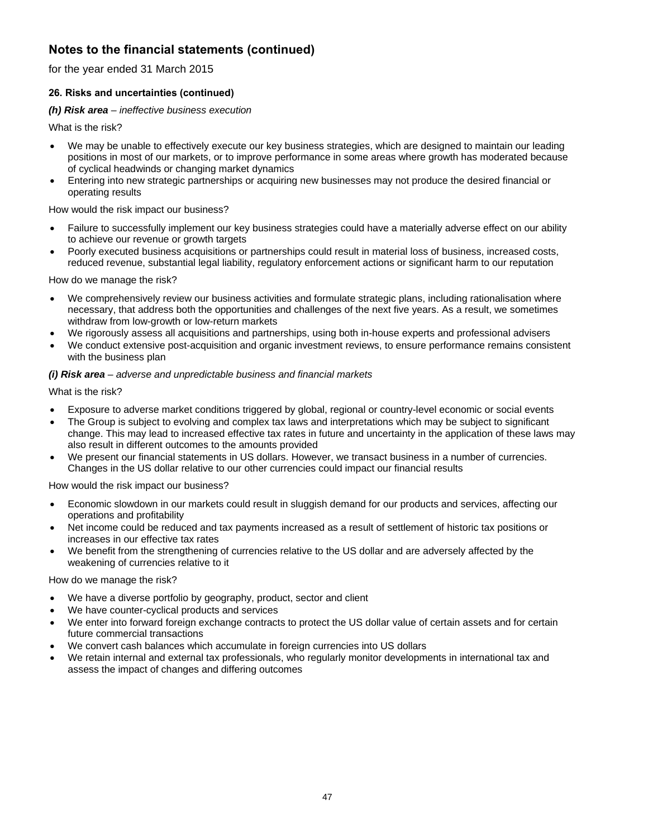for the year ended 31 March 2015

# **26. Risks and uncertainties (continued)**

# *(h) Risk area – ineffective business execution*

What is the risk?

- We may be unable to effectively execute our key business strategies, which are designed to maintain our leading positions in most of our markets, or to improve performance in some areas where growth has moderated because of cyclical headwinds or changing market dynamics
- Entering into new strategic partnerships or acquiring new businesses may not produce the desired financial or operating results

How would the risk impact our business?

- Failure to successfully implement our key business strategies could have a materially adverse effect on our ability to achieve our revenue or growth targets
- Poorly executed business acquisitions or partnerships could result in material loss of business, increased costs, reduced revenue, substantial legal liability, regulatory enforcement actions or significant harm to our reputation

How do we manage the risk?

- We comprehensively review our business activities and formulate strategic plans, including rationalisation where necessary, that address both the opportunities and challenges of the next five years. As a result, we sometimes withdraw from low-growth or low-return markets
- We rigorously assess all acquisitions and partnerships, using both in-house experts and professional advisers
- We conduct extensive post-acquisition and organic investment reviews, to ensure performance remains consistent with the business plan

# *(i) Risk area – adverse and unpredictable business and financial markets*

What is the risk?

- Exposure to adverse market conditions triggered by global, regional or country-level economic or social events
- The Group is subject to evolving and complex tax laws and interpretations which may be subject to significant change. This may lead to increased effective tax rates in future and uncertainty in the application of these laws may also result in different outcomes to the amounts provided
- We present our financial statements in US dollars. However, we transact business in a number of currencies. Changes in the US dollar relative to our other currencies could impact our financial results

How would the risk impact our business?

- Economic slowdown in our markets could result in sluggish demand for our products and services, affecting our operations and profitability
- Net income could be reduced and tax payments increased as a result of settlement of historic tax positions or increases in our effective tax rates
- We benefit from the strengthening of currencies relative to the US dollar and are adversely affected by the weakening of currencies relative to it

- We have a diverse portfolio by geography, product, sector and client
- We have counter-cyclical products and services
- We enter into forward foreign exchange contracts to protect the US dollar value of certain assets and for certain future commercial transactions
- We convert cash balances which accumulate in foreign currencies into US dollars
- We retain internal and external tax professionals, who regularly monitor developments in international tax and assess the impact of changes and differing outcomes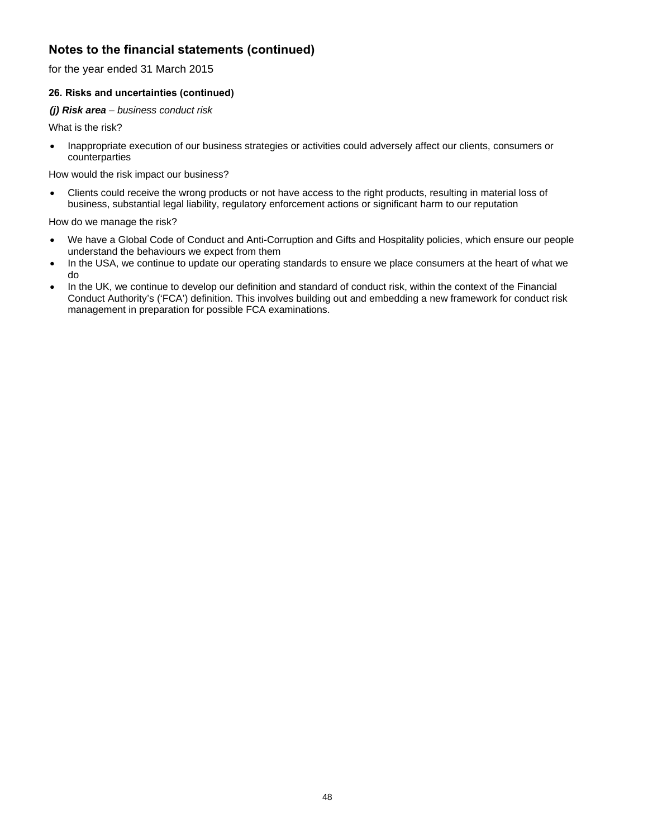for the year ended 31 March 2015

# **26. Risks and uncertainties (continued)**

# *(j) Risk area – business conduct risk*

What is the risk?

 Inappropriate execution of our business strategies or activities could adversely affect our clients, consumers or counterparties

How would the risk impact our business?

 Clients could receive the wrong products or not have access to the right products, resulting in material loss of business, substantial legal liability, regulatory enforcement actions or significant harm to our reputation

- We have a Global Code of Conduct and Anti-Corruption and Gifts and Hospitality policies, which ensure our people understand the behaviours we expect from them
- In the USA, we continue to update our operating standards to ensure we place consumers at the heart of what we do
- In the UK, we continue to develop our definition and standard of conduct risk, within the context of the Financial Conduct Authority's ('FCA') definition. This involves building out and embedding a new framework for conduct risk management in preparation for possible FCA examinations.